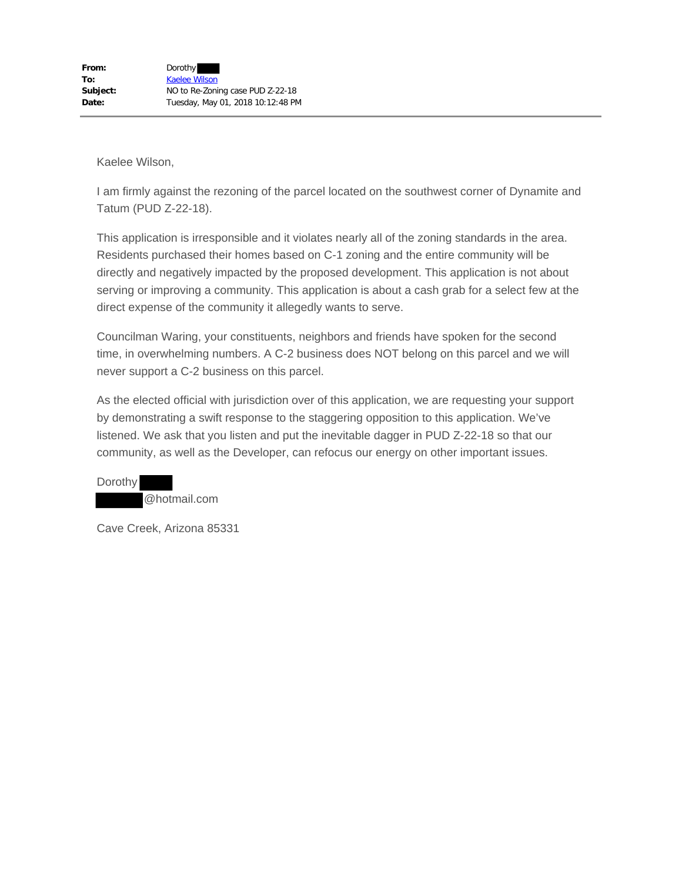I am firmly against the rezoning of the parcel located on the southwest corner of Dynamite and Tatum (PUD Z-22-18).

This application is irresponsible and it violates nearly all of the zoning standards in the area. Residents purchased their homes based on C-1 zoning and the entire community will be directly and negatively impacted by the proposed development. This application is not about serving or improving a community. This application is about a cash grab for a select few at the direct expense of the community it allegedly wants to serve.

Councilman Waring, your constituents, neighbors and friends have spoken for the second time, in overwhelming numbers. A C-2 business does NOT belong on this parcel and we will never support a C-2 business on this parcel.

As the elected official with jurisdiction over of this application, we are requesting your support by demonstrating a swift response to the staggering opposition to this application. We've listened. We ask that you listen and put the inevitable dagger in PUD Z-22-18 so that our community, as well as the Developer, can refocus our energy on other important issues.

**Dorothy** @hotmail.com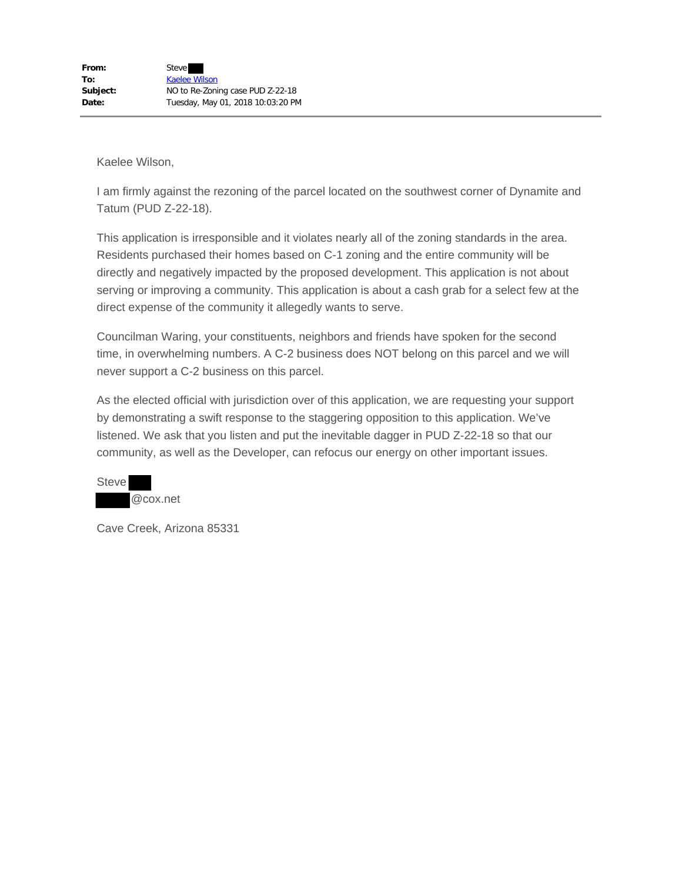I am firmly against the rezoning of the parcel located on the southwest corner of Dynamite and Tatum (PUD Z-22-18).

This application is irresponsible and it violates nearly all of the zoning standards in the area. Residents purchased their homes based on C-1 zoning and the entire community will be directly and negatively impacted by the proposed development. This application is not about serving or improving a community. This application is about a cash grab for a select few at the direct expense of the community it allegedly wants to serve.

Councilman Waring, your constituents, neighbors and friends have spoken for the second time, in overwhelming numbers. A C-2 business does NOT belong on this parcel and we will never support a C-2 business on this parcel.

As the elected official with jurisdiction over of this application, we are requesting your support by demonstrating a swift response to the staggering opposition to this application. We've listened. We ask that you listen and put the inevitable dagger in PUD Z-22-18 so that our community, as well as the Developer, can refocus our energy on other important issues.

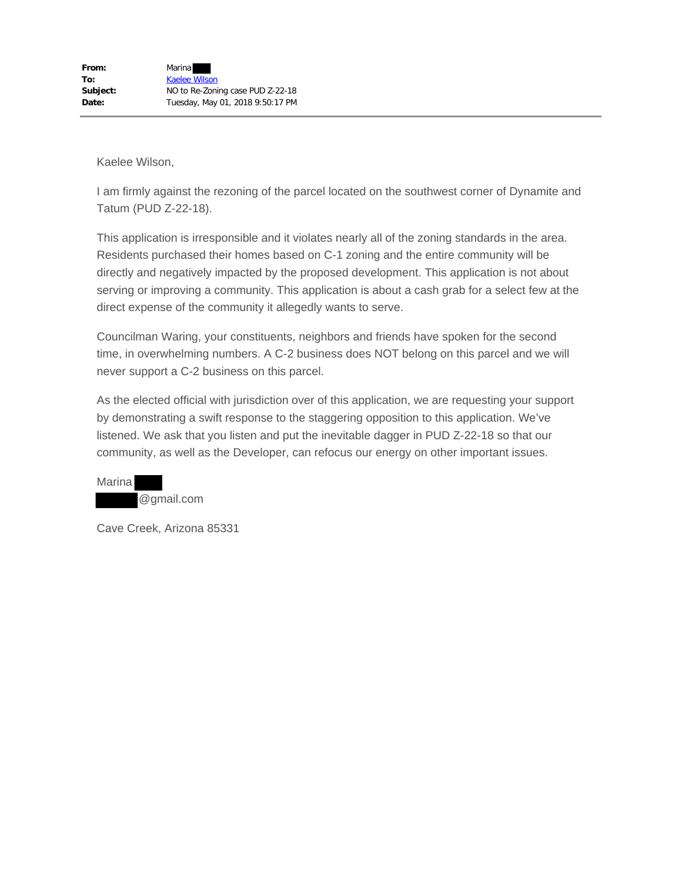I am firmly against the rezoning of the parcel located on the southwest corner of Dynamite and Tatum (PUD Z-22-18).

This application is irresponsible and it violates nearly all of the zoning standards in the area. Residents purchased their homes based on C-1 zoning and the entire community will be directly and negatively impacted by the proposed development. This application is not about serving or improving a community. This application is about a cash grab for a select few at the direct expense of the community it allegedly wants to serve.

Councilman Waring, your constituents, neighbors and friends have spoken for the second time, in overwhelming numbers. A C-2 business does NOT belong on this parcel and we will never support a C-2 business on this parcel.

As the elected official with jurisdiction over of this application, we are requesting your support by demonstrating a swift response to the staggering opposition to this application. We've listened. We ask that you listen and put the inevitable dagger in PUD Z-22-18 so that our community, as well as the Developer, can refocus our energy on other important issues.

Marina @gmail.com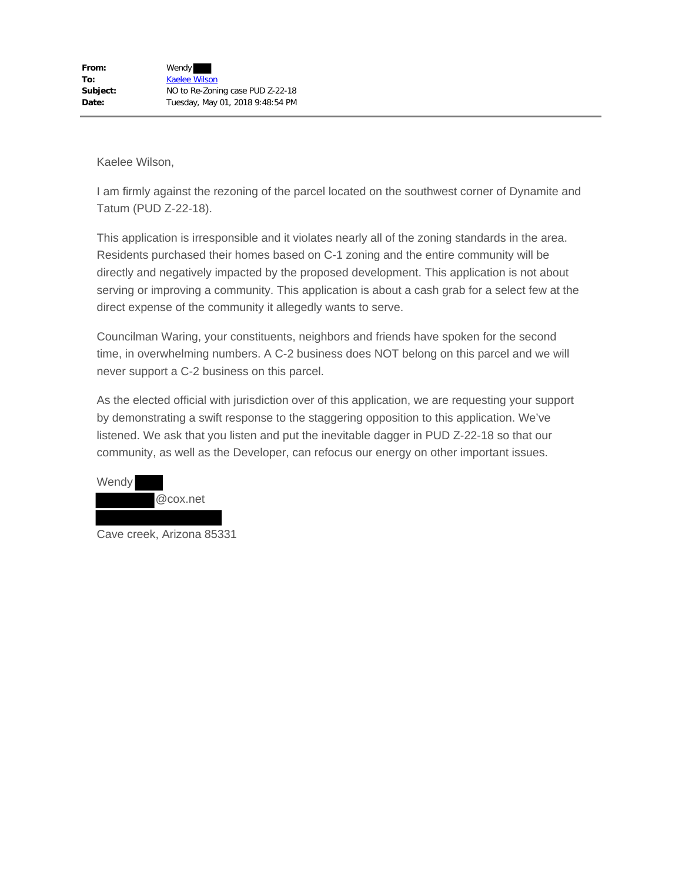I am firmly against the rezoning of the parcel located on the southwest corner of Dynamite and Tatum (PUD Z-22-18).

This application is irresponsible and it violates nearly all of the zoning standards in the area. Residents purchased their homes based on C-1 zoning and the entire community will be directly and negatively impacted by the proposed development. This application is not about serving or improving a community. This application is about a cash grab for a select few at the direct expense of the community it allegedly wants to serve.

Councilman Waring, your constituents, neighbors and friends have spoken for the second time, in overwhelming numbers. A C-2 business does NOT belong on this parcel and we will never support a C-2 business on this parcel.



Cave creek, Arizona 85331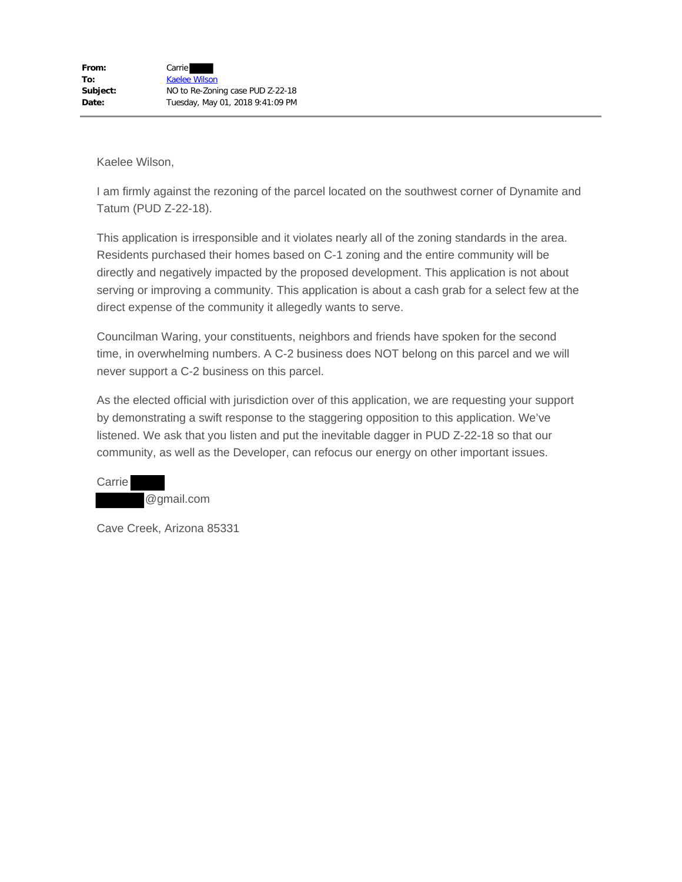I am firmly against the rezoning of the parcel located on the southwest corner of Dynamite and Tatum (PUD Z-22-18).

This application is irresponsible and it violates nearly all of the zoning standards in the area. Residents purchased their homes based on C-1 zoning and the entire community will be directly and negatively impacted by the proposed development. This application is not about serving or improving a community. This application is about a cash grab for a select few at the direct expense of the community it allegedly wants to serve.

Councilman Waring, your constituents, neighbors and friends have spoken for the second time, in overwhelming numbers. A C-2 business does NOT belong on this parcel and we will never support a C-2 business on this parcel.

As the elected official with jurisdiction over of this application, we are requesting your support by demonstrating a swift response to the staggering opposition to this application. We've listened. We ask that you listen and put the inevitable dagger in PUD Z-22-18 so that our community, as well as the Developer, can refocus our energy on other important issues.

**Carrie** @gmail.com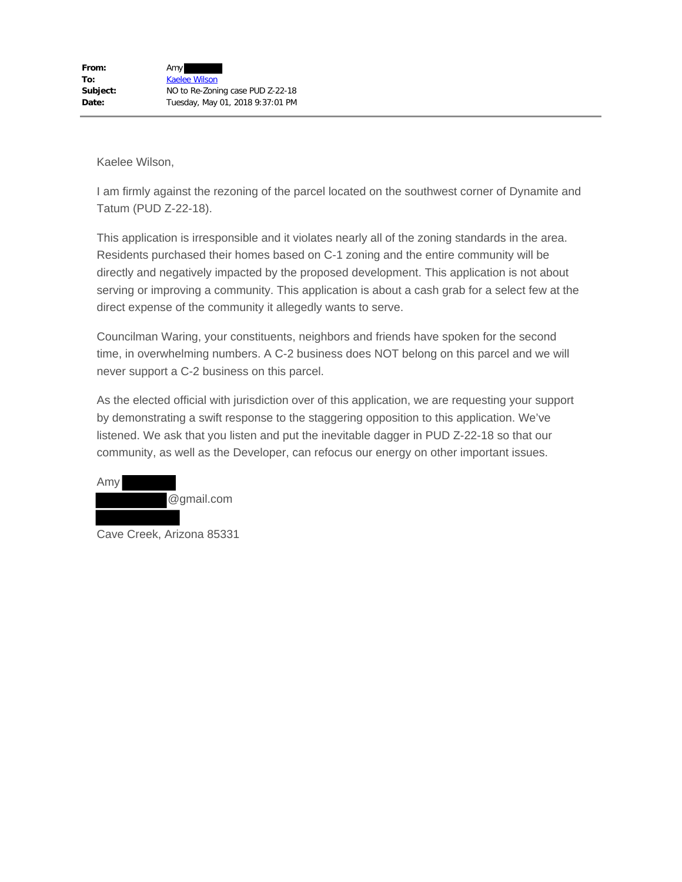I am firmly against the rezoning of the parcel located on the southwest corner of Dynamite and Tatum (PUD Z-22-18).

This application is irresponsible and it violates nearly all of the zoning standards in the area. Residents purchased their homes based on C-1 zoning and the entire community will be directly and negatively impacted by the proposed development. This application is not about serving or improving a community. This application is about a cash grab for a select few at the direct expense of the community it allegedly wants to serve.

Councilman Waring, your constituents, neighbors and friends have spoken for the second time, in overwhelming numbers. A C-2 business does NOT belong on this parcel and we will never support a C-2 business on this parcel.



Cave Creek, Arizona 85331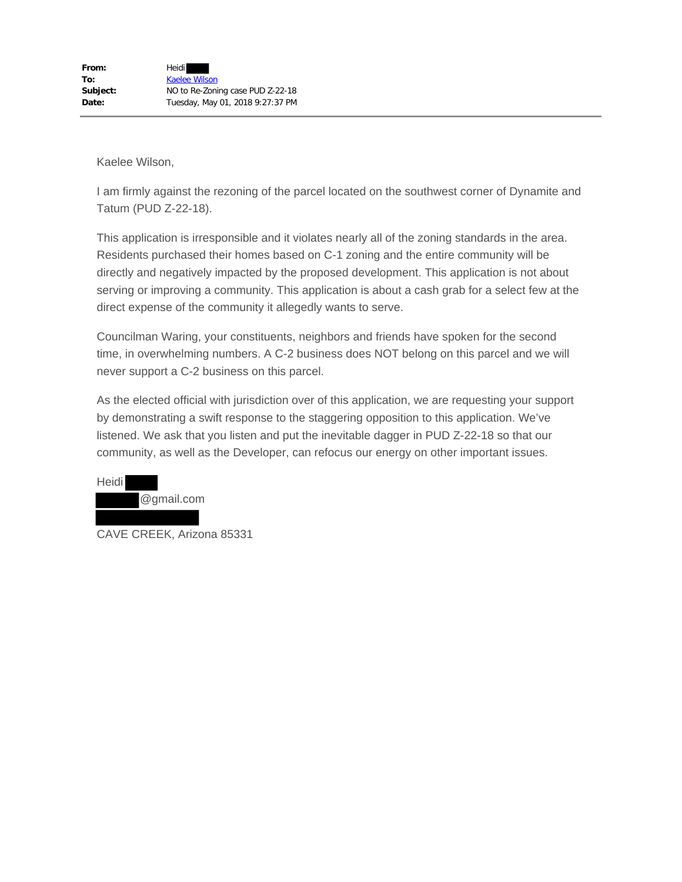I am firmly against the rezoning of the parcel located on the southwest corner of Dynamite and Tatum (PUD Z-22-18).

This application is irresponsible and it violates nearly all of the zoning standards in the area. Residents purchased their homes based on C-1 zoning and the entire community will be directly and negatively impacted by the proposed development. This application is not about serving or improving a community. This application is about a cash grab for a select few at the direct expense of the community it allegedly wants to serve.

Councilman Waring, your constituents, neighbors and friends have spoken for the second time, in overwhelming numbers. A C-2 business does NOT belong on this parcel and we will never support a C-2 business on this parcel.



CAVE CREEK, Arizona 85331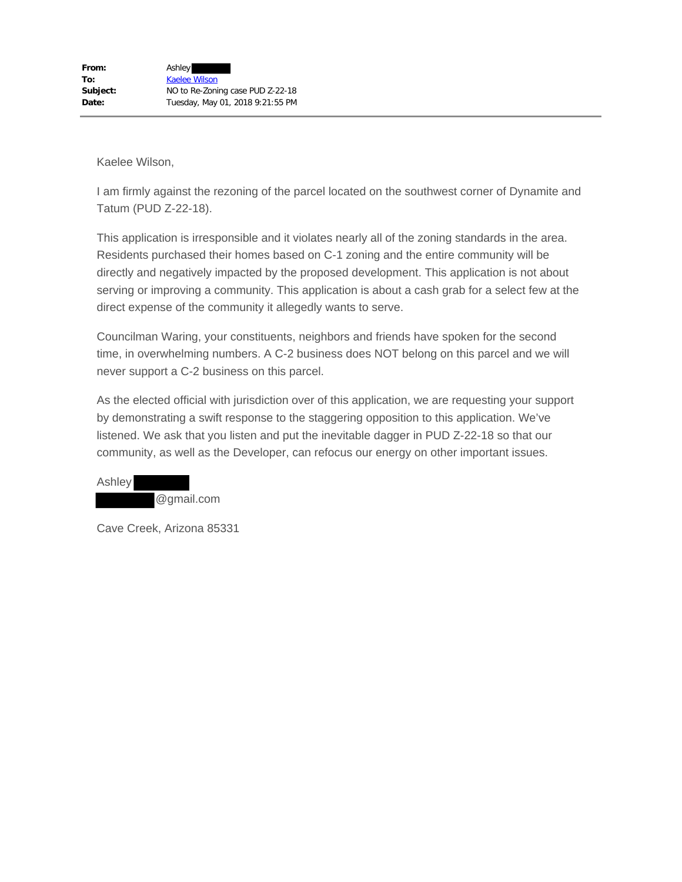I am firmly against the rezoning of the parcel located on the southwest corner of Dynamite and Tatum (PUD Z-22-18).

This application is irresponsible and it violates nearly all of the zoning standards in the area. Residents purchased their homes based on C-1 zoning and the entire community will be directly and negatively impacted by the proposed development. This application is not about serving or improving a community. This application is about a cash grab for a select few at the direct expense of the community it allegedly wants to serve.

Councilman Waring, your constituents, neighbors and friends have spoken for the second time, in overwhelming numbers. A C-2 business does NOT belong on this parcel and we will never support a C-2 business on this parcel.

As the elected official with jurisdiction over of this application, we are requesting your support by demonstrating a swift response to the staggering opposition to this application. We've listened. We ask that you listen and put the inevitable dagger in PUD Z-22-18 so that our community, as well as the Developer, can refocus our energy on other important issues.

Ashley @gmail.com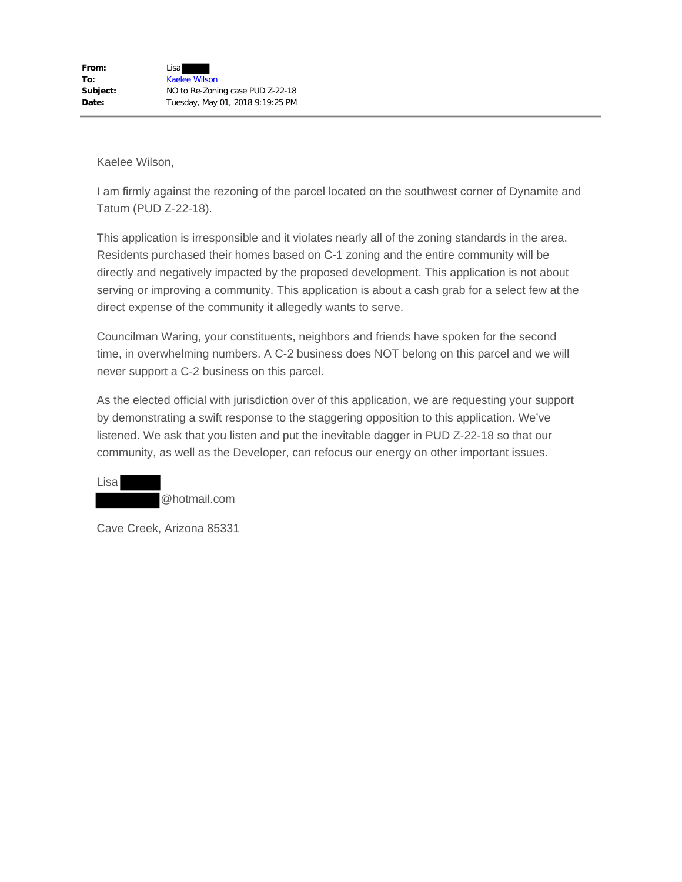I am firmly against the rezoning of the parcel located on the southwest corner of Dynamite and Tatum (PUD Z-22-18).

This application is irresponsible and it violates nearly all of the zoning standards in the area. Residents purchased their homes based on C-1 zoning and the entire community will be directly and negatively impacted by the proposed development. This application is not about serving or improving a community. This application is about a cash grab for a select few at the direct expense of the community it allegedly wants to serve.

Councilman Waring, your constituents, neighbors and friends have spoken for the second time, in overwhelming numbers. A C-2 business does NOT belong on this parcel and we will never support a C-2 business on this parcel.

As the elected official with jurisdiction over of this application, we are requesting your support by demonstrating a swift response to the staggering opposition to this application. We've listened. We ask that you listen and put the inevitable dagger in PUD Z-22-18 so that our community, as well as the Developer, can refocus our energy on other important issues.

@hotmail.com

Cave Creek, Arizona 85331

Lisa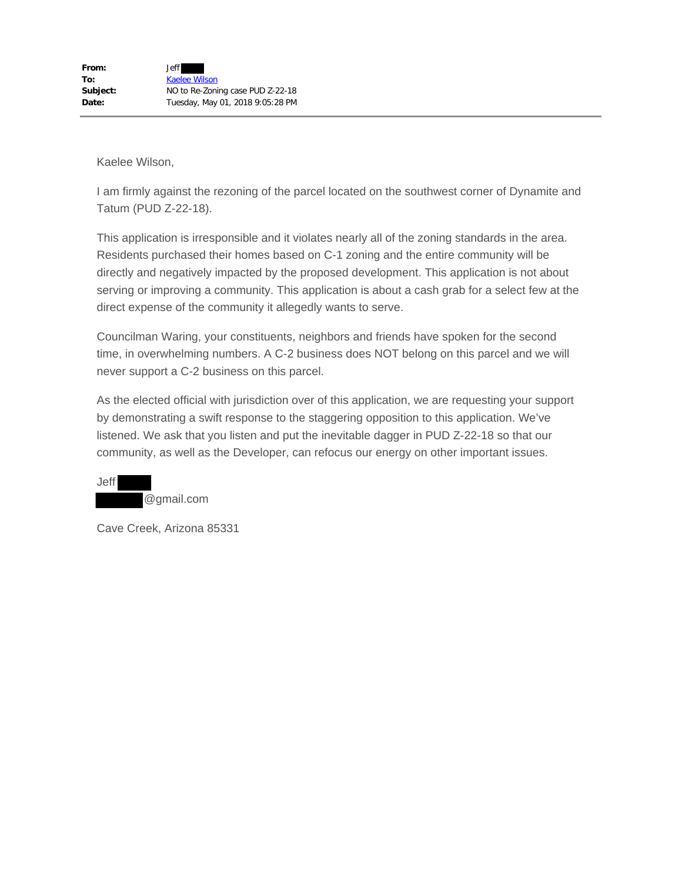I am firmly against the rezoning of the parcel located on the southwest corner of Dynamite and Tatum (PUD Z-22-18).

This application is irresponsible and it violates nearly all of the zoning standards in the area. Residents purchased their homes based on C-1 zoning and the entire community will be directly and negatively impacted by the proposed development. This application is not about serving or improving a community. This application is about a cash grab for a select few at the direct expense of the community it allegedly wants to serve.

Councilman Waring, your constituents, neighbors and friends have spoken for the second time, in overwhelming numbers. A C-2 business does NOT belong on this parcel and we will never support a C-2 business on this parcel.

As the elected official with jurisdiction over of this application, we are requesting your support by demonstrating a swift response to the staggering opposition to this application. We've listened. We ask that you listen and put the inevitable dagger in PUD Z-22-18 so that our community, as well as the Developer, can refocus our energy on other important issues.

Jeff @gmail.com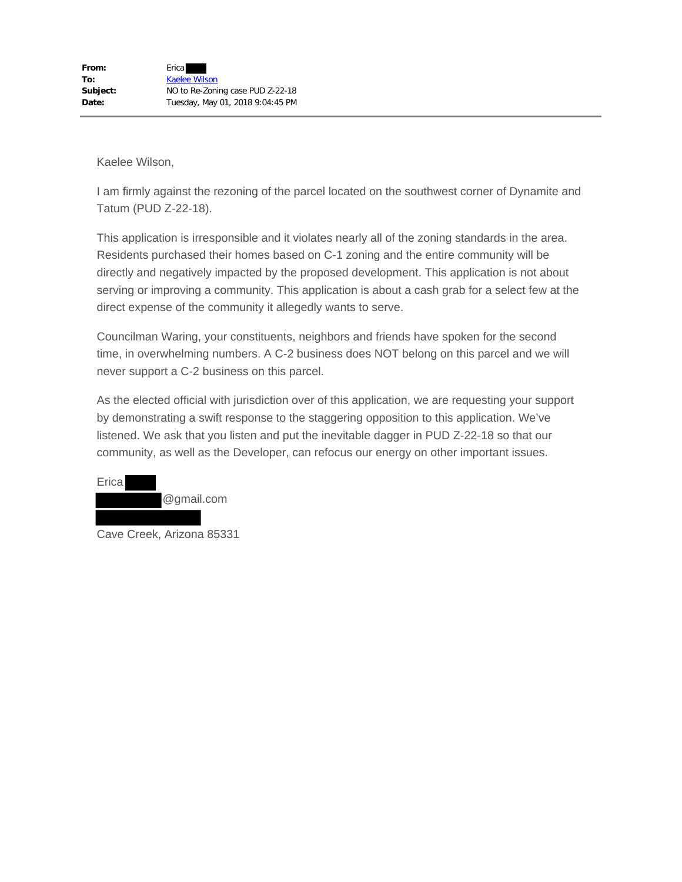I am firmly against the rezoning of the parcel located on the southwest corner of Dynamite and Tatum (PUD Z-22-18).

This application is irresponsible and it violates nearly all of the zoning standards in the area. Residents purchased their homes based on C-1 zoning and the entire community will be directly and negatively impacted by the proposed development. This application is not about serving or improving a community. This application is about a cash grab for a select few at the direct expense of the community it allegedly wants to serve.

Councilman Waring, your constituents, neighbors and friends have spoken for the second time, in overwhelming numbers. A C-2 business does NOT belong on this parcel and we will never support a C-2 business on this parcel.



Cave Creek, Arizona 85331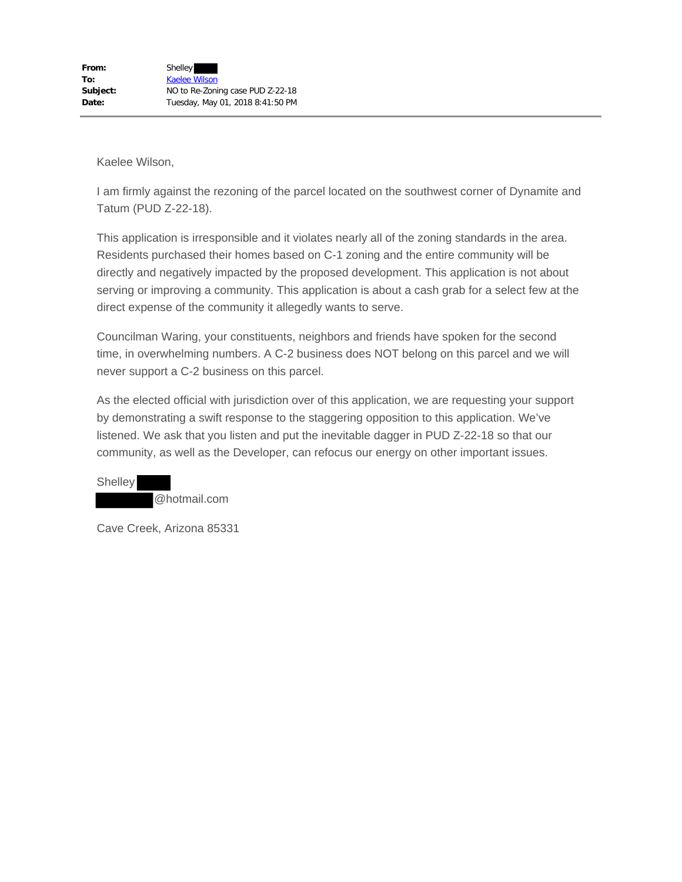I am firmly against the rezoning of the parcel located on the southwest corner of Dynamite and Tatum (PUD Z-22-18).

This application is irresponsible and it violates nearly all of the zoning standards in the area. Residents purchased their homes based on C-1 zoning and the entire community will be directly and negatively impacted by the proposed development. This application is not about serving or improving a community. This application is about a cash grab for a select few at the direct expense of the community it allegedly wants to serve.

Councilman Waring, your constituents, neighbors and friends have spoken for the second time, in overwhelming numbers. A C-2 business does NOT belong on this parcel and we will never support a C-2 business on this parcel.

As the elected official with jurisdiction over of this application, we are requesting your support by demonstrating a swift response to the staggering opposition to this application. We've listened. We ask that you listen and put the inevitable dagger in PUD Z-22-18 so that our community, as well as the Developer, can refocus our energy on other important issues.

**Shelley** @hotmail.com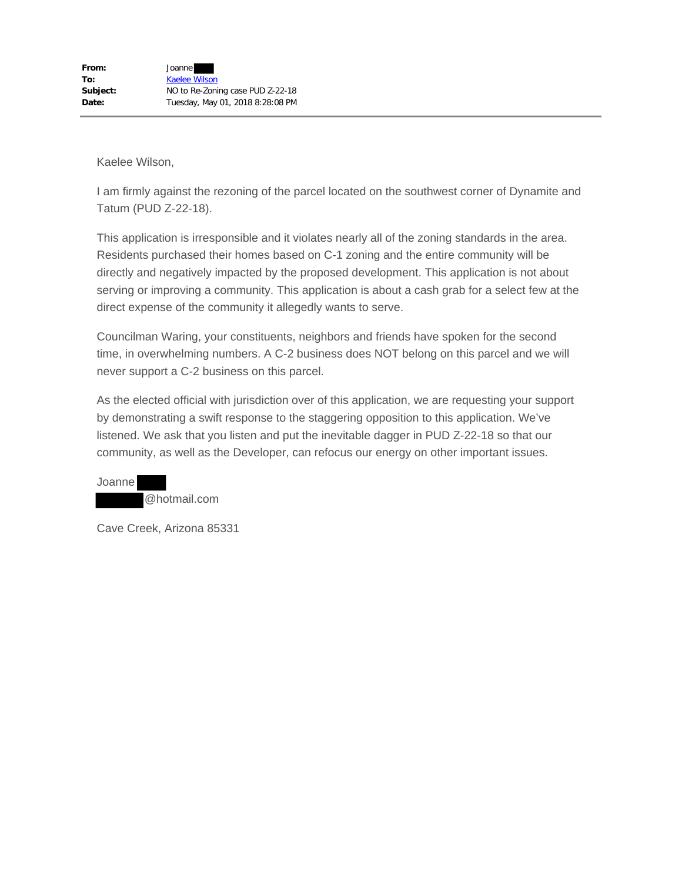I am firmly against the rezoning of the parcel located on the southwest corner of Dynamite and Tatum (PUD Z-22-18).

This application is irresponsible and it violates nearly all of the zoning standards in the area. Residents purchased their homes based on C-1 zoning and the entire community will be directly and negatively impacted by the proposed development. This application is not about serving or improving a community. This application is about a cash grab for a select few at the direct expense of the community it allegedly wants to serve.

Councilman Waring, your constituents, neighbors and friends have spoken for the second time, in overwhelming numbers. A C-2 business does NOT belong on this parcel and we will never support a C-2 business on this parcel.

As the elected official with jurisdiction over of this application, we are requesting your support by demonstrating a swift response to the staggering opposition to this application. We've listened. We ask that you listen and put the inevitable dagger in PUD Z-22-18 so that our community, as well as the Developer, can refocus our energy on other important issues.

Joanne @hotmail.com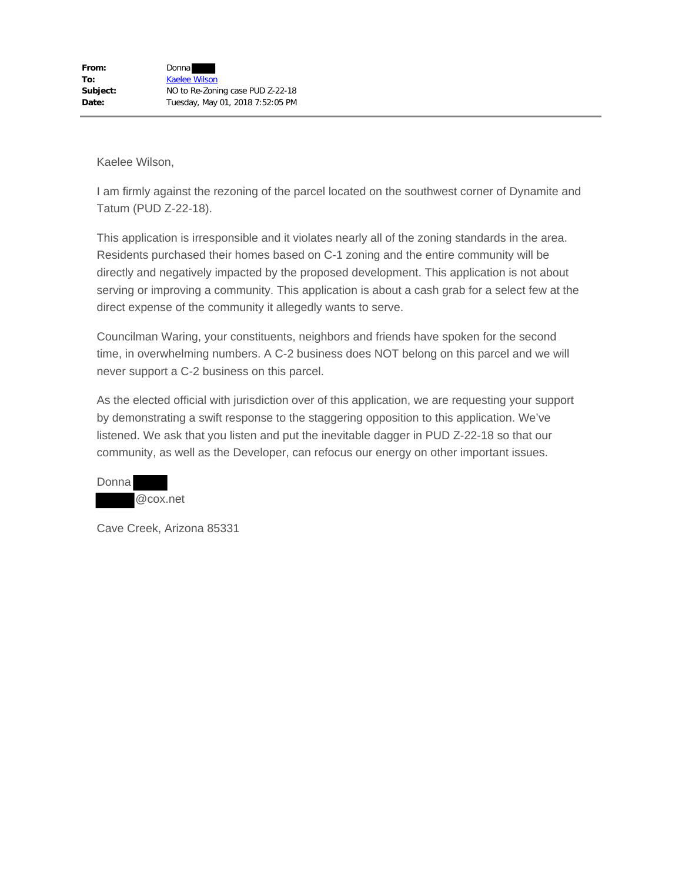I am firmly against the rezoning of the parcel located on the southwest corner of Dynamite and Tatum (PUD Z-22-18).

This application is irresponsible and it violates nearly all of the zoning standards in the area. Residents purchased their homes based on C-1 zoning and the entire community will be directly and negatively impacted by the proposed development. This application is not about serving or improving a community. This application is about a cash grab for a select few at the direct expense of the community it allegedly wants to serve.

Councilman Waring, your constituents, neighbors and friends have spoken for the second time, in overwhelming numbers. A C-2 business does NOT belong on this parcel and we will never support a C-2 business on this parcel.

As the elected official with jurisdiction over of this application, we are requesting your support by demonstrating a swift response to the staggering opposition to this application. We've listened. We ask that you listen and put the inevitable dagger in PUD Z-22-18 so that our community, as well as the Developer, can refocus our energy on other important issues.

| Donna |             |
|-------|-------------|
|       | $@$ cox.net |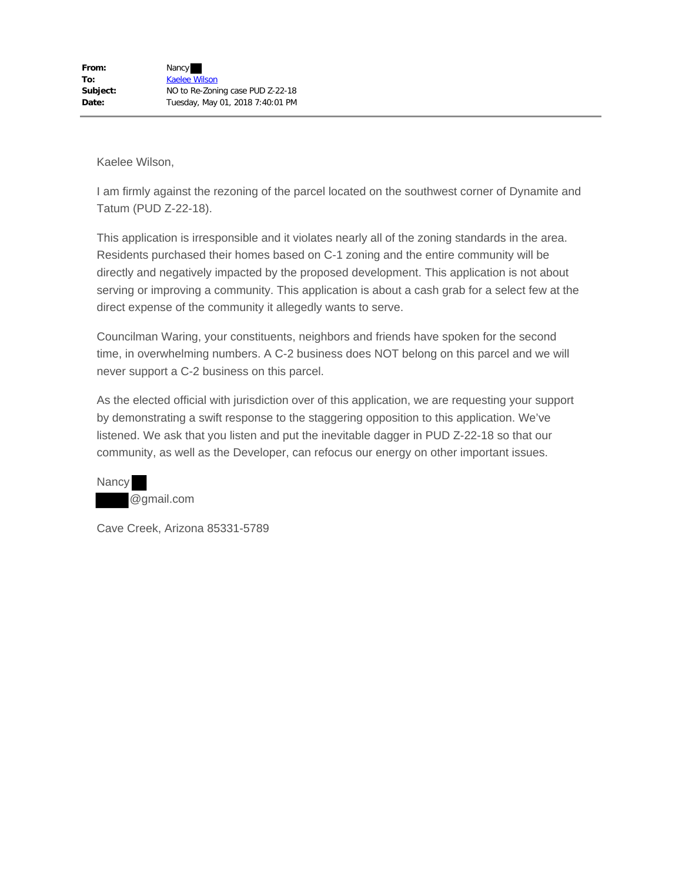I am firmly against the rezoning of the parcel located on the southwest corner of Dynamite and Tatum (PUD Z-22-18).

This application is irresponsible and it violates nearly all of the zoning standards in the area. Residents purchased their homes based on C-1 zoning and the entire community will be directly and negatively impacted by the proposed development. This application is not about serving or improving a community. This application is about a cash grab for a select few at the direct expense of the community it allegedly wants to serve.

Councilman Waring, your constituents, neighbors and friends have spoken for the second time, in overwhelming numbers. A C-2 business does NOT belong on this parcel and we will never support a C-2 business on this parcel.

As the elected official with jurisdiction over of this application, we are requesting your support by demonstrating a swift response to the staggering opposition to this application. We've listened. We ask that you listen and put the inevitable dagger in PUD Z-22-18 so that our community, as well as the Developer, can refocus our energy on other important issues.

Nancy @gmail.com

Cave Creek, Arizona 85331-5789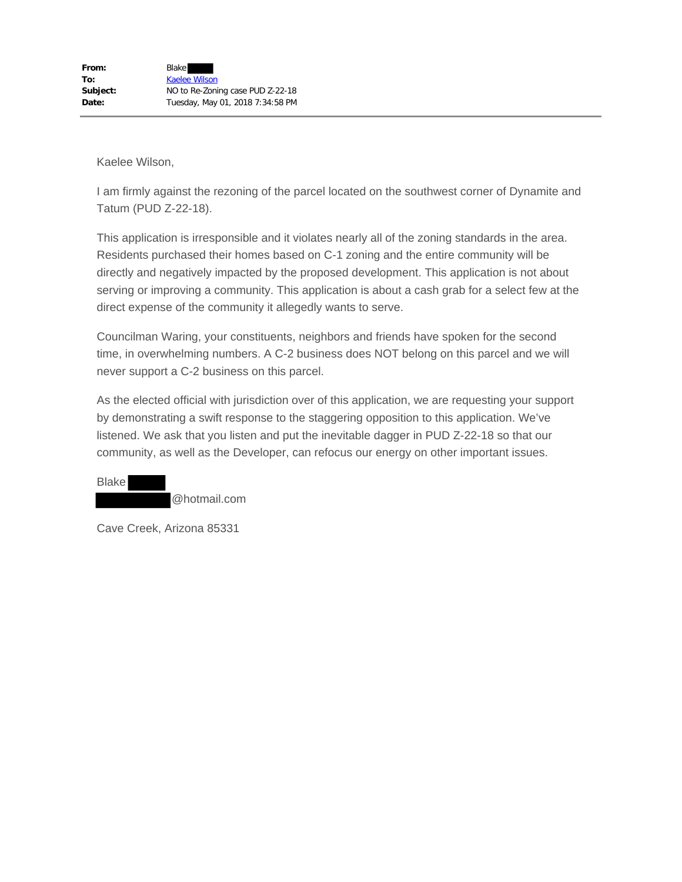I am firmly against the rezoning of the parcel located on the southwest corner of Dynamite and Tatum (PUD Z-22-18).

This application is irresponsible and it violates nearly all of the zoning standards in the area. Residents purchased their homes based on C-1 zoning and the entire community will be directly and negatively impacted by the proposed development. This application is not about serving or improving a community. This application is about a cash grab for a select few at the direct expense of the community it allegedly wants to serve.

Councilman Waring, your constituents, neighbors and friends have spoken for the second time, in overwhelming numbers. A C-2 business does NOT belong on this parcel and we will never support a C-2 business on this parcel.

As the elected official with jurisdiction over of this application, we are requesting your support by demonstrating a swift response to the staggering opposition to this application. We've listened. We ask that you listen and put the inevitable dagger in PUD Z-22-18 so that our community, as well as the Developer, can refocus our energy on other important issues.

Blake @hotmail.com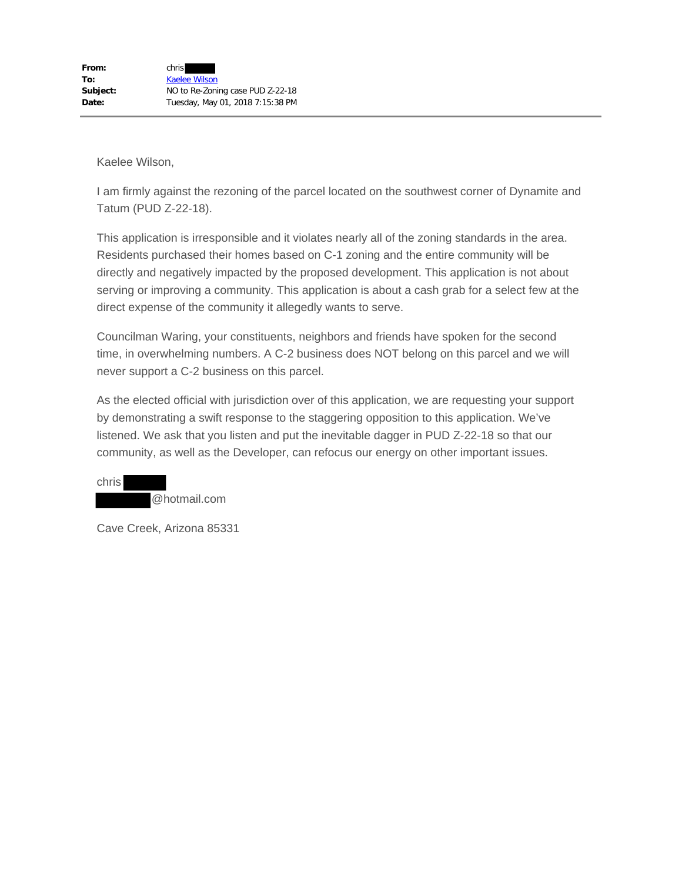I am firmly against the rezoning of the parcel located on the southwest corner of Dynamite and Tatum (PUD Z-22-18).

This application is irresponsible and it violates nearly all of the zoning standards in the area. Residents purchased their homes based on C-1 zoning and the entire community will be directly and negatively impacted by the proposed development. This application is not about serving or improving a community. This application is about a cash grab for a select few at the direct expense of the community it allegedly wants to serve.

Councilman Waring, your constituents, neighbors and friends have spoken for the second time, in overwhelming numbers. A C-2 business does NOT belong on this parcel and we will never support a C-2 business on this parcel.

As the elected official with jurisdiction over of this application, we are requesting your support by demonstrating a swift response to the staggering opposition to this application. We've listened. We ask that you listen and put the inevitable dagger in PUD Z-22-18 so that our community, as well as the Developer, can refocus our energy on other important issues.

chris @hotmail.com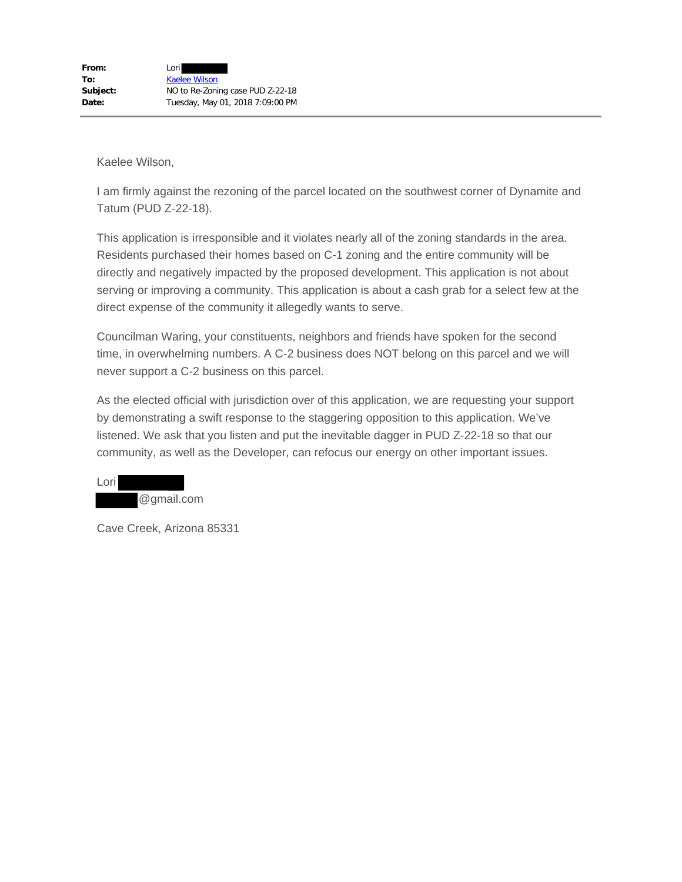I am firmly against the rezoning of the parcel located on the southwest corner of Dynamite and Tatum (PUD Z-22-18).

This application is irresponsible and it violates nearly all of the zoning standards in the area. Residents purchased their homes based on C-1 zoning and the entire community will be directly and negatively impacted by the proposed development. This application is not about serving or improving a community. This application is about a cash grab for a select few at the direct expense of the community it allegedly wants to serve.

Councilman Waring, your constituents, neighbors and friends have spoken for the second time, in overwhelming numbers. A C-2 business does NOT belong on this parcel and we will never support a C-2 business on this parcel.

As the elected official with jurisdiction over of this application, we are requesting your support by demonstrating a swift response to the staggering opposition to this application. We've listened. We ask that you listen and put the inevitable dagger in PUD Z-22-18 so that our community, as well as the Developer, can refocus our energy on other important issues.

Lori @gmail.com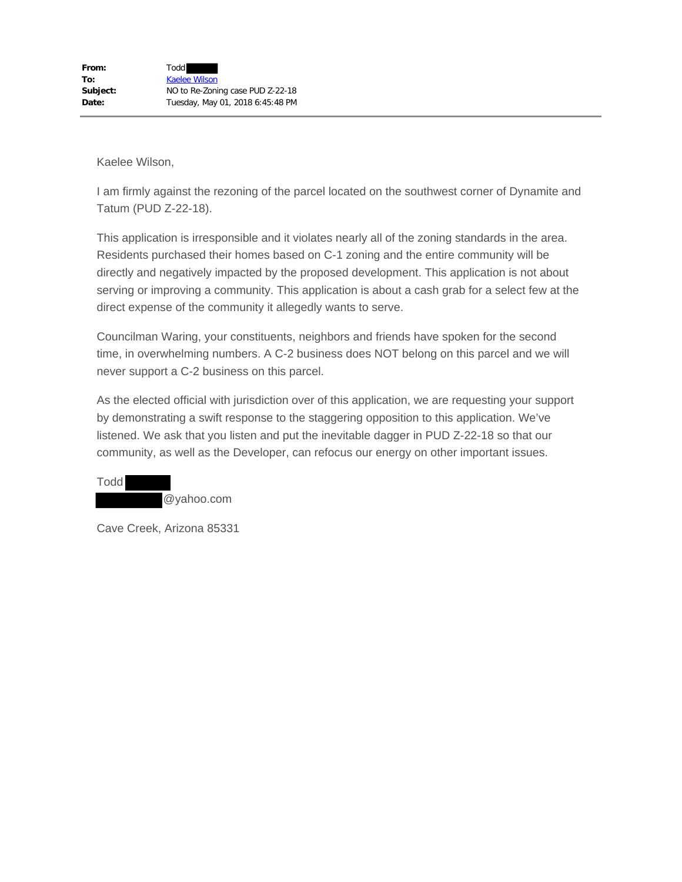I am firmly against the rezoning of the parcel located on the southwest corner of Dynamite and Tatum (PUD Z-22-18).

This application is irresponsible and it violates nearly all of the zoning standards in the area. Residents purchased their homes based on C-1 zoning and the entire community will be directly and negatively impacted by the proposed development. This application is not about serving or improving a community. This application is about a cash grab for a select few at the direct expense of the community it allegedly wants to serve.

Councilman Waring, your constituents, neighbors and friends have spoken for the second time, in overwhelming numbers. A C-2 business does NOT belong on this parcel and we will never support a C-2 business on this parcel.

As the elected official with jurisdiction over of this application, we are requesting your support by demonstrating a swift response to the staggering opposition to this application. We've listened. We ask that you listen and put the inevitable dagger in PUD Z-22-18 so that our community, as well as the Developer, can refocus our energy on other important issues.

Todd @yahoo.com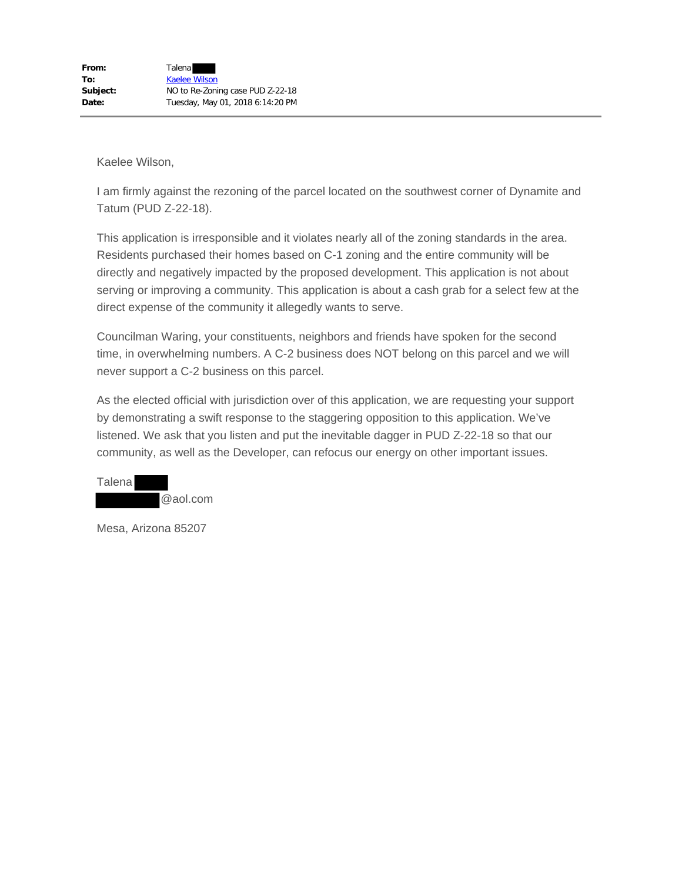I am firmly against the rezoning of the parcel located on the southwest corner of Dynamite and Tatum (PUD Z-22-18).

This application is irresponsible and it violates nearly all of the zoning standards in the area. Residents purchased their homes based on C-1 zoning and the entire community will be directly and negatively impacted by the proposed development. This application is not about serving or improving a community. This application is about a cash grab for a select few at the direct expense of the community it allegedly wants to serve.

Councilman Waring, your constituents, neighbors and friends have spoken for the second time, in overwhelming numbers. A C-2 business does NOT belong on this parcel and we will never support a C-2 business on this parcel.

As the elected official with jurisdiction over of this application, we are requesting your support by demonstrating a swift response to the staggering opposition to this application. We've listened. We ask that you listen and put the inevitable dagger in PUD Z-22-18 so that our community, as well as the Developer, can refocus our energy on other important issues.



Mesa, Arizona 85207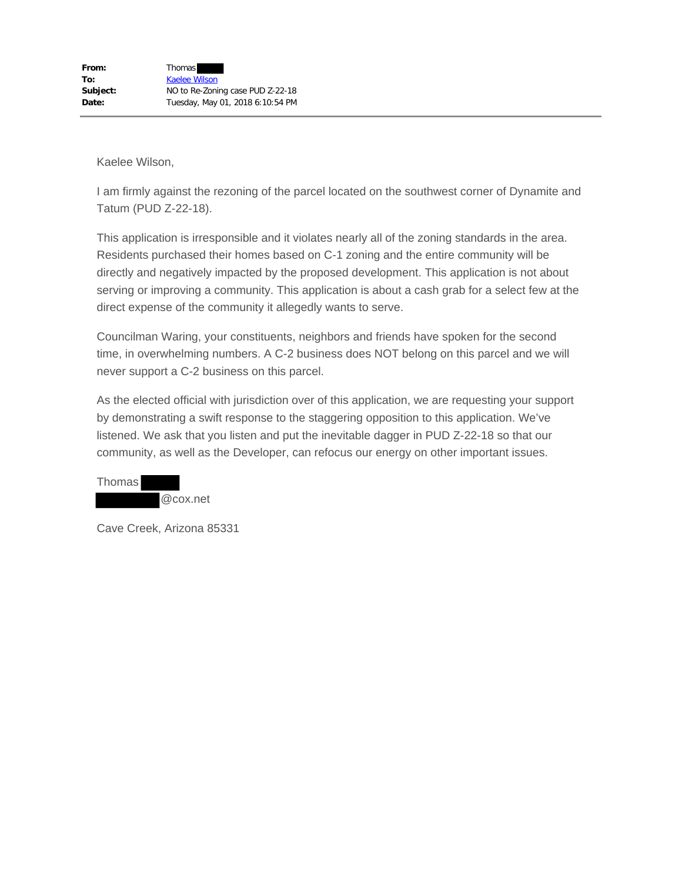I am firmly against the rezoning of the parcel located on the southwest corner of Dynamite and Tatum (PUD Z-22-18).

This application is irresponsible and it violates nearly all of the zoning standards in the area. Residents purchased their homes based on C-1 zoning and the entire community will be directly and negatively impacted by the proposed development. This application is not about serving or improving a community. This application is about a cash grab for a select few at the direct expense of the community it allegedly wants to serve.

Councilman Waring, your constituents, neighbors and friends have spoken for the second time, in overwhelming numbers. A C-2 business does NOT belong on this parcel and we will never support a C-2 business on this parcel.

As the elected official with jurisdiction over of this application, we are requesting your support by demonstrating a swift response to the staggering opposition to this application. We've listened. We ask that you listen and put the inevitable dagger in PUD Z-22-18 so that our community, as well as the Developer, can refocus our energy on other important issues.

| Thomas |          |
|--------|----------|
|        | @cox.net |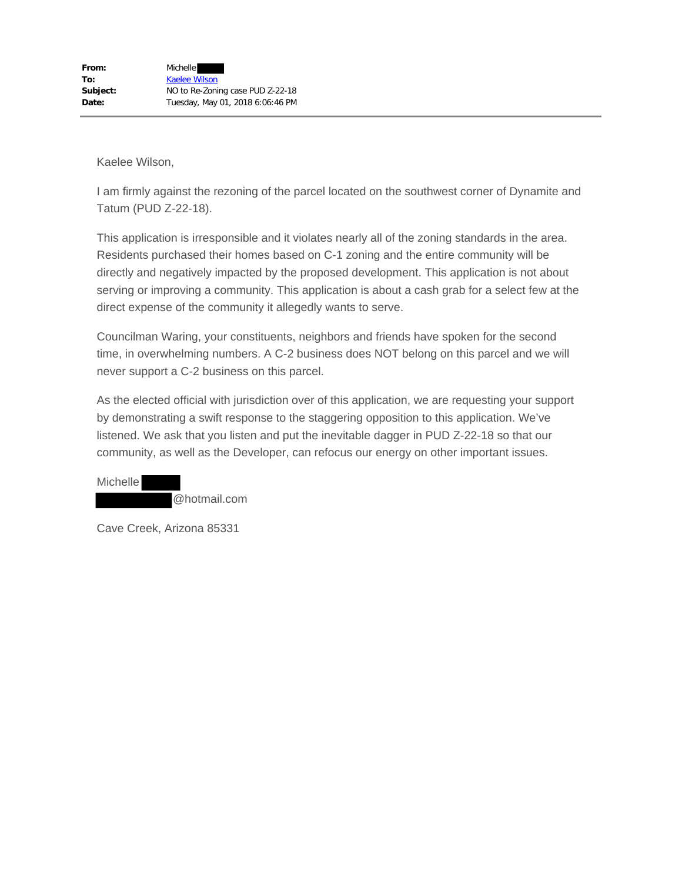I am firmly against the rezoning of the parcel located on the southwest corner of Dynamite and Tatum (PUD Z-22-18).

This application is irresponsible and it violates nearly all of the zoning standards in the area. Residents purchased their homes based on C-1 zoning and the entire community will be directly and negatively impacted by the proposed development. This application is not about serving or improving a community. This application is about a cash grab for a select few at the direct expense of the community it allegedly wants to serve.

Councilman Waring, your constituents, neighbors and friends have spoken for the second time, in overwhelming numbers. A C-2 business does NOT belong on this parcel and we will never support a C-2 business on this parcel.

As the elected official with jurisdiction over of this application, we are requesting your support by demonstrating a swift response to the staggering opposition to this application. We've listened. We ask that you listen and put the inevitable dagger in PUD Z-22-18 so that our community, as well as the Developer, can refocus our energy on other important issues.

Michelle @hotmail.com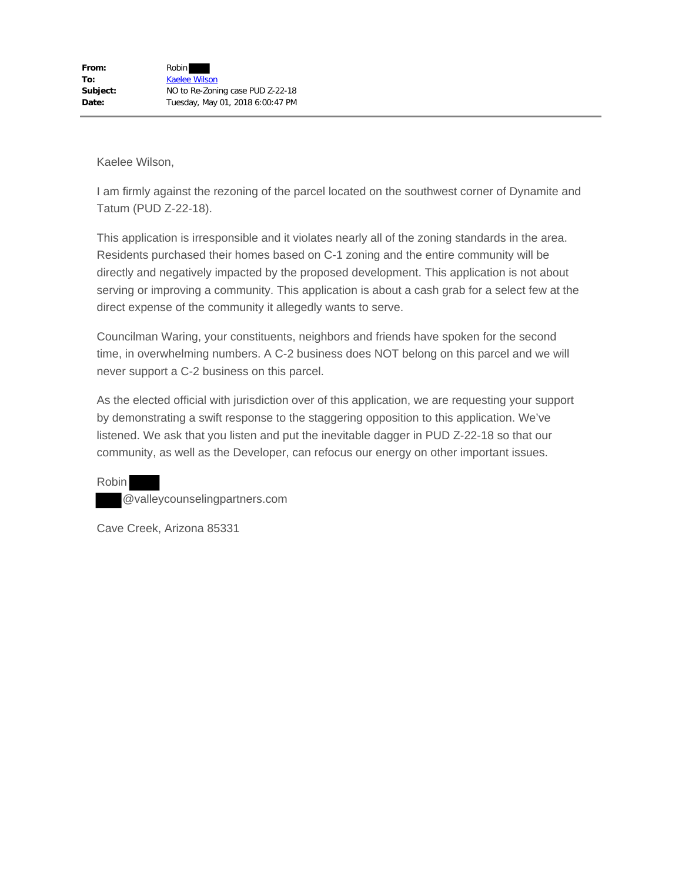I am firmly against the rezoning of the parcel located on the southwest corner of Dynamite and Tatum (PUD Z-22-18).

This application is irresponsible and it violates nearly all of the zoning standards in the area. Residents purchased their homes based on C-1 zoning and the entire community will be directly and negatively impacted by the proposed development. This application is not about serving or improving a community. This application is about a cash grab for a select few at the direct expense of the community it allegedly wants to serve.

Councilman Waring, your constituents, neighbors and friends have spoken for the second time, in overwhelming numbers. A C-2 business does NOT belong on this parcel and we will never support a C-2 business on this parcel.

As the elected official with jurisdiction over of this application, we are requesting your support by demonstrating a swift response to the staggering opposition to this application. We've listened. We ask that you listen and put the inevitable dagger in PUD Z-22-18 so that our community, as well as the Developer, can refocus our energy on other important issues.

Robin @valleycounselingpartners.com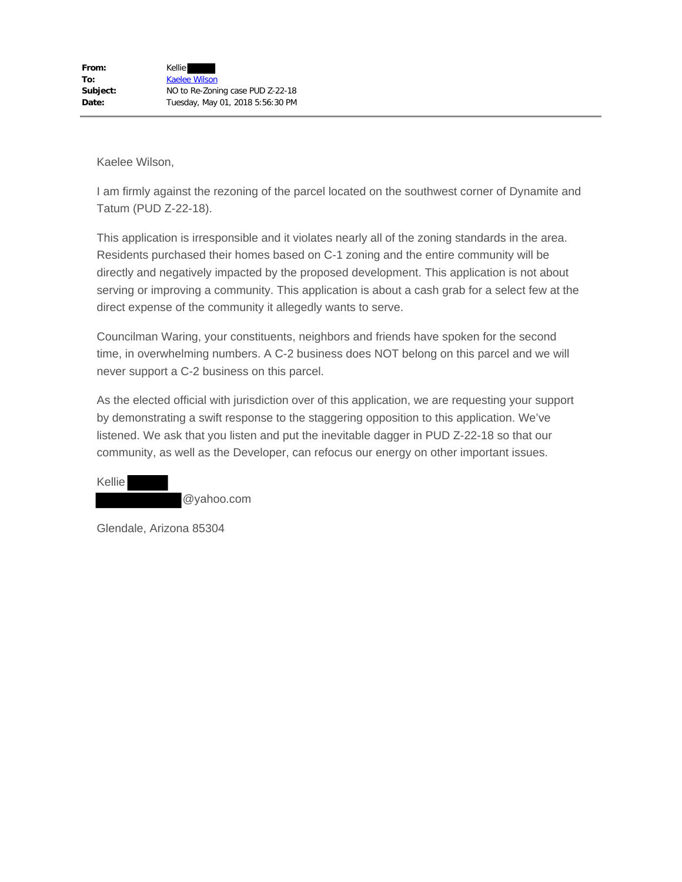I am firmly against the rezoning of the parcel located on the southwest corner of Dynamite and Tatum (PUD Z-22-18).

This application is irresponsible and it violates nearly all of the zoning standards in the area. Residents purchased their homes based on C-1 zoning and the entire community will be directly and negatively impacted by the proposed development. This application is not about serving or improving a community. This application is about a cash grab for a select few at the direct expense of the community it allegedly wants to serve.

Councilman Waring, your constituents, neighbors and friends have spoken for the second time, in overwhelming numbers. A C-2 business does NOT belong on this parcel and we will never support a C-2 business on this parcel.

As the elected official with jurisdiction over of this application, we are requesting your support by demonstrating a swift response to the staggering opposition to this application. We've listened. We ask that you listen and put the inevitable dagger in PUD Z-22-18 so that our community, as well as the Developer, can refocus our energy on other important issues.

Kellie @yahoo.com

Glendale, Arizona 85304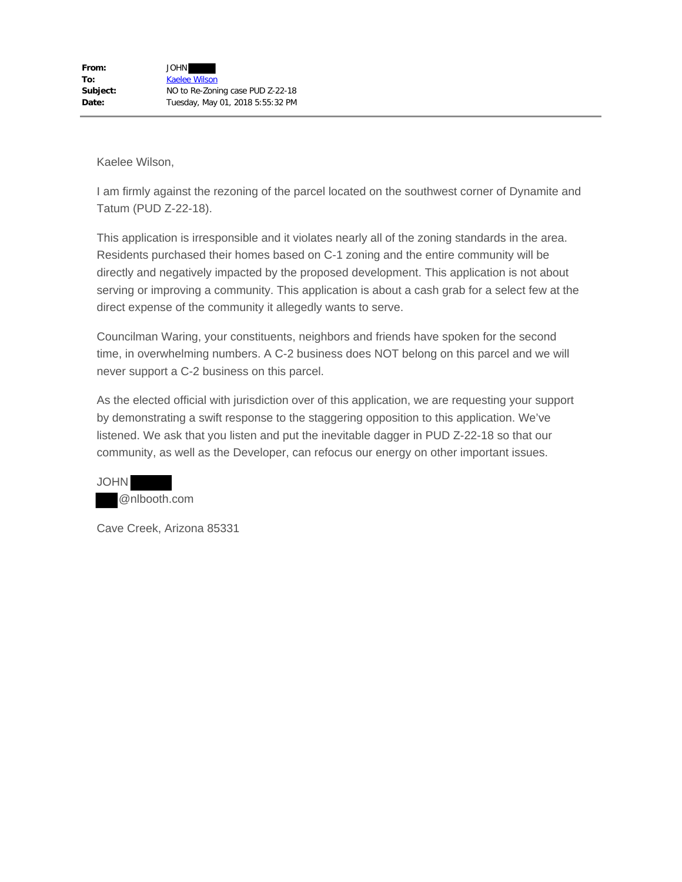I am firmly against the rezoning of the parcel located on the southwest corner of Dynamite and Tatum (PUD Z-22-18).

This application is irresponsible and it violates nearly all of the zoning standards in the area. Residents purchased their homes based on C-1 zoning and the entire community will be directly and negatively impacted by the proposed development. This application is not about serving or improving a community. This application is about a cash grab for a select few at the direct expense of the community it allegedly wants to serve.

Councilman Waring, your constituents, neighbors and friends have spoken for the second time, in overwhelming numbers. A C-2 business does NOT belong on this parcel and we will never support a C-2 business on this parcel.

As the elected official with jurisdiction over of this application, we are requesting your support by demonstrating a swift response to the staggering opposition to this application. We've listened. We ask that you listen and put the inevitable dagger in PUD Z-22-18 so that our community, as well as the Developer, can refocus our energy on other important issues.

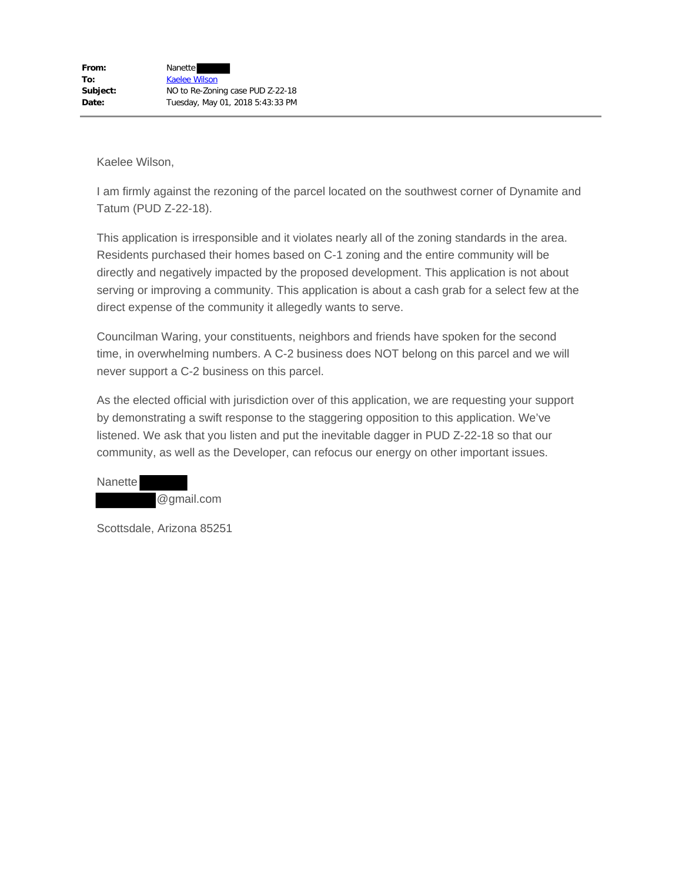I am firmly against the rezoning of the parcel located on the southwest corner of Dynamite and Tatum (PUD Z-22-18).

This application is irresponsible and it violates nearly all of the zoning standards in the area. Residents purchased their homes based on C-1 zoning and the entire community will be directly and negatively impacted by the proposed development. This application is not about serving or improving a community. This application is about a cash grab for a select few at the direct expense of the community it allegedly wants to serve.

Councilman Waring, your constituents, neighbors and friends have spoken for the second time, in overwhelming numbers. A C-2 business does NOT belong on this parcel and we will never support a C-2 business on this parcel.

As the elected official with jurisdiction over of this application, we are requesting your support by demonstrating a swift response to the staggering opposition to this application. We've listened. We ask that you listen and put the inevitable dagger in PUD Z-22-18 so that our community, as well as the Developer, can refocus our energy on other important issues.

**Nanette** @gmail.com

Scottsdale, Arizona 85251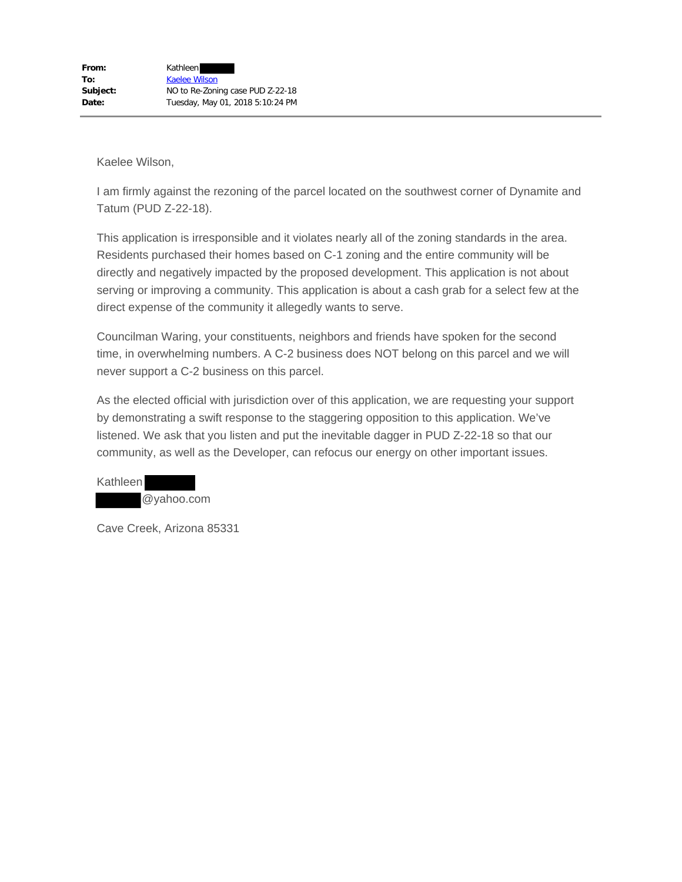I am firmly against the rezoning of the parcel located on the southwest corner of Dynamite and Tatum (PUD Z-22-18).

This application is irresponsible and it violates nearly all of the zoning standards in the area. Residents purchased their homes based on C-1 zoning and the entire community will be directly and negatively impacted by the proposed development. This application is not about serving or improving a community. This application is about a cash grab for a select few at the direct expense of the community it allegedly wants to serve.

Councilman Waring, your constituents, neighbors and friends have spoken for the second time, in overwhelming numbers. A C-2 business does NOT belong on this parcel and we will never support a C-2 business on this parcel.

As the elected official with jurisdiction over of this application, we are requesting your support by demonstrating a swift response to the staggering opposition to this application. We've listened. We ask that you listen and put the inevitable dagger in PUD Z-22-18 so that our community, as well as the Developer, can refocus our energy on other important issues.

Kathleen @yahoo.com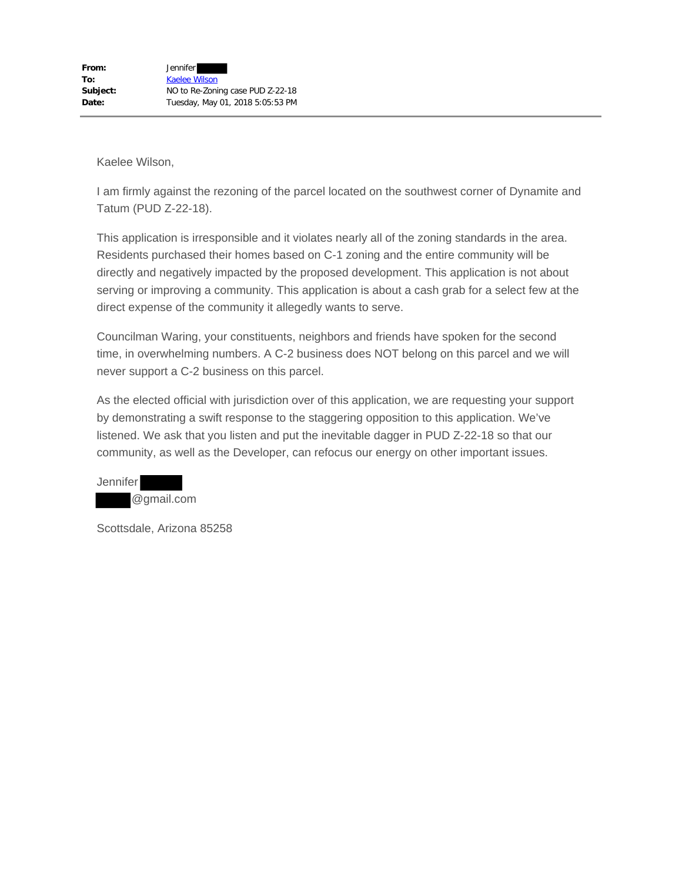I am firmly against the rezoning of the parcel located on the southwest corner of Dynamite and Tatum (PUD Z-22-18).

This application is irresponsible and it violates nearly all of the zoning standards in the area. Residents purchased their homes based on C-1 zoning and the entire community will be directly and negatively impacted by the proposed development. This application is not about serving or improving a community. This application is about a cash grab for a select few at the direct expense of the community it allegedly wants to serve.

Councilman Waring, your constituents, neighbors and friends have spoken for the second time, in overwhelming numbers. A C-2 business does NOT belong on this parcel and we will never support a C-2 business on this parcel.

As the elected official with jurisdiction over of this application, we are requesting your support by demonstrating a swift response to the staggering opposition to this application. We've listened. We ask that you listen and put the inevitable dagger in PUD Z-22-18 so that our community, as well as the Developer, can refocus our energy on other important issues.

Jennifer @gmail.com

Scottsdale, Arizona 85258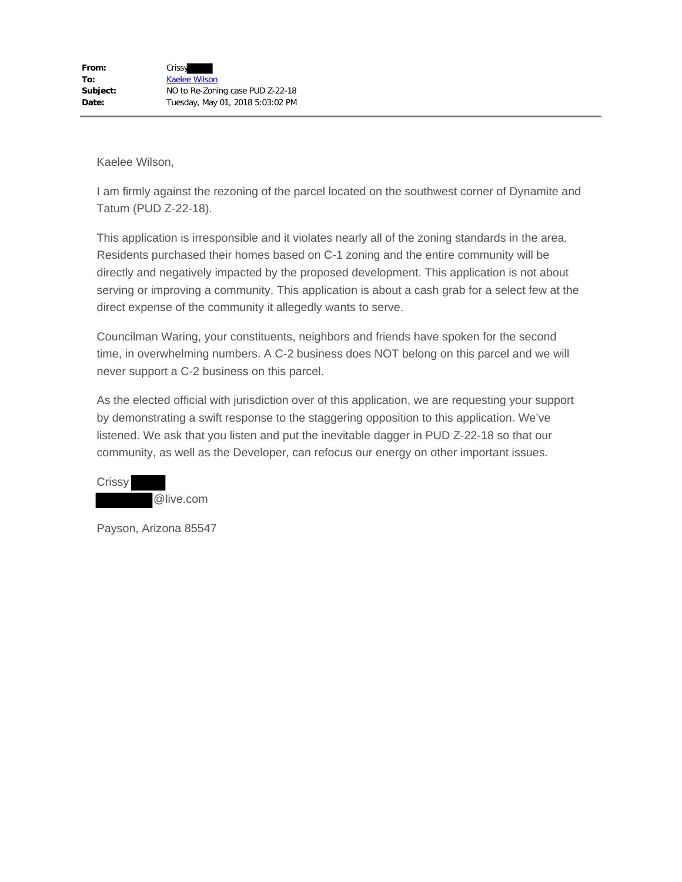I am firmly against the rezoning of the parcel located on the southwest corner of Dynamite and Tatum (PUD Z-22-18).

This application is irresponsible and it violates nearly all of the zoning standards in the area. Residents purchased their homes based on C-1 zoning and the entire community will be directly and negatively impacted by the proposed development. This application is not about serving or improving a community. This application is about a cash grab for a select few at the direct expense of the community it allegedly wants to serve.

Councilman Waring, your constituents, neighbors and friends have spoken for the second time, in overwhelming numbers. A C-2 business does NOT belong on this parcel and we will never support a C-2 business on this parcel.

As the elected official with jurisdiction over of this application, we are requesting your support by demonstrating a swift response to the staggering opposition to this application. We've listened. We ask that you listen and put the inevitable dagger in PUD Z-22-18 so that our community, as well as the Developer, can refocus our energy on other important issues.



Payson, Arizona 85547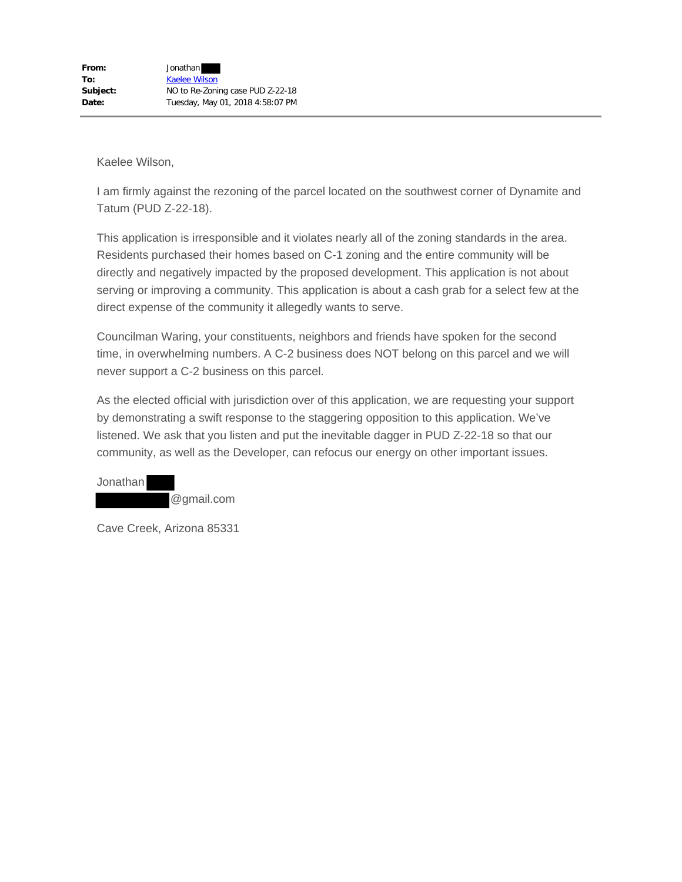I am firmly against the rezoning of the parcel located on the southwest corner of Dynamite and Tatum (PUD Z-22-18).

This application is irresponsible and it violates nearly all of the zoning standards in the area. Residents purchased their homes based on C-1 zoning and the entire community will be directly and negatively impacted by the proposed development. This application is not about serving or improving a community. This application is about a cash grab for a select few at the direct expense of the community it allegedly wants to serve.

Councilman Waring, your constituents, neighbors and friends have spoken for the second time, in overwhelming numbers. A C-2 business does NOT belong on this parcel and we will never support a C-2 business on this parcel.

As the elected official with jurisdiction over of this application, we are requesting your support by demonstrating a swift response to the staggering opposition to this application. We've listened. We ask that you listen and put the inevitable dagger in PUD Z-22-18 so that our community, as well as the Developer, can refocus our energy on other important issues.

Jonathan @gmail.com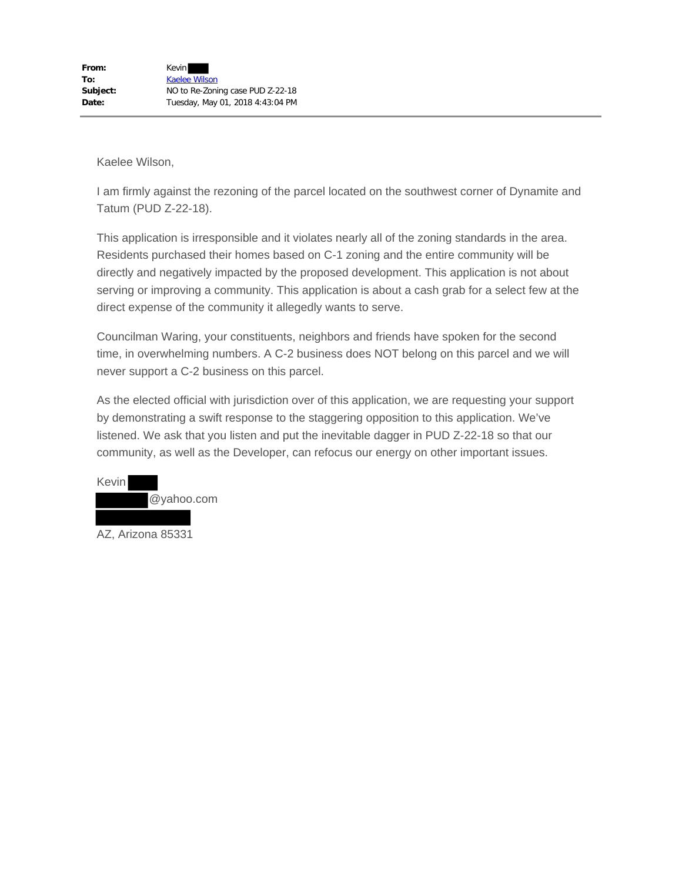I am firmly against the rezoning of the parcel located on the southwest corner of Dynamite and Tatum (PUD Z-22-18).

This application is irresponsible and it violates nearly all of the zoning standards in the area. Residents purchased their homes based on C-1 zoning and the entire community will be directly and negatively impacted by the proposed development. This application is not about serving or improving a community. This application is about a cash grab for a select few at the direct expense of the community it allegedly wants to serve.

Councilman Waring, your constituents, neighbors and friends have spoken for the second time, in overwhelming numbers. A C-2 business does NOT belong on this parcel and we will never support a C-2 business on this parcel.

As the elected official with jurisdiction over of this application, we are requesting your support by demonstrating a swift response to the staggering opposition to this application. We've listened. We ask that you listen and put the inevitable dagger in PUD Z-22-18 so that our community, as well as the Developer, can refocus our energy on other important issues.

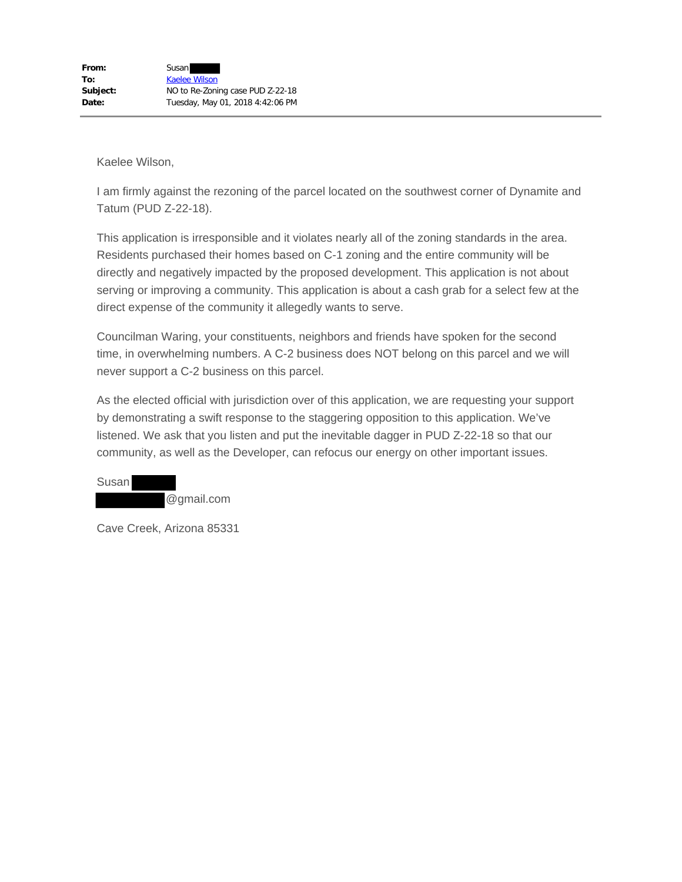I am firmly against the rezoning of the parcel located on the southwest corner of Dynamite and Tatum (PUD Z-22-18).

This application is irresponsible and it violates nearly all of the zoning standards in the area. Residents purchased their homes based on C-1 zoning and the entire community will be directly and negatively impacted by the proposed development. This application is not about serving or improving a community. This application is about a cash grab for a select few at the direct expense of the community it allegedly wants to serve.

Councilman Waring, your constituents, neighbors and friends have spoken for the second time, in overwhelming numbers. A C-2 business does NOT belong on this parcel and we will never support a C-2 business on this parcel.

As the elected official with jurisdiction over of this application, we are requesting your support by demonstrating a swift response to the staggering opposition to this application. We've listened. We ask that you listen and put the inevitable dagger in PUD Z-22-18 so that our community, as well as the Developer, can refocus our energy on other important issues.

Susan @gmail.com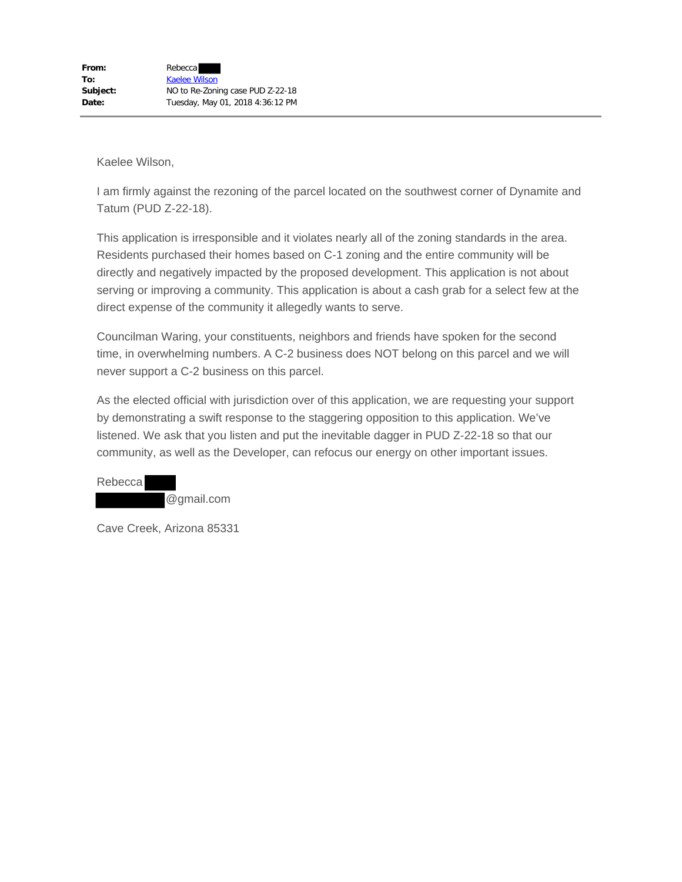I am firmly against the rezoning of the parcel located on the southwest corner of Dynamite and Tatum (PUD Z-22-18).

This application is irresponsible and it violates nearly all of the zoning standards in the area. Residents purchased their homes based on C-1 zoning and the entire community will be directly and negatively impacted by the proposed development. This application is not about serving or improving a community. This application is about a cash grab for a select few at the direct expense of the community it allegedly wants to serve.

Councilman Waring, your constituents, neighbors and friends have spoken for the second time, in overwhelming numbers. A C-2 business does NOT belong on this parcel and we will never support a C-2 business on this parcel.

As the elected official with jurisdiction over of this application, we are requesting your support by demonstrating a swift response to the staggering opposition to this application. We've listened. We ask that you listen and put the inevitable dagger in PUD Z-22-18 so that our community, as well as the Developer, can refocus our energy on other important issues.

Rebecca @gmail.com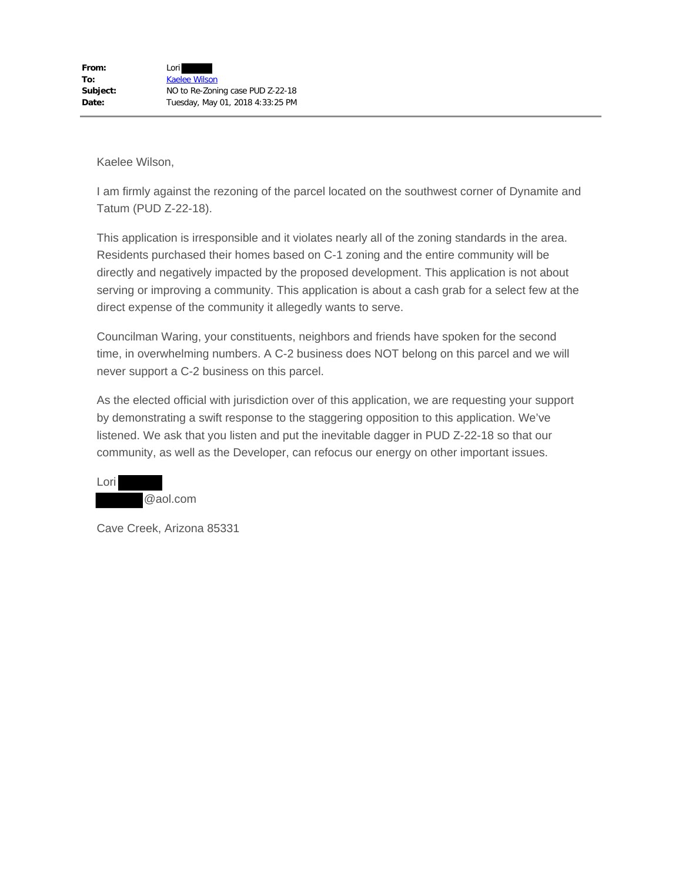I am firmly against the rezoning of the parcel located on the southwest corner of Dynamite and Tatum (PUD Z-22-18).

This application is irresponsible and it violates nearly all of the zoning standards in the area. Residents purchased their homes based on C-1 zoning and the entire community will be directly and negatively impacted by the proposed development. This application is not about serving or improving a community. This application is about a cash grab for a select few at the direct expense of the community it allegedly wants to serve.

Councilman Waring, your constituents, neighbors and friends have spoken for the second time, in overwhelming numbers. A C-2 business does NOT belong on this parcel and we will never support a C-2 business on this parcel.

As the elected official with jurisdiction over of this application, we are requesting your support by demonstrating a swift response to the staggering opposition to this application. We've listened. We ask that you listen and put the inevitable dagger in PUD Z-22-18 so that our community, as well as the Developer, can refocus our energy on other important issues.

| Lori |          |
|------|----------|
|      | @aol.com |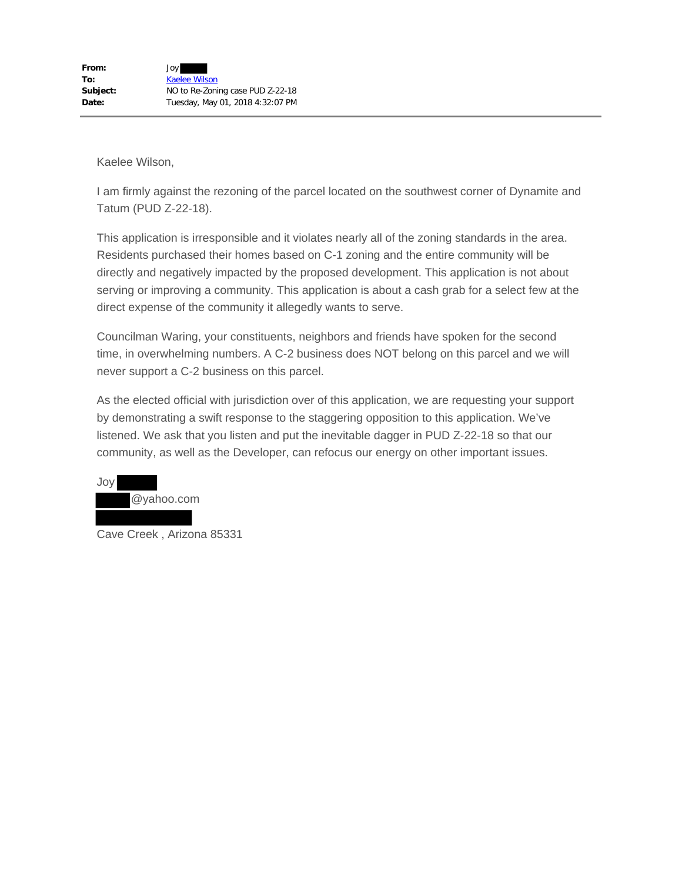I am firmly against the rezoning of the parcel located on the southwest corner of Dynamite and Tatum (PUD Z-22-18).

This application is irresponsible and it violates nearly all of the zoning standards in the area. Residents purchased their homes based on C-1 zoning and the entire community will be directly and negatively impacted by the proposed development. This application is not about serving or improving a community. This application is about a cash grab for a select few at the direct expense of the community it allegedly wants to serve.

Councilman Waring, your constituents, neighbors and friends have spoken for the second time, in overwhelming numbers. A C-2 business does NOT belong on this parcel and we will never support a C-2 business on this parcel.

As the elected official with jurisdiction over of this application, we are requesting your support by demonstrating a swift response to the staggering opposition to this application. We've listened. We ask that you listen and put the inevitable dagger in PUD Z-22-18 so that our community, as well as the Developer, can refocus our energy on other important issues.



Cave Creek , Arizona 85331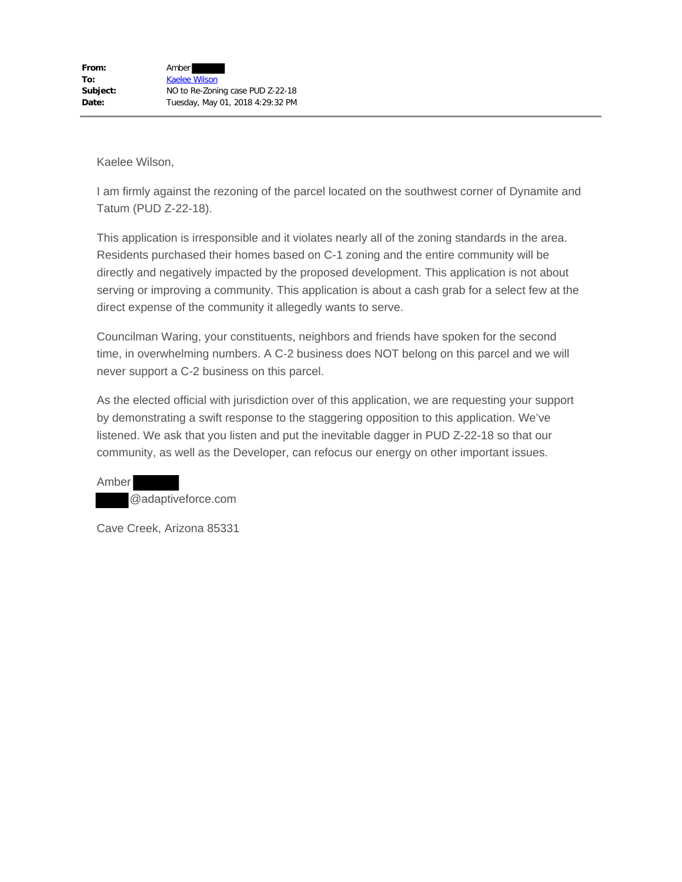I am firmly against the rezoning of the parcel located on the southwest corner of Dynamite and Tatum (PUD Z-22-18).

This application is irresponsible and it violates nearly all of the zoning standards in the area. Residents purchased their homes based on C-1 zoning and the entire community will be directly and negatively impacted by the proposed development. This application is not about serving or improving a community. This application is about a cash grab for a select few at the direct expense of the community it allegedly wants to serve.

Councilman Waring, your constituents, neighbors and friends have spoken for the second time, in overwhelming numbers. A C-2 business does NOT belong on this parcel and we will never support a C-2 business on this parcel.

As the elected official with jurisdiction over of this application, we are requesting your support by demonstrating a swift response to the staggering opposition to this application. We've listened. We ask that you listen and put the inevitable dagger in PUD Z-22-18 so that our community, as well as the Developer, can refocus our energy on other important issues.

Amber @adaptiveforce.com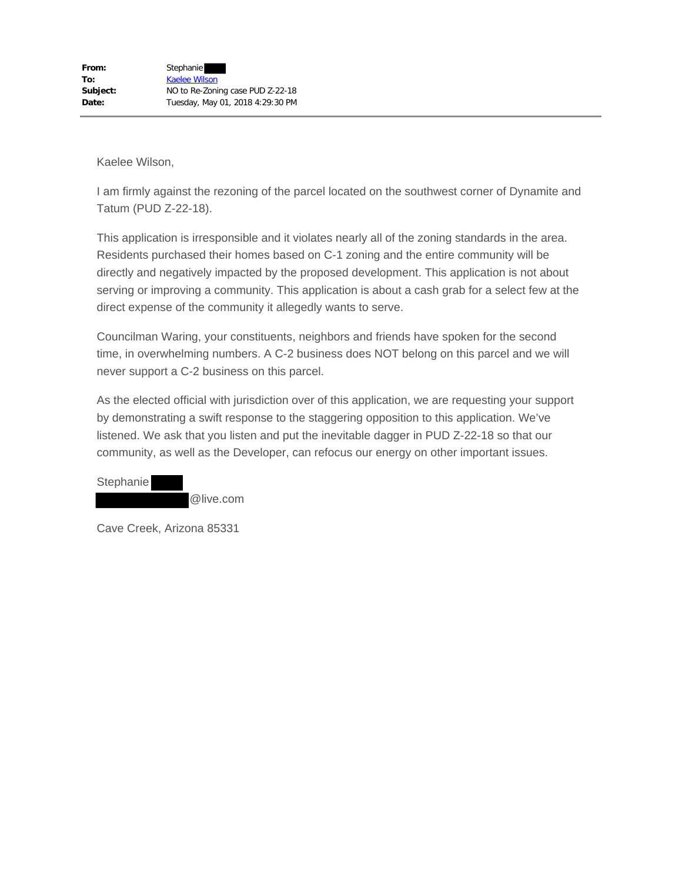I am firmly against the rezoning of the parcel located on the southwest corner of Dynamite and Tatum (PUD Z-22-18).

This application is irresponsible and it violates nearly all of the zoning standards in the area. Residents purchased their homes based on C-1 zoning and the entire community will be directly and negatively impacted by the proposed development. This application is not about serving or improving a community. This application is about a cash grab for a select few at the direct expense of the community it allegedly wants to serve.

Councilman Waring, your constituents, neighbors and friends have spoken for the second time, in overwhelming numbers. A C-2 business does NOT belong on this parcel and we will never support a C-2 business on this parcel.

As the elected official with jurisdiction over of this application, we are requesting your support by demonstrating a swift response to the staggering opposition to this application. We've listened. We ask that you listen and put the inevitable dagger in PUD Z-22-18 so that our community, as well as the Developer, can refocus our energy on other important issues.

**Stephanie** @live.com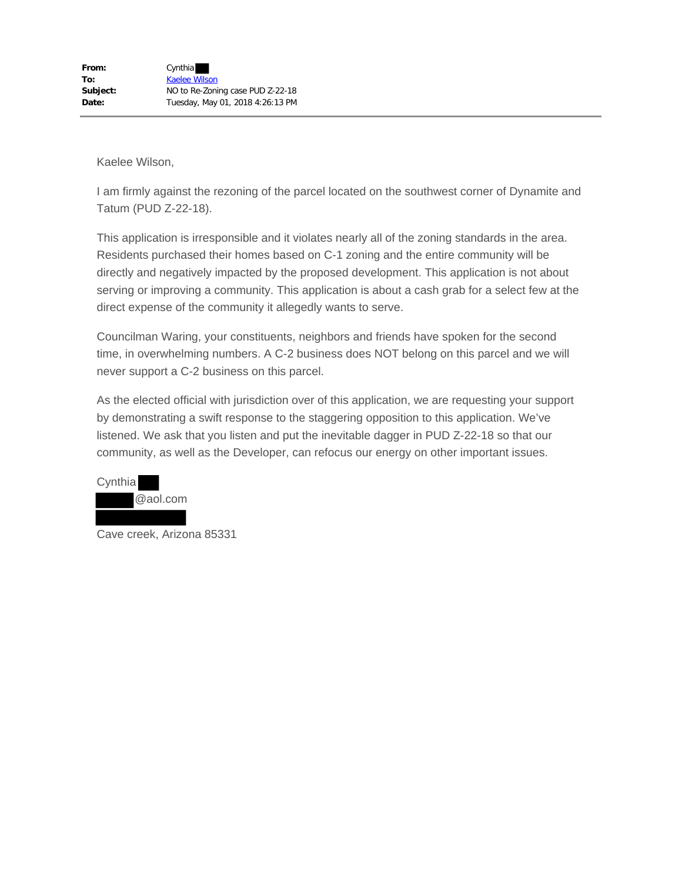I am firmly against the rezoning of the parcel located on the southwest corner of Dynamite and Tatum (PUD Z-22-18).

This application is irresponsible and it violates nearly all of the zoning standards in the area. Residents purchased their homes based on C-1 zoning and the entire community will be directly and negatively impacted by the proposed development. This application is not about serving or improving a community. This application is about a cash grab for a select few at the direct expense of the community it allegedly wants to serve.

Councilman Waring, your constituents, neighbors and friends have spoken for the second time, in overwhelming numbers. A C-2 business does NOT belong on this parcel and we will never support a C-2 business on this parcel.

As the elected official with jurisdiction over of this application, we are requesting your support by demonstrating a swift response to the staggering opposition to this application. We've listened. We ask that you listen and put the inevitable dagger in PUD Z-22-18 so that our community, as well as the Developer, can refocus our energy on other important issues.

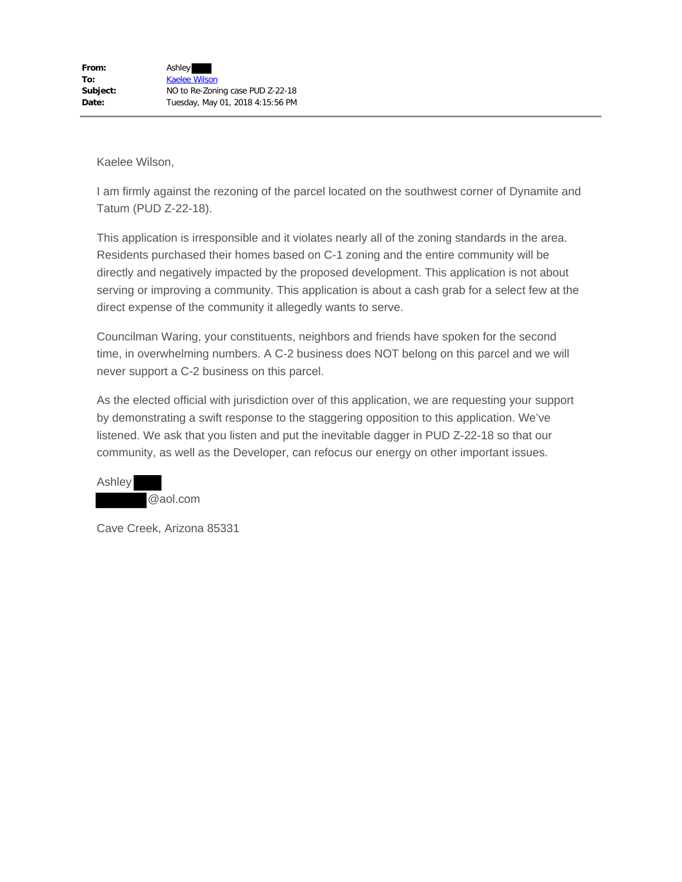I am firmly against the rezoning of the parcel located on the southwest corner of Dynamite and Tatum (PUD Z-22-18).

This application is irresponsible and it violates nearly all of the zoning standards in the area. Residents purchased their homes based on C-1 zoning and the entire community will be directly and negatively impacted by the proposed development. This application is not about serving or improving a community. This application is about a cash grab for a select few at the direct expense of the community it allegedly wants to serve.

Councilman Waring, your constituents, neighbors and friends have spoken for the second time, in overwhelming numbers. A C-2 business does NOT belong on this parcel and we will never support a C-2 business on this parcel.

As the elected official with jurisdiction over of this application, we are requesting your support by demonstrating a swift response to the staggering opposition to this application. We've listened. We ask that you listen and put the inevitable dagger in PUD Z-22-18 so that our community, as well as the Developer, can refocus our energy on other important issues.

Ashley @aol.com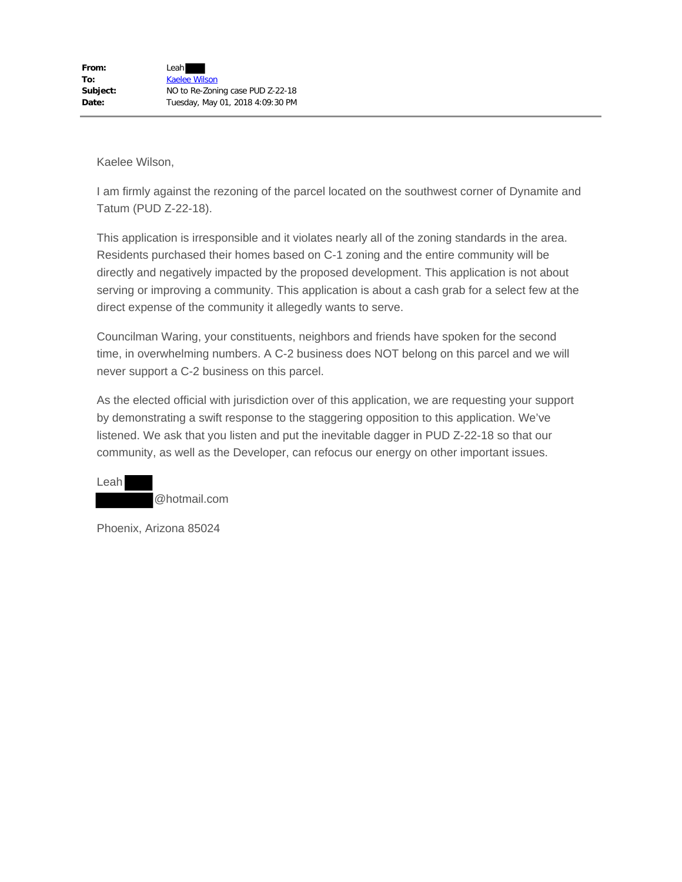I am firmly against the rezoning of the parcel located on the southwest corner of Dynamite and Tatum (PUD Z-22-18).

This application is irresponsible and it violates nearly all of the zoning standards in the area. Residents purchased their homes based on C-1 zoning and the entire community will be directly and negatively impacted by the proposed development. This application is not about serving or improving a community. This application is about a cash grab for a select few at the direct expense of the community it allegedly wants to serve.

Councilman Waring, your constituents, neighbors and friends have spoken for the second time, in overwhelming numbers. A C-2 business does NOT belong on this parcel and we will never support a C-2 business on this parcel.

As the elected official with jurisdiction over of this application, we are requesting your support by demonstrating a swift response to the staggering opposition to this application. We've listened. We ask that you listen and put the inevitable dagger in PUD Z-22-18 so that our community, as well as the Developer, can refocus our energy on other important issues.

@hotmail.com

Phoenix, Arizona 85024

Leah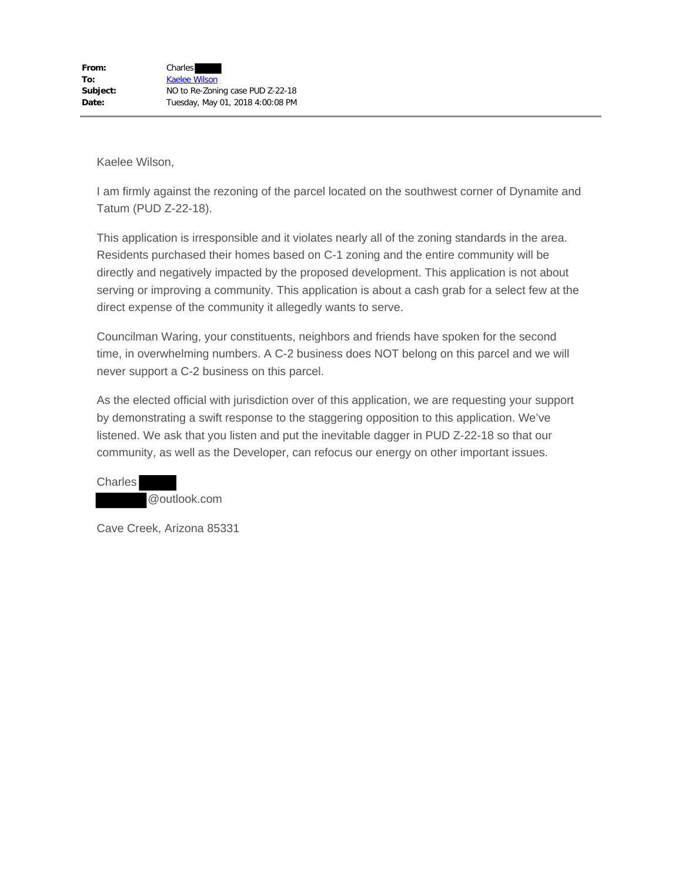I am firmly against the rezoning of the parcel located on the southwest corner of Dynamite and Tatum (PUD Z-22-18).

This application is irresponsible and it violates nearly all of the zoning standards in the area. Residents purchased their homes based on C-1 zoning and the entire community will be directly and negatively impacted by the proposed development. This application is not about serving or improving a community. This application is about a cash grab for a select few at the direct expense of the community it allegedly wants to serve.

Councilman Waring, your constituents, neighbors and friends have spoken for the second time, in overwhelming numbers. A C-2 business does NOT belong on this parcel and we will never support a C-2 business on this parcel.

As the elected official with jurisdiction over of this application, we are requesting your support by demonstrating a swift response to the staggering opposition to this application. We've listened. We ask that you listen and put the inevitable dagger in PUD Z-22-18 so that our community, as well as the Developer, can refocus our energy on other important issues.

**Charles** @outlook.com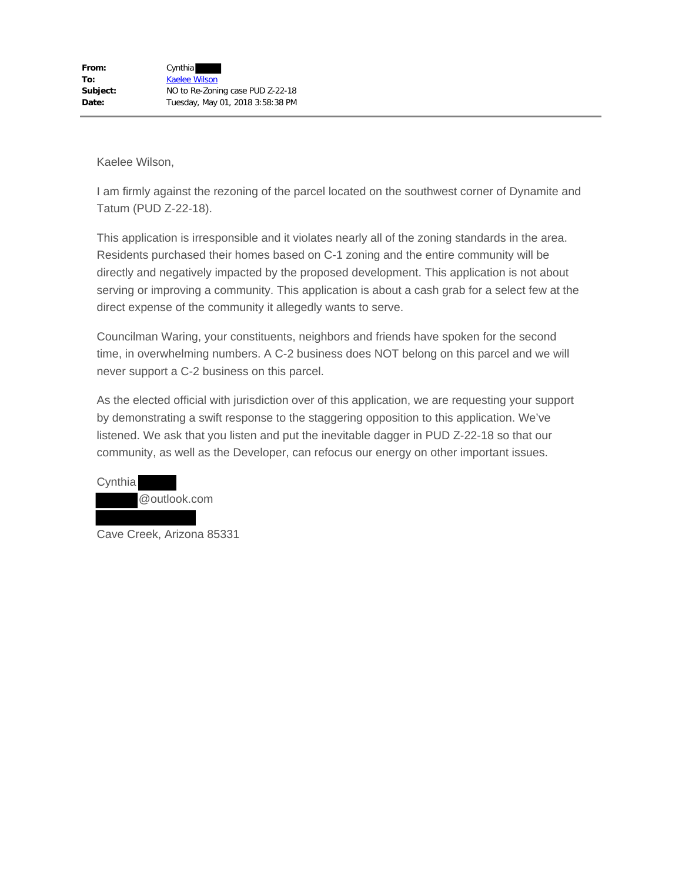I am firmly against the rezoning of the parcel located on the southwest corner of Dynamite and Tatum (PUD Z-22-18).

This application is irresponsible and it violates nearly all of the zoning standards in the area. Residents purchased their homes based on C-1 zoning and the entire community will be directly and negatively impacted by the proposed development. This application is not about serving or improving a community. This application is about a cash grab for a select few at the direct expense of the community it allegedly wants to serve.

Councilman Waring, your constituents, neighbors and friends have spoken for the second time, in overwhelming numbers. A C-2 business does NOT belong on this parcel and we will never support a C-2 business on this parcel.

As the elected official with jurisdiction over of this application, we are requesting your support by demonstrating a swift response to the staggering opposition to this application. We've listened. We ask that you listen and put the inevitable dagger in PUD Z-22-18 so that our community, as well as the Developer, can refocus our energy on other important issues.



Cave Creek, Arizona 85331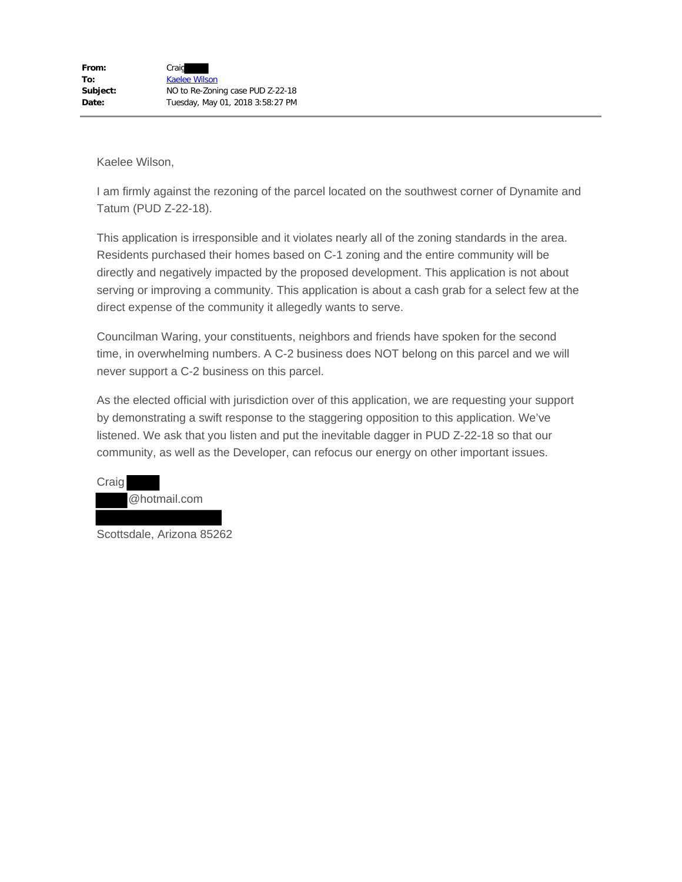I am firmly against the rezoning of the parcel located on the southwest corner of Dynamite and Tatum (PUD Z-22-18).

This application is irresponsible and it violates nearly all of the zoning standards in the area. Residents purchased their homes based on C-1 zoning and the entire community will be directly and negatively impacted by the proposed development. This application is not about serving or improving a community. This application is about a cash grab for a select few at the direct expense of the community it allegedly wants to serve.

Councilman Waring, your constituents, neighbors and friends have spoken for the second time, in overwhelming numbers. A C-2 business does NOT belong on this parcel and we will never support a C-2 business on this parcel.

As the elected official with jurisdiction over of this application, we are requesting your support by demonstrating a swift response to the staggering opposition to this application. We've listened. We ask that you listen and put the inevitable dagger in PUD Z-22-18 so that our community, as well as the Developer, can refocus our energy on other important issues.



Scottsdale, Arizona 85262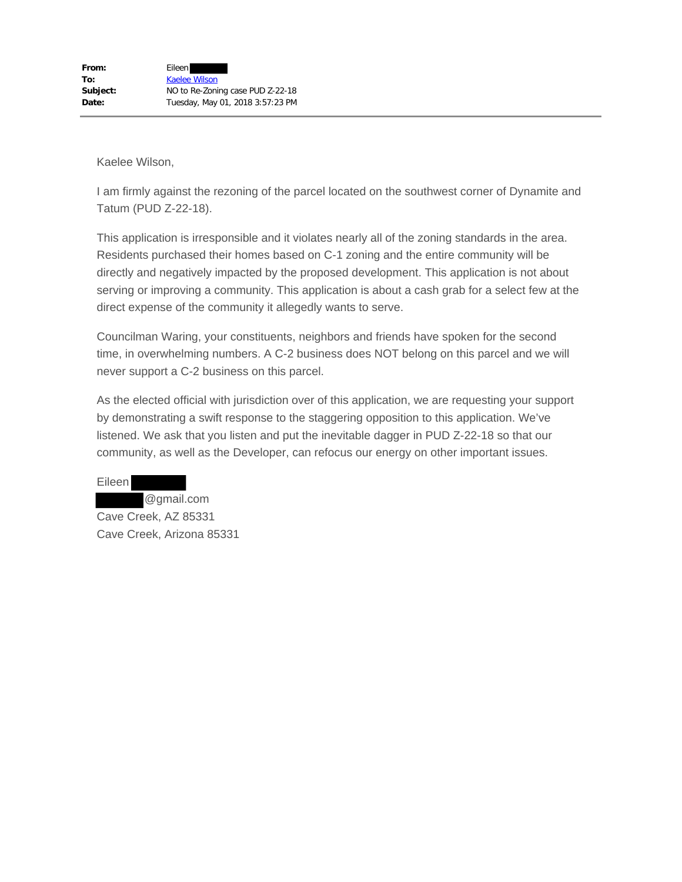I am firmly against the rezoning of the parcel located on the southwest corner of Dynamite and Tatum (PUD Z-22-18).

This application is irresponsible and it violates nearly all of the zoning standards in the area. Residents purchased their homes based on C-1 zoning and the entire community will be directly and negatively impacted by the proposed development. This application is not about serving or improving a community. This application is about a cash grab for a select few at the direct expense of the community it allegedly wants to serve.

Councilman Waring, your constituents, neighbors and friends have spoken for the second time, in overwhelming numbers. A C-2 business does NOT belong on this parcel and we will never support a C-2 business on this parcel.

As the elected official with jurisdiction over of this application, we are requesting your support by demonstrating a swift response to the staggering opposition to this application. We've listened. We ask that you listen and put the inevitable dagger in PUD Z-22-18 so that our community, as well as the Developer, can refocus our energy on other important issues.

Eileen @gmail.com Cave Creek, AZ 85331 Cave Creek, Arizona 85331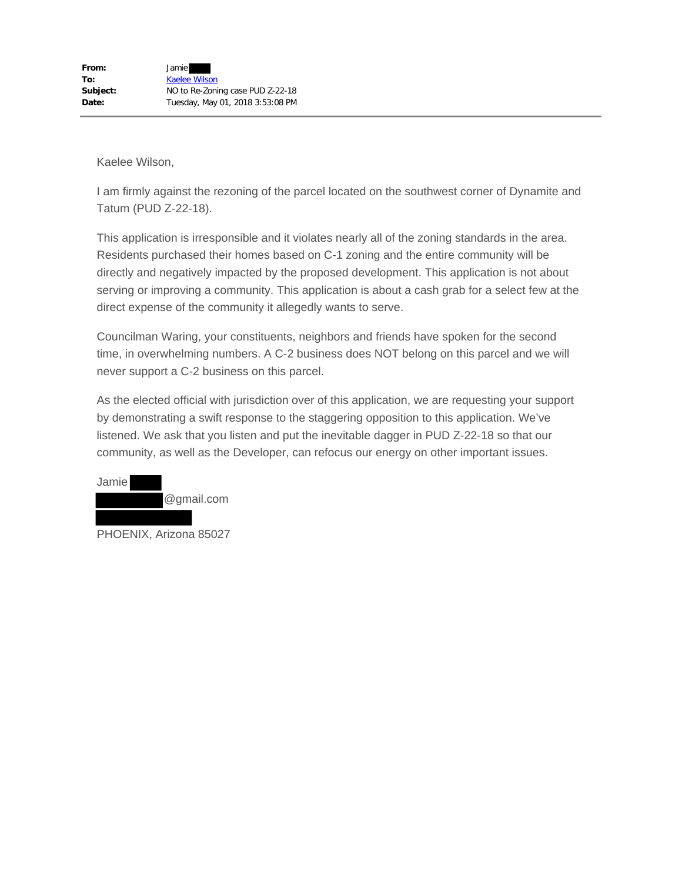I am firmly against the rezoning of the parcel located on the southwest corner of Dynamite and Tatum (PUD Z-22-18).

This application is irresponsible and it violates nearly all of the zoning standards in the area. Residents purchased their homes based on C-1 zoning and the entire community will be directly and negatively impacted by the proposed development. This application is not about serving or improving a community. This application is about a cash grab for a select few at the direct expense of the community it allegedly wants to serve.

Councilman Waring, your constituents, neighbors and friends have spoken for the second time, in overwhelming numbers. A C-2 business does NOT belong on this parcel and we will never support a C-2 business on this parcel.

As the elected official with jurisdiction over of this application, we are requesting your support by demonstrating a swift response to the staggering opposition to this application. We've listened. We ask that you listen and put the inevitable dagger in PUD Z-22-18 so that our community, as well as the Developer, can refocus our energy on other important issues.



PHOENIX, Arizona 85027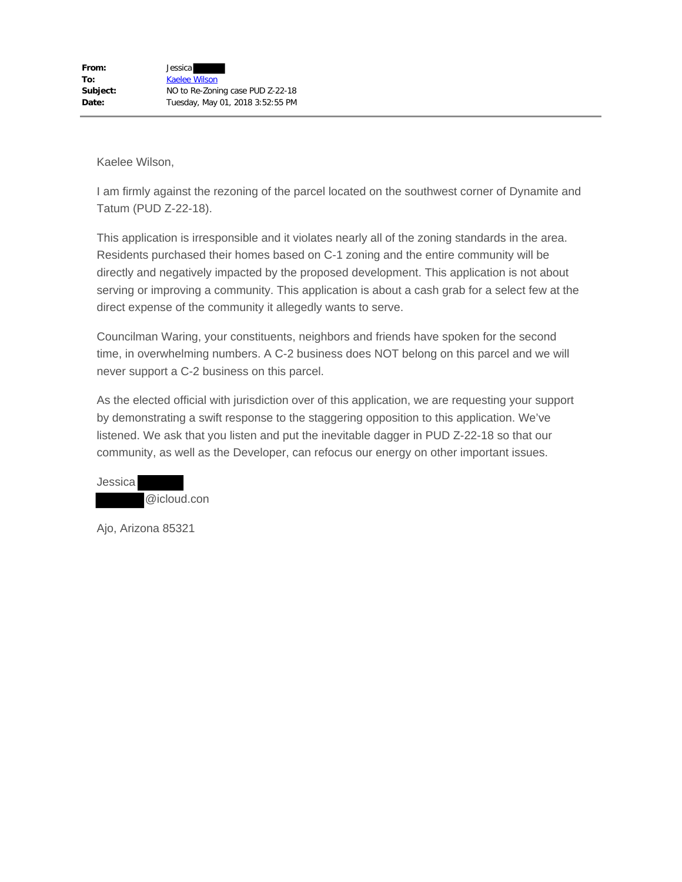I am firmly against the rezoning of the parcel located on the southwest corner of Dynamite and Tatum (PUD Z-22-18).

This application is irresponsible and it violates nearly all of the zoning standards in the area. Residents purchased their homes based on C-1 zoning and the entire community will be directly and negatively impacted by the proposed development. This application is not about serving or improving a community. This application is about a cash grab for a select few at the direct expense of the community it allegedly wants to serve.

Councilman Waring, your constituents, neighbors and friends have spoken for the second time, in overwhelming numbers. A C-2 business does NOT belong on this parcel and we will never support a C-2 business on this parcel.

As the elected official with jurisdiction over of this application, we are requesting your support by demonstrating a swift response to the staggering opposition to this application. We've listened. We ask that you listen and put the inevitable dagger in PUD Z-22-18 so that our community, as well as the Developer, can refocus our energy on other important issues.

Jessica @icloud.con

Ajo, Arizona 85321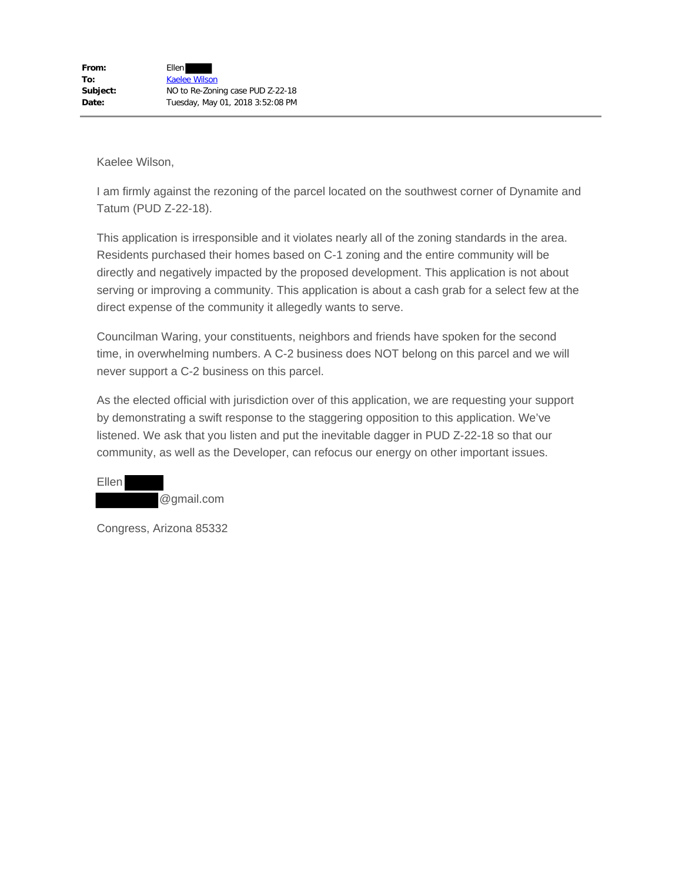I am firmly against the rezoning of the parcel located on the southwest corner of Dynamite and Tatum (PUD Z-22-18).

This application is irresponsible and it violates nearly all of the zoning standards in the area. Residents purchased their homes based on C-1 zoning and the entire community will be directly and negatively impacted by the proposed development. This application is not about serving or improving a community. This application is about a cash grab for a select few at the direct expense of the community it allegedly wants to serve.

Councilman Waring, your constituents, neighbors and friends have spoken for the second time, in overwhelming numbers. A C-2 business does NOT belong on this parcel and we will never support a C-2 business on this parcel.

As the elected official with jurisdiction over of this application, we are requesting your support by demonstrating a swift response to the staggering opposition to this application. We've listened. We ask that you listen and put the inevitable dagger in PUD Z-22-18 so that our community, as well as the Developer, can refocus our energy on other important issues.



Congress, Arizona 85332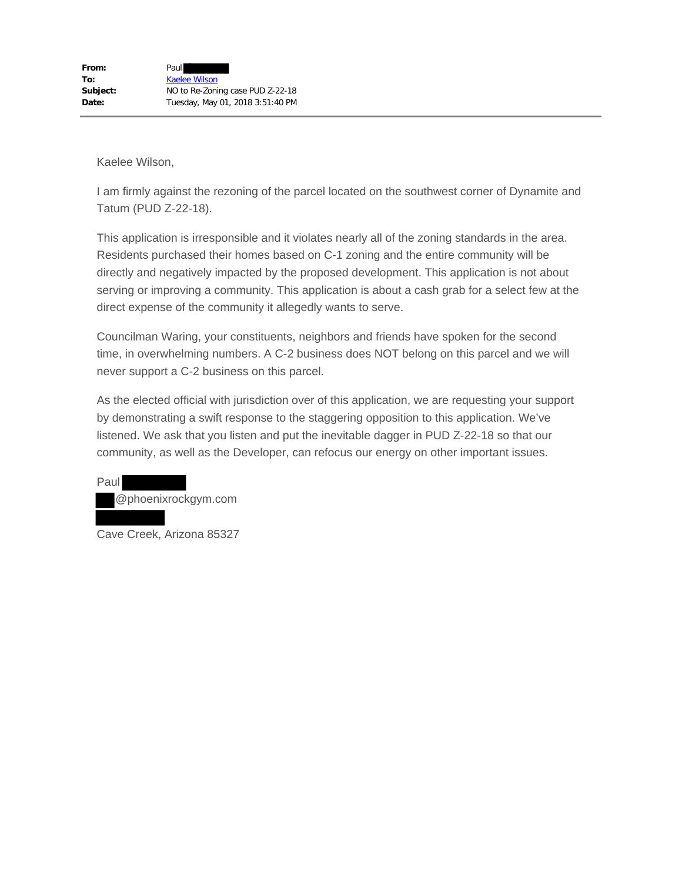I am firmly against the rezoning of the parcel located on the southwest corner of Dynamite and Tatum (PUD Z-22-18).

This application is irresponsible and it violates nearly all of the zoning standards in the area. Residents purchased their homes based on C-1 zoning and the entire community will be directly and negatively impacted by the proposed development. This application is not about serving or improving a community. This application is about a cash grab for a select few at the direct expense of the community it allegedly wants to serve.

Councilman Waring, your constituents, neighbors and friends have spoken for the second time, in overwhelming numbers. A C-2 business does NOT belong on this parcel and we will never support a C-2 business on this parcel.

As the elected official with jurisdiction over of this application, we are requesting your support by demonstrating a swift response to the staggering opposition to this application. We've listened. We ask that you listen and put the inevitable dagger in PUD Z-22-18 so that our community, as well as the Developer, can refocus our energy on other important issues.

Paul @phoenixrockgym.com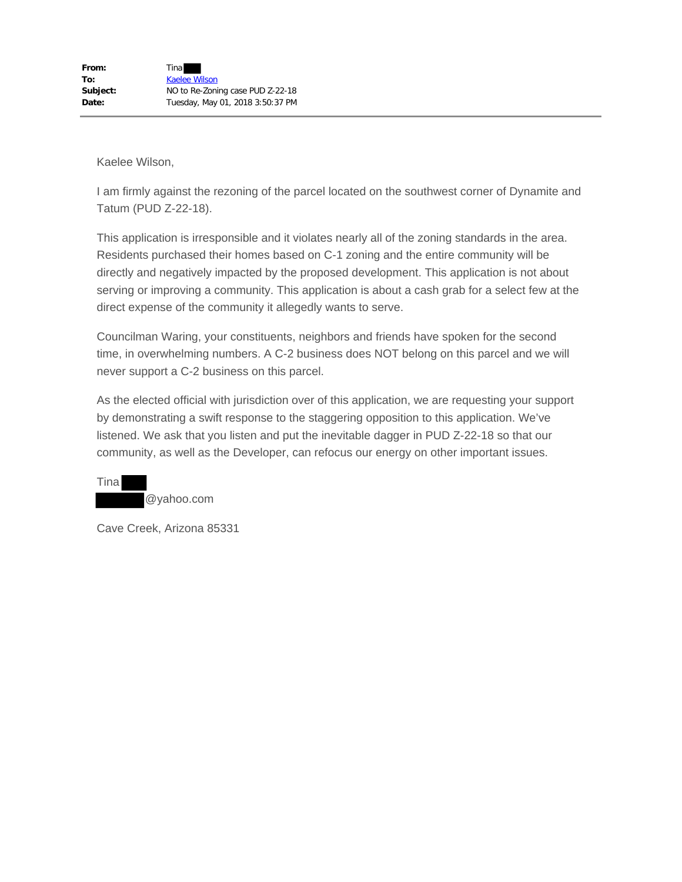I am firmly against the rezoning of the parcel located on the southwest corner of Dynamite and Tatum (PUD Z-22-18).

This application is irresponsible and it violates nearly all of the zoning standards in the area. Residents purchased their homes based on C-1 zoning and the entire community will be directly and negatively impacted by the proposed development. This application is not about serving or improving a community. This application is about a cash grab for a select few at the direct expense of the community it allegedly wants to serve.

Councilman Waring, your constituents, neighbors and friends have spoken for the second time, in overwhelming numbers. A C-2 business does NOT belong on this parcel and we will never support a C-2 business on this parcel.

As the elected official with jurisdiction over of this application, we are requesting your support by demonstrating a swift response to the staggering opposition to this application. We've listened. We ask that you listen and put the inevitable dagger in PUD Z-22-18 so that our community, as well as the Developer, can refocus our energy on other important issues.

Tina @yahoo.com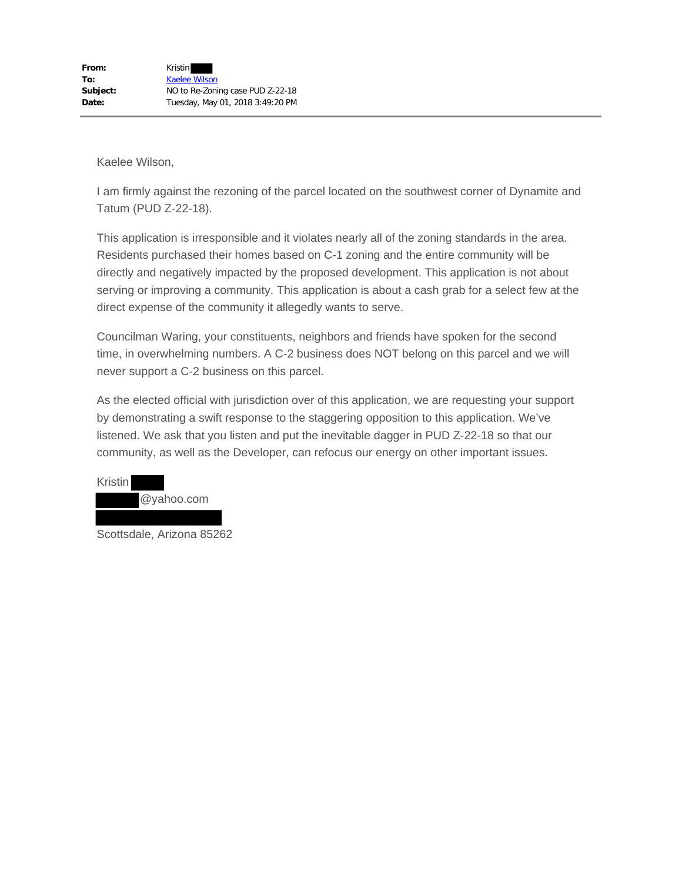I am firmly against the rezoning of the parcel located on the southwest corner of Dynamite and Tatum (PUD Z-22-18).

This application is irresponsible and it violates nearly all of the zoning standards in the area. Residents purchased their homes based on C-1 zoning and the entire community will be directly and negatively impacted by the proposed development. This application is not about serving or improving a community. This application is about a cash grab for a select few at the direct expense of the community it allegedly wants to serve.

Councilman Waring, your constituents, neighbors and friends have spoken for the second time, in overwhelming numbers. A C-2 business does NOT belong on this parcel and we will never support a C-2 business on this parcel.

As the elected official with jurisdiction over of this application, we are requesting your support by demonstrating a swift response to the staggering opposition to this application. We've listened. We ask that you listen and put the inevitable dagger in PUD Z-22-18 so that our community, as well as the Developer, can refocus our energy on other important issues.



Scottsdale, Arizona 85262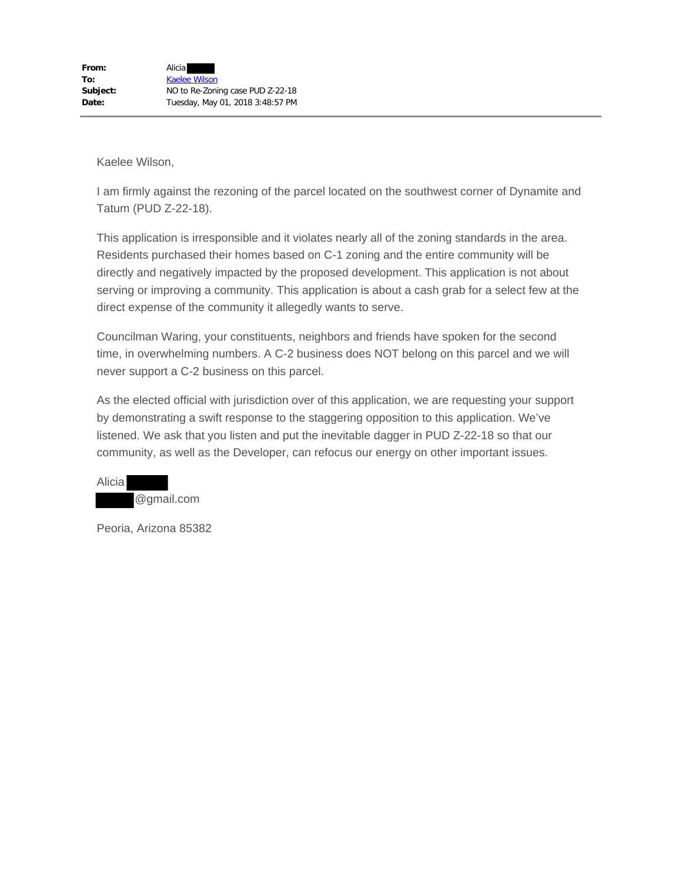I am firmly against the rezoning of the parcel located on the southwest corner of Dynamite and Tatum (PUD Z-22-18).

This application is irresponsible and it violates nearly all of the zoning standards in the area. Residents purchased their homes based on C-1 zoning and the entire community will be directly and negatively impacted by the proposed development. This application is not about serving or improving a community. This application is about a cash grab for a select few at the direct expense of the community it allegedly wants to serve.

Councilman Waring, your constituents, neighbors and friends have spoken for the second time, in overwhelming numbers. A C-2 business does NOT belong on this parcel and we will never support a C-2 business on this parcel.

As the elected official with jurisdiction over of this application, we are requesting your support by demonstrating a swift response to the staggering opposition to this application. We've listened. We ask that you listen and put the inevitable dagger in PUD Z-22-18 so that our community, as well as the Developer, can refocus our energy on other important issues.

| Alicia |            |  |
|--------|------------|--|
|        | @gmail.com |  |

Peoria, Arizona 85382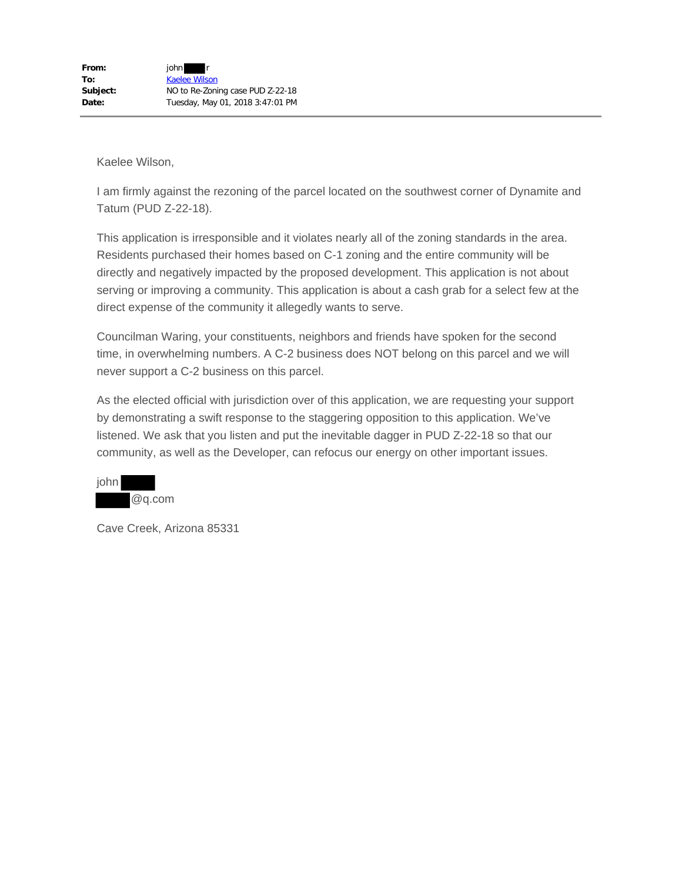I am firmly against the rezoning of the parcel located on the southwest corner of Dynamite and Tatum (PUD Z-22-18).

This application is irresponsible and it violates nearly all of the zoning standards in the area. Residents purchased their homes based on C-1 zoning and the entire community will be directly and negatively impacted by the proposed development. This application is not about serving or improving a community. This application is about a cash grab for a select few at the direct expense of the community it allegedly wants to serve.

Councilman Waring, your constituents, neighbors and friends have spoken for the second time, in overwhelming numbers. A C-2 business does NOT belong on this parcel and we will never support a C-2 business on this parcel.

As the elected official with jurisdiction over of this application, we are requesting your support by demonstrating a swift response to the staggering opposition to this application. We've listened. We ask that you listen and put the inevitable dagger in PUD Z-22-18 so that our community, as well as the Developer, can refocus our energy on other important issues.

| john |        |
|------|--------|
|      | @q.com |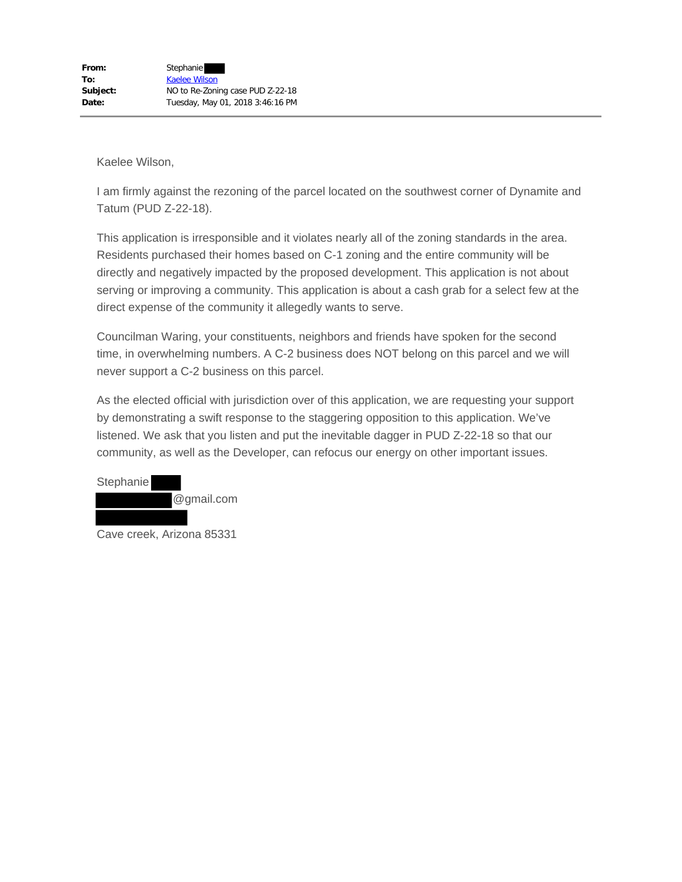I am firmly against the rezoning of the parcel located on the southwest corner of Dynamite and Tatum (PUD Z-22-18).

This application is irresponsible and it violates nearly all of the zoning standards in the area. Residents purchased their homes based on C-1 zoning and the entire community will be directly and negatively impacted by the proposed development. This application is not about serving or improving a community. This application is about a cash grab for a select few at the direct expense of the community it allegedly wants to serve.

Councilman Waring, your constituents, neighbors and friends have spoken for the second time, in overwhelming numbers. A C-2 business does NOT belong on this parcel and we will never support a C-2 business on this parcel.

As the elected official with jurisdiction over of this application, we are requesting your support by demonstrating a swift response to the staggering opposition to this application. We've listened. We ask that you listen and put the inevitable dagger in PUD Z-22-18 so that our community, as well as the Developer, can refocus our energy on other important issues.

| Stephanie |            |
|-----------|------------|
|           | @gmail.com |
|           |            |

Cave creek, Arizona 85331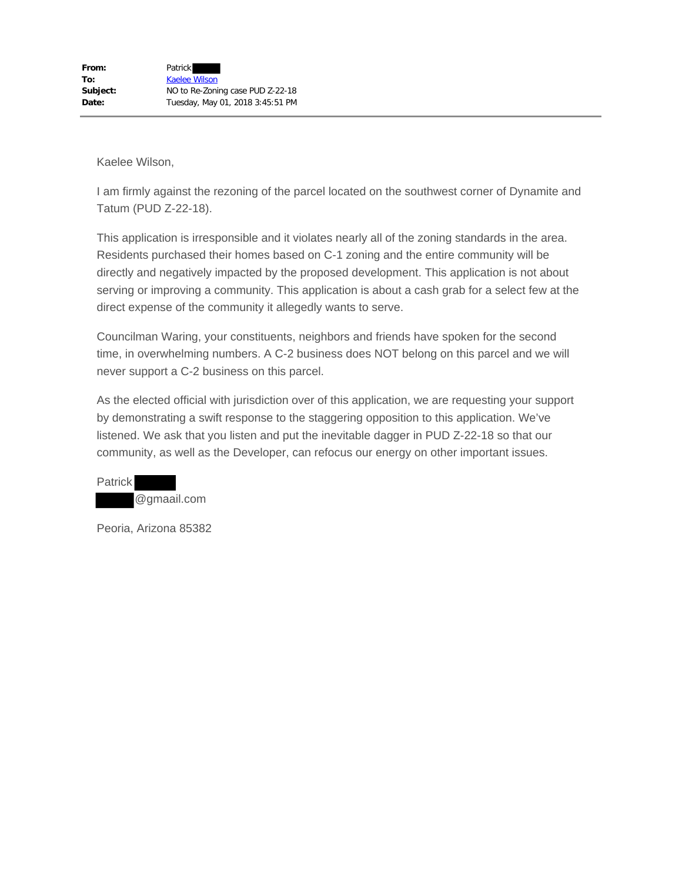I am firmly against the rezoning of the parcel located on the southwest corner of Dynamite and Tatum (PUD Z-22-18).

This application is irresponsible and it violates nearly all of the zoning standards in the area. Residents purchased their homes based on C-1 zoning and the entire community will be directly and negatively impacted by the proposed development. This application is not about serving or improving a community. This application is about a cash grab for a select few at the direct expense of the community it allegedly wants to serve.

Councilman Waring, your constituents, neighbors and friends have spoken for the second time, in overwhelming numbers. A C-2 business does NOT belong on this parcel and we will never support a C-2 business on this parcel.

As the elected official with jurisdiction over of this application, we are requesting your support by demonstrating a swift response to the staggering opposition to this application. We've listened. We ask that you listen and put the inevitable dagger in PUD Z-22-18 so that our community, as well as the Developer, can refocus our energy on other important issues.

Patrick @gmaail.com

Peoria, Arizona 85382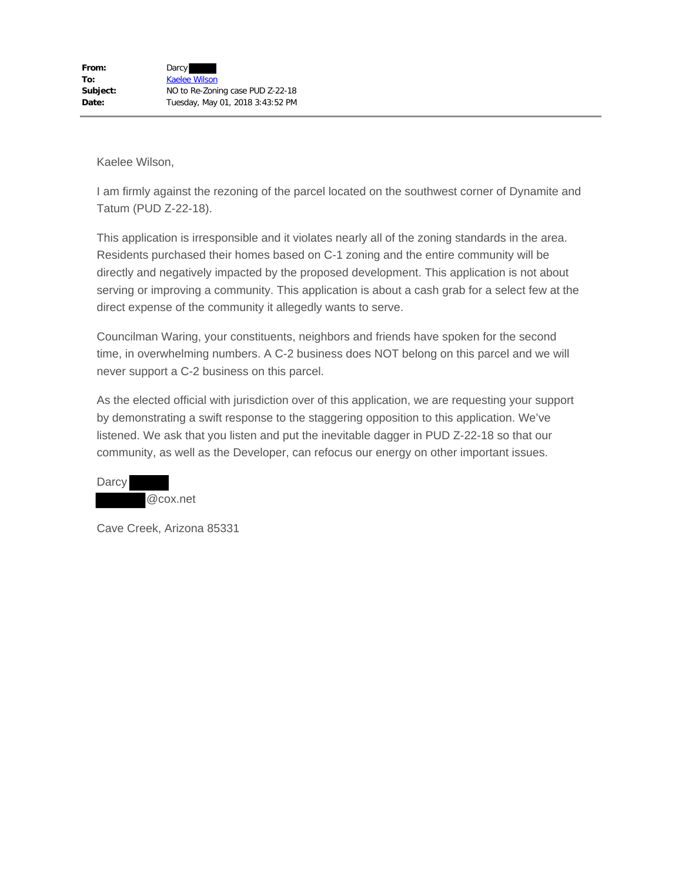I am firmly against the rezoning of the parcel located on the southwest corner of Dynamite and Tatum (PUD Z-22-18).

This application is irresponsible and it violates nearly all of the zoning standards in the area. Residents purchased their homes based on C-1 zoning and the entire community will be directly and negatively impacted by the proposed development. This application is not about serving or improving a community. This application is about a cash grab for a select few at the direct expense of the community it allegedly wants to serve.

Councilman Waring, your constituents, neighbors and friends have spoken for the second time, in overwhelming numbers. A C-2 business does NOT belong on this parcel and we will never support a C-2 business on this parcel.

As the elected official with jurisdiction over of this application, we are requesting your support by demonstrating a swift response to the staggering opposition to this application. We've listened. We ask that you listen and put the inevitable dagger in PUD Z-22-18 so that our community, as well as the Developer, can refocus our energy on other important issues.

| Darcy |  |          |
|-------|--|----------|
|       |  | @cox.net |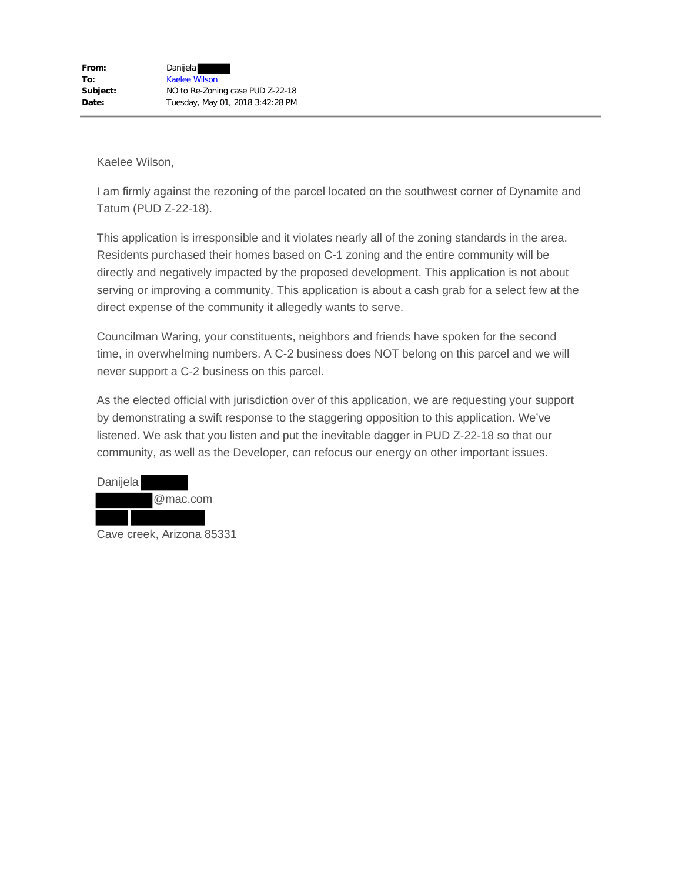I am firmly against the rezoning of the parcel located on the southwest corner of Dynamite and Tatum (PUD Z-22-18).

This application is irresponsible and it violates nearly all of the zoning standards in the area. Residents purchased their homes based on C-1 zoning and the entire community will be directly and negatively impacted by the proposed development. This application is not about serving or improving a community. This application is about a cash grab for a select few at the direct expense of the community it allegedly wants to serve.

Councilman Waring, your constituents, neighbors and friends have spoken for the second time, in overwhelming numbers. A C-2 business does NOT belong on this parcel and we will never support a C-2 business on this parcel.



Cave creek, Arizona 85331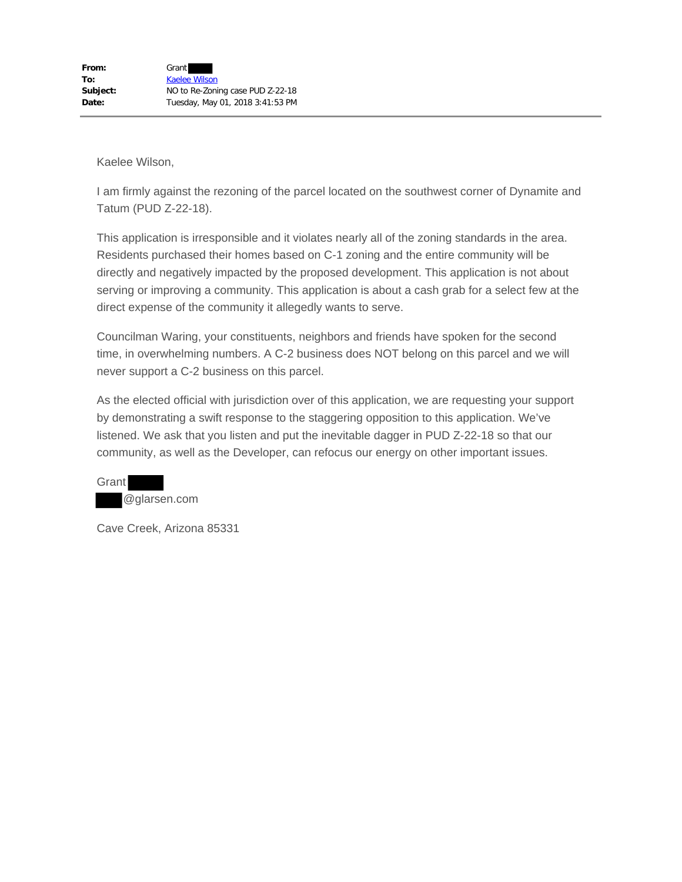I am firmly against the rezoning of the parcel located on the southwest corner of Dynamite and Tatum (PUD Z-22-18).

This application is irresponsible and it violates nearly all of the zoning standards in the area. Residents purchased their homes based on C-1 zoning and the entire community will be directly and negatively impacted by the proposed development. This application is not about serving or improving a community. This application is about a cash grab for a select few at the direct expense of the community it allegedly wants to serve.

Councilman Waring, your constituents, neighbors and friends have spoken for the second time, in overwhelming numbers. A C-2 business does NOT belong on this parcel and we will never support a C-2 business on this parcel.

As the elected official with jurisdiction over of this application, we are requesting your support by demonstrating a swift response to the staggering opposition to this application. We've listened. We ask that you listen and put the inevitable dagger in PUD Z-22-18 so that our community, as well as the Developer, can refocus our energy on other important issues.

Grant @glarsen.com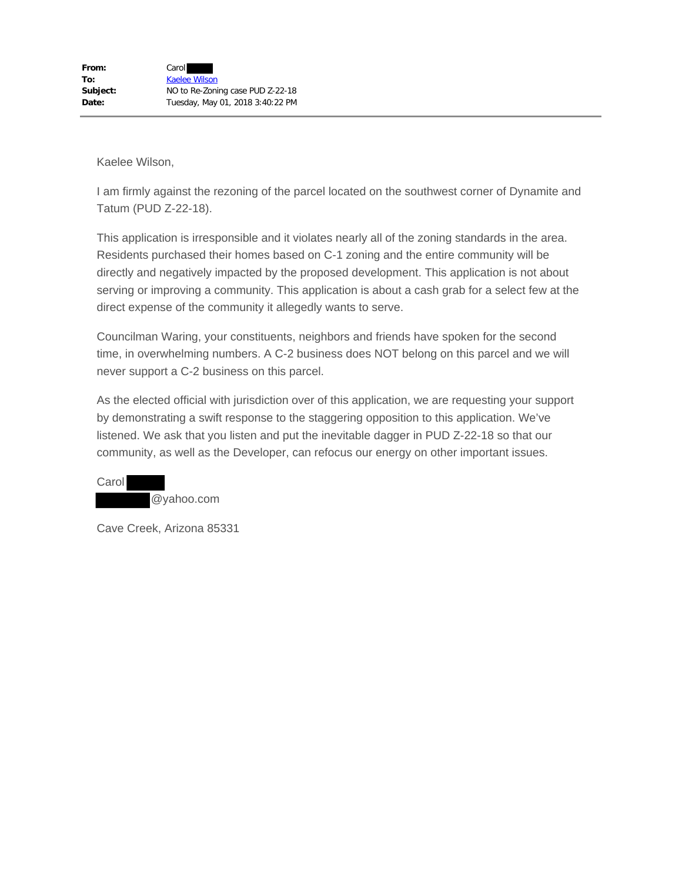I am firmly against the rezoning of the parcel located on the southwest corner of Dynamite and Tatum (PUD Z-22-18).

This application is irresponsible and it violates nearly all of the zoning standards in the area. Residents purchased their homes based on C-1 zoning and the entire community will be directly and negatively impacted by the proposed development. This application is not about serving or improving a community. This application is about a cash grab for a select few at the direct expense of the community it allegedly wants to serve.

Councilman Waring, your constituents, neighbors and friends have spoken for the second time, in overwhelming numbers. A C-2 business does NOT belong on this parcel and we will never support a C-2 business on this parcel.

As the elected official with jurisdiction over of this application, we are requesting your support by demonstrating a swift response to the staggering opposition to this application. We've listened. We ask that you listen and put the inevitable dagger in PUD Z-22-18 so that our community, as well as the Developer, can refocus our energy on other important issues.

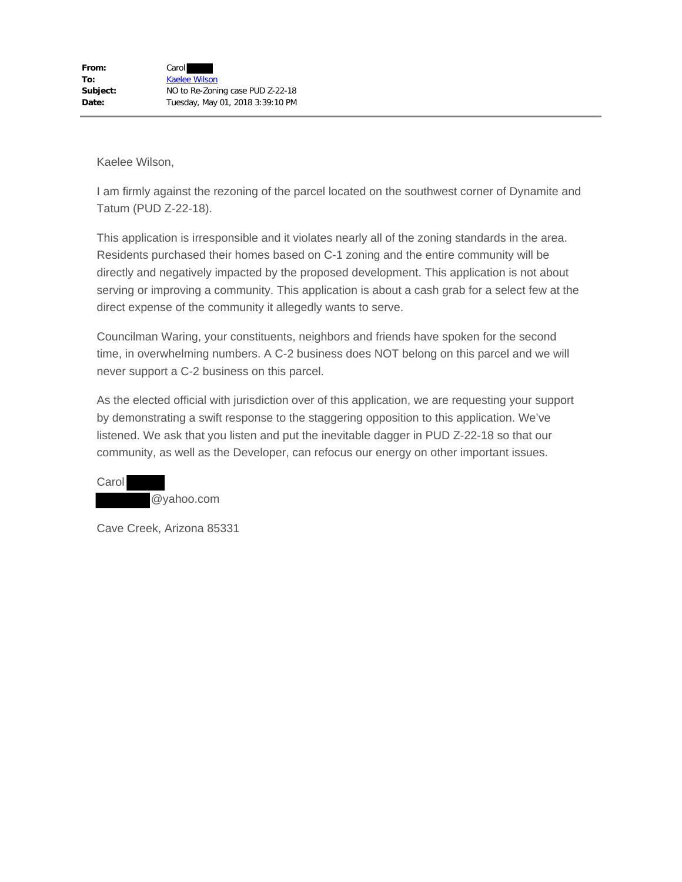I am firmly against the rezoning of the parcel located on the southwest corner of Dynamite and Tatum (PUD Z-22-18).

This application is irresponsible and it violates nearly all of the zoning standards in the area. Residents purchased their homes based on C-1 zoning and the entire community will be directly and negatively impacted by the proposed development. This application is not about serving or improving a community. This application is about a cash grab for a select few at the direct expense of the community it allegedly wants to serve.

Councilman Waring, your constituents, neighbors and friends have spoken for the second time, in overwhelming numbers. A C-2 business does NOT belong on this parcel and we will never support a C-2 business on this parcel.

As the elected official with jurisdiction over of this application, we are requesting your support by demonstrating a swift response to the staggering opposition to this application. We've listened. We ask that you listen and put the inevitable dagger in PUD Z-22-18 so that our community, as well as the Developer, can refocus our energy on other important issues.

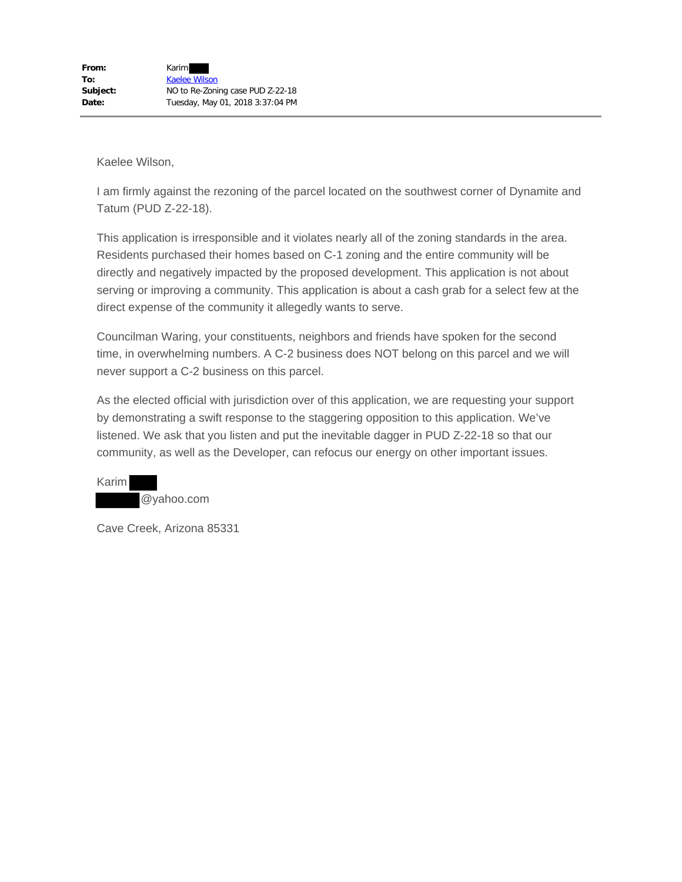I am firmly against the rezoning of the parcel located on the southwest corner of Dynamite and Tatum (PUD Z-22-18).

This application is irresponsible and it violates nearly all of the zoning standards in the area. Residents purchased their homes based on C-1 zoning and the entire community will be directly and negatively impacted by the proposed development. This application is not about serving or improving a community. This application is about a cash grab for a select few at the direct expense of the community it allegedly wants to serve.

Councilman Waring, your constituents, neighbors and friends have spoken for the second time, in overwhelming numbers. A C-2 business does NOT belong on this parcel and we will never support a C-2 business on this parcel.

As the elected official with jurisdiction over of this application, we are requesting your support by demonstrating a swift response to the staggering opposition to this application. We've listened. We ask that you listen and put the inevitable dagger in PUD Z-22-18 so that our community, as well as the Developer, can refocus our energy on other important issues.

Karim @yahoo.com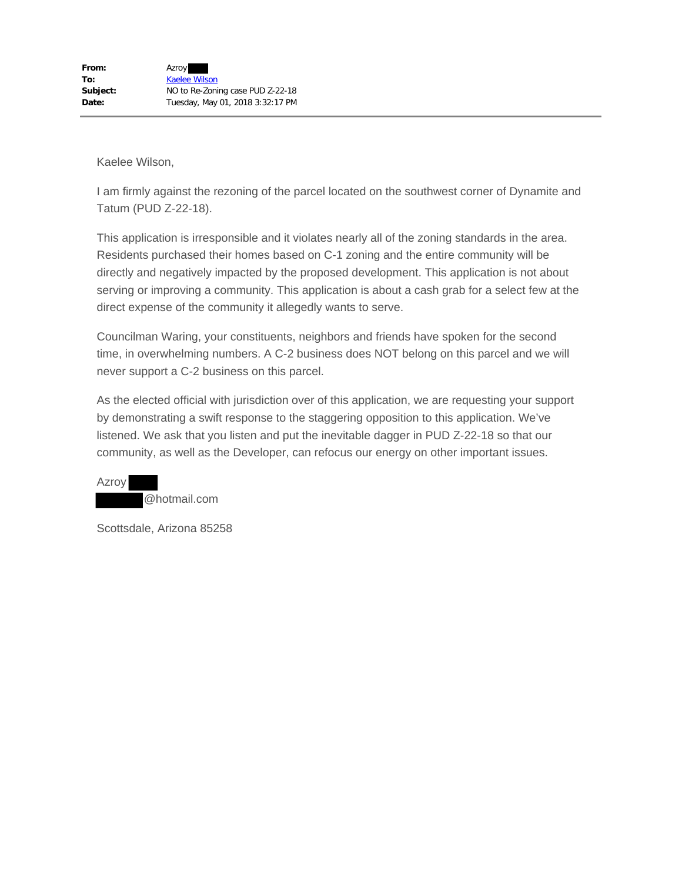I am firmly against the rezoning of the parcel located on the southwest corner of Dynamite and Tatum (PUD Z-22-18).

This application is irresponsible and it violates nearly all of the zoning standards in the area. Residents purchased their homes based on C-1 zoning and the entire community will be directly and negatively impacted by the proposed development. This application is not about serving or improving a community. This application is about a cash grab for a select few at the direct expense of the community it allegedly wants to serve.

Councilman Waring, your constituents, neighbors and friends have spoken for the second time, in overwhelming numbers. A C-2 business does NOT belong on this parcel and we will never support a C-2 business on this parcel.

As the elected official with jurisdiction over of this application, we are requesting your support by demonstrating a swift response to the staggering opposition to this application. We've listened. We ask that you listen and put the inevitable dagger in PUD Z-22-18 so that our community, as well as the Developer, can refocus our energy on other important issues.

Azroy @hotmail.com

Scottsdale, Arizona 85258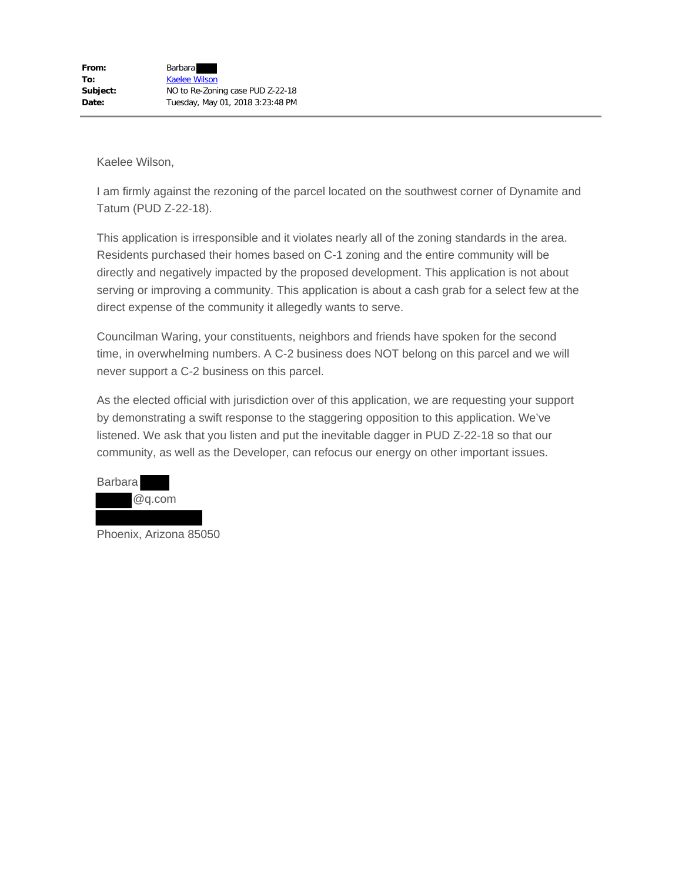I am firmly against the rezoning of the parcel located on the southwest corner of Dynamite and Tatum (PUD Z-22-18).

This application is irresponsible and it violates nearly all of the zoning standards in the area. Residents purchased their homes based on C-1 zoning and the entire community will be directly and negatively impacted by the proposed development. This application is not about serving or improving a community. This application is about a cash grab for a select few at the direct expense of the community it allegedly wants to serve.

Councilman Waring, your constituents, neighbors and friends have spoken for the second time, in overwhelming numbers. A C-2 business does NOT belong on this parcel and we will never support a C-2 business on this parcel.

| <b>Barbara</b> |        |
|----------------|--------|
|                | @q.com |
|                |        |

Phoenix, Arizona 85050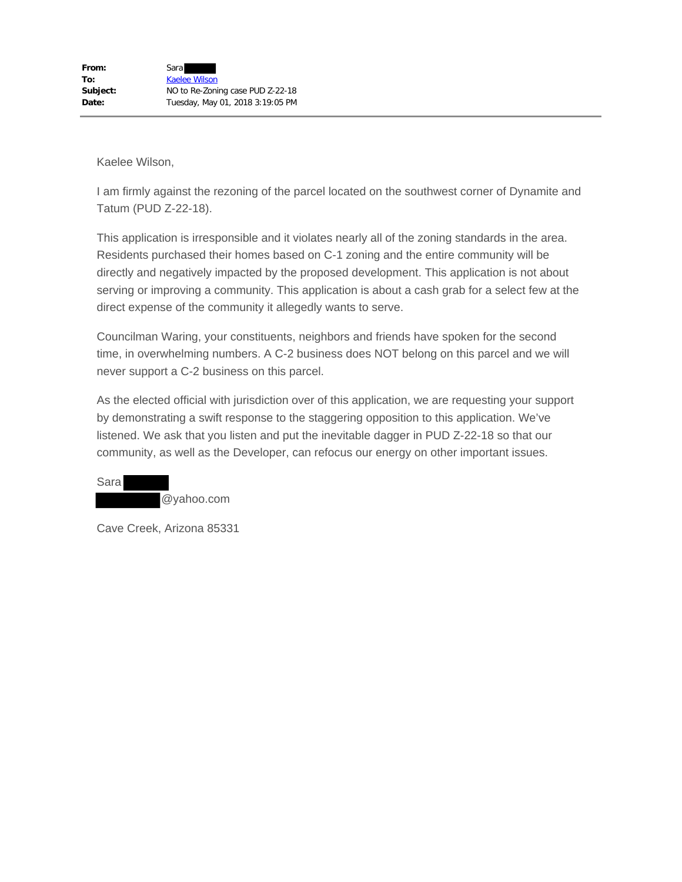I am firmly against the rezoning of the parcel located on the southwest corner of Dynamite and Tatum (PUD Z-22-18).

This application is irresponsible and it violates nearly all of the zoning standards in the area. Residents purchased their homes based on C-1 zoning and the entire community will be directly and negatively impacted by the proposed development. This application is not about serving or improving a community. This application is about a cash grab for a select few at the direct expense of the community it allegedly wants to serve.

Councilman Waring, your constituents, neighbors and friends have spoken for the second time, in overwhelming numbers. A C-2 business does NOT belong on this parcel and we will never support a C-2 business on this parcel.

As the elected official with jurisdiction over of this application, we are requesting your support by demonstrating a swift response to the staggering opposition to this application. We've listened. We ask that you listen and put the inevitable dagger in PUD Z-22-18 so that our community, as well as the Developer, can refocus our energy on other important issues.

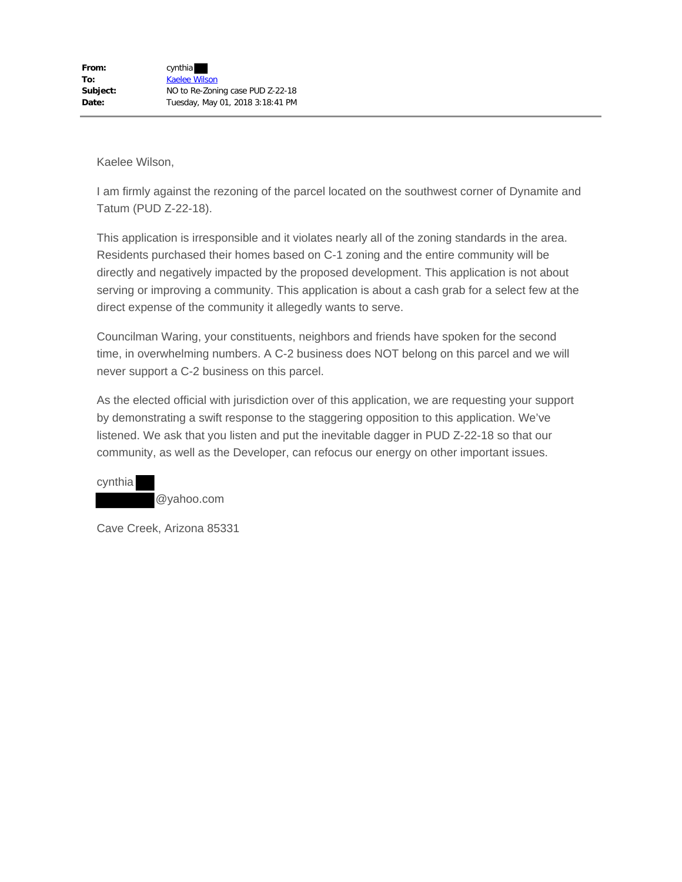I am firmly against the rezoning of the parcel located on the southwest corner of Dynamite and Tatum (PUD Z-22-18).

This application is irresponsible and it violates nearly all of the zoning standards in the area. Residents purchased their homes based on C-1 zoning and the entire community will be directly and negatively impacted by the proposed development. This application is not about serving or improving a community. This application is about a cash grab for a select few at the direct expense of the community it allegedly wants to serve.

Councilman Waring, your constituents, neighbors and friends have spoken for the second time, in overwhelming numbers. A C-2 business does NOT belong on this parcel and we will never support a C-2 business on this parcel.

As the elected official with jurisdiction over of this application, we are requesting your support by demonstrating a swift response to the staggering opposition to this application. We've listened. We ask that you listen and put the inevitable dagger in PUD Z-22-18 so that our community, as well as the Developer, can refocus our energy on other important issues.

cynthia @yahoo.com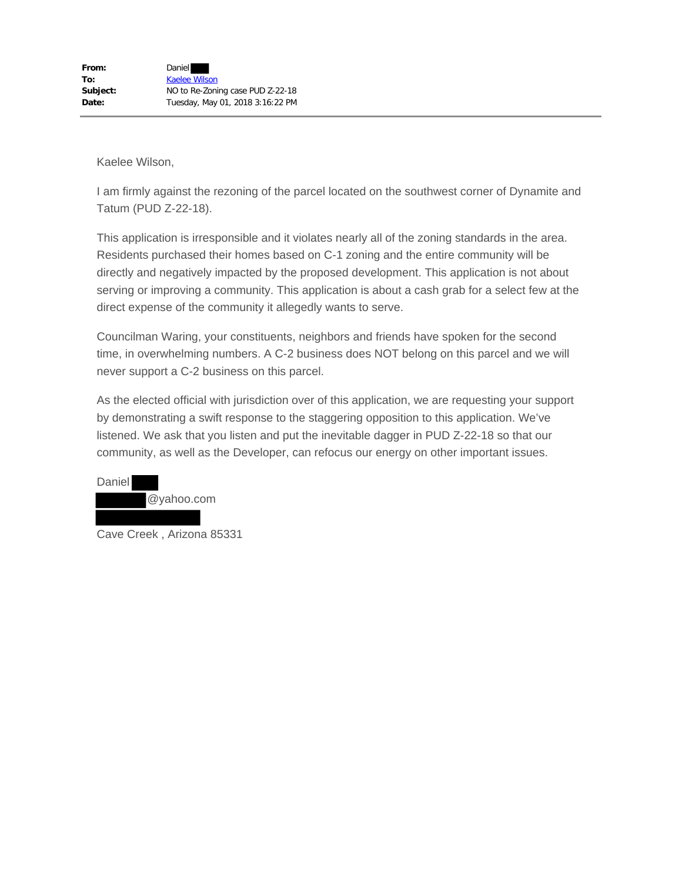I am firmly against the rezoning of the parcel located on the southwest corner of Dynamite and Tatum (PUD Z-22-18).

This application is irresponsible and it violates nearly all of the zoning standards in the area. Residents purchased their homes based on C-1 zoning and the entire community will be directly and negatively impacted by the proposed development. This application is not about serving or improving a community. This application is about a cash grab for a select few at the direct expense of the community it allegedly wants to serve.

Councilman Waring, your constituents, neighbors and friends have spoken for the second time, in overwhelming numbers. A C-2 business does NOT belong on this parcel and we will never support a C-2 business on this parcel.



Cave Creek , Arizona 85331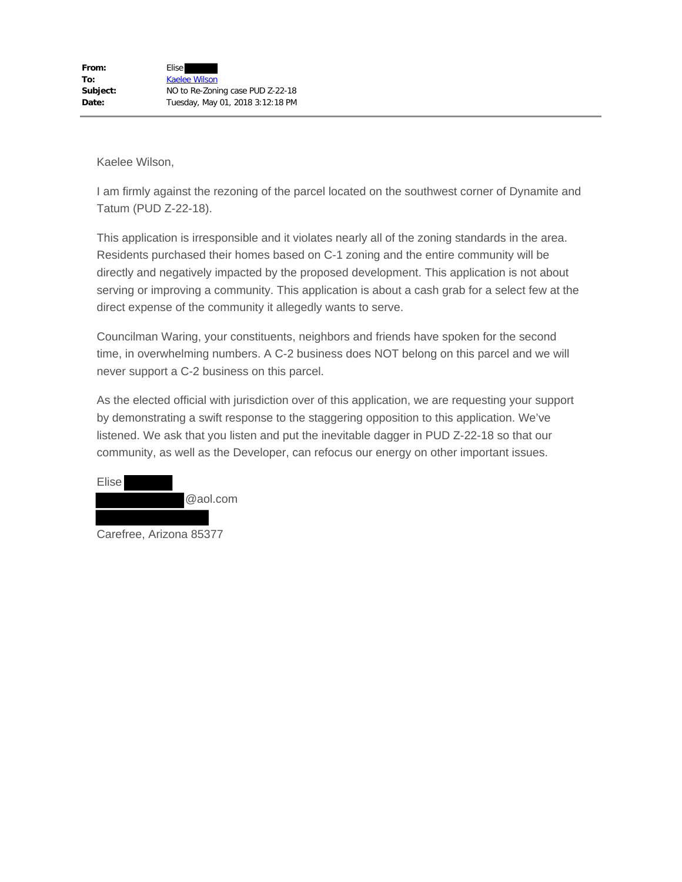I am firmly against the rezoning of the parcel located on the southwest corner of Dynamite and Tatum (PUD Z-22-18).

This application is irresponsible and it violates nearly all of the zoning standards in the area. Residents purchased their homes based on C-1 zoning and the entire community will be directly and negatively impacted by the proposed development. This application is not about serving or improving a community. This application is about a cash grab for a select few at the direct expense of the community it allegedly wants to serve.

Councilman Waring, your constituents, neighbors and friends have spoken for the second time, in overwhelming numbers. A C-2 business does NOT belong on this parcel and we will never support a C-2 business on this parcel.

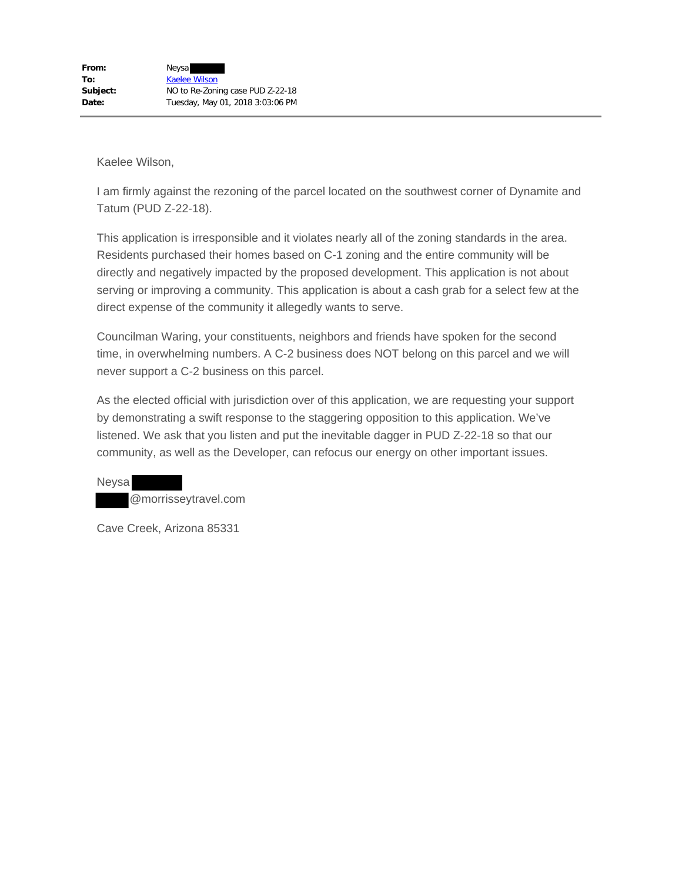I am firmly against the rezoning of the parcel located on the southwest corner of Dynamite and Tatum (PUD Z-22-18).

This application is irresponsible and it violates nearly all of the zoning standards in the area. Residents purchased their homes based on C-1 zoning and the entire community will be directly and negatively impacted by the proposed development. This application is not about serving or improving a community. This application is about a cash grab for a select few at the direct expense of the community it allegedly wants to serve.

Councilman Waring, your constituents, neighbors and friends have spoken for the second time, in overwhelming numbers. A C-2 business does NOT belong on this parcel and we will never support a C-2 business on this parcel.

As the elected official with jurisdiction over of this application, we are requesting your support by demonstrating a swift response to the staggering opposition to this application. We've listened. We ask that you listen and put the inevitable dagger in PUD Z-22-18 so that our community, as well as the Developer, can refocus our energy on other important issues.

Neysa @morrisseytravel.com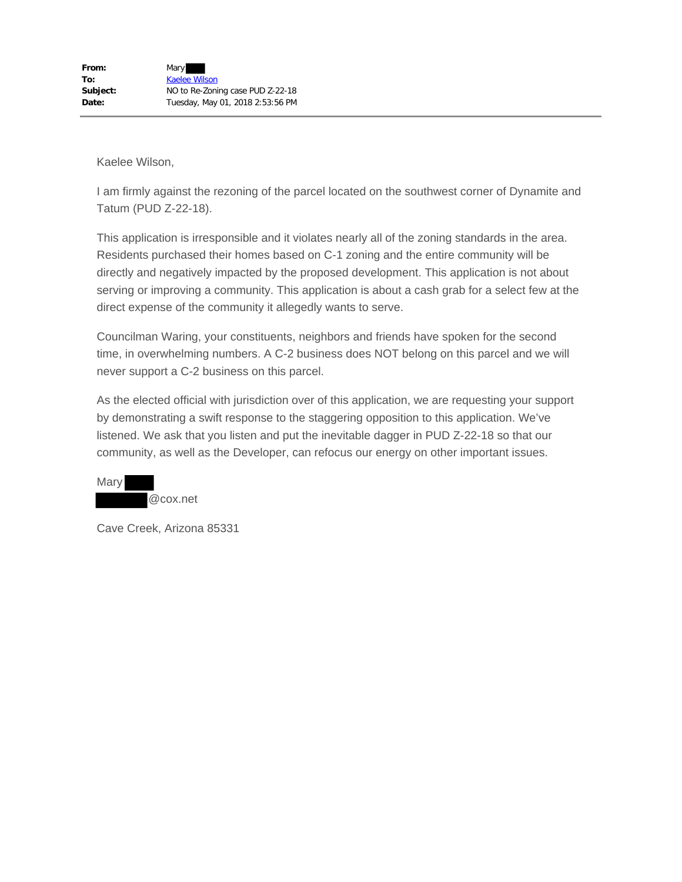I am firmly against the rezoning of the parcel located on the southwest corner of Dynamite and Tatum (PUD Z-22-18).

This application is irresponsible and it violates nearly all of the zoning standards in the area. Residents purchased their homes based on C-1 zoning and the entire community will be directly and negatively impacted by the proposed development. This application is not about serving or improving a community. This application is about a cash grab for a select few at the direct expense of the community it allegedly wants to serve.

Councilman Waring, your constituents, neighbors and friends have spoken for the second time, in overwhelming numbers. A C-2 business does NOT belong on this parcel and we will never support a C-2 business on this parcel.

As the elected official with jurisdiction over of this application, we are requesting your support by demonstrating a swift response to the staggering opposition to this application. We've listened. We ask that you listen and put the inevitable dagger in PUD Z-22-18 so that our community, as well as the Developer, can refocus our energy on other important issues.

Mary @cox.net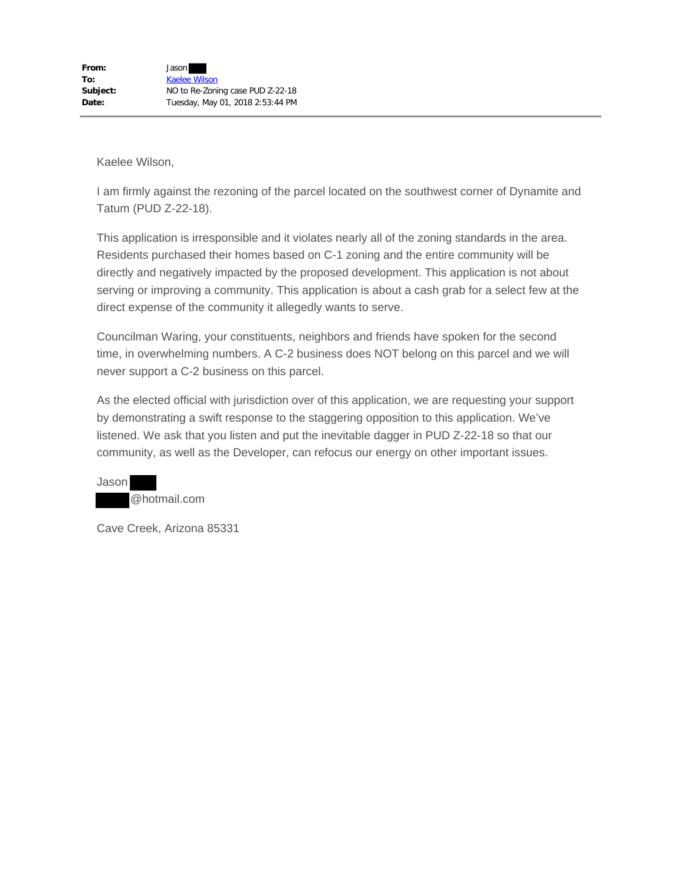I am firmly against the rezoning of the parcel located on the southwest corner of Dynamite and Tatum (PUD Z-22-18).

This application is irresponsible and it violates nearly all of the zoning standards in the area. Residents purchased their homes based on C-1 zoning and the entire community will be directly and negatively impacted by the proposed development. This application is not about serving or improving a community. This application is about a cash grab for a select few at the direct expense of the community it allegedly wants to serve.

Councilman Waring, your constituents, neighbors and friends have spoken for the second time, in overwhelming numbers. A C-2 business does NOT belong on this parcel and we will never support a C-2 business on this parcel.

As the elected official with jurisdiction over of this application, we are requesting your support by demonstrating a swift response to the staggering opposition to this application. We've listened. We ask that you listen and put the inevitable dagger in PUD Z-22-18 so that our community, as well as the Developer, can refocus our energy on other important issues.

Jason @hotmail.com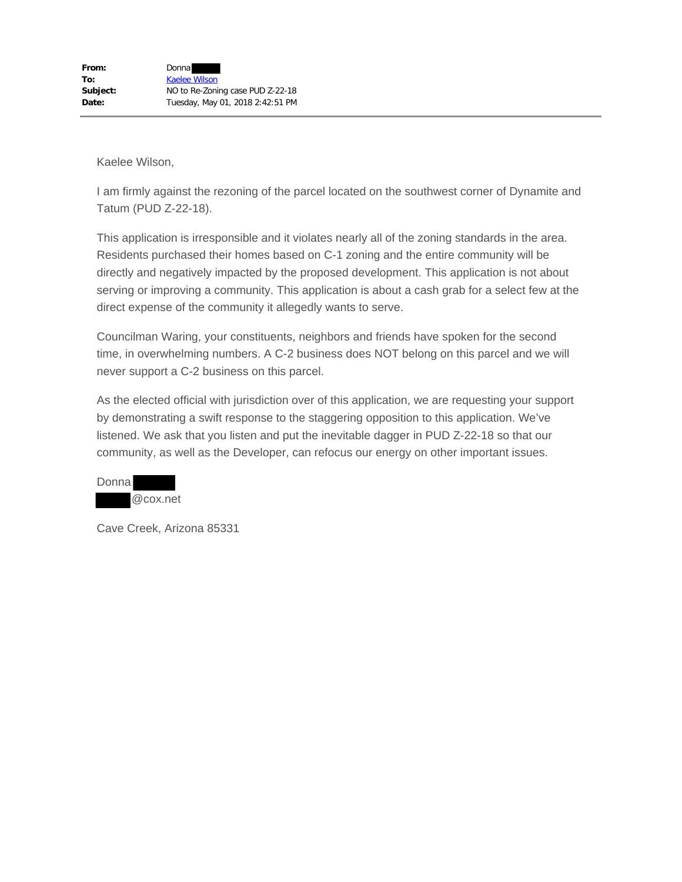I am firmly against the rezoning of the parcel located on the southwest corner of Dynamite and Tatum (PUD Z-22-18).

This application is irresponsible and it violates nearly all of the zoning standards in the area. Residents purchased their homes based on C-1 zoning and the entire community will be directly and negatively impacted by the proposed development. This application is not about serving or improving a community. This application is about a cash grab for a select few at the direct expense of the community it allegedly wants to serve.

Councilman Waring, your constituents, neighbors and friends have spoken for the second time, in overwhelming numbers. A C-2 business does NOT belong on this parcel and we will never support a C-2 business on this parcel.

As the elected official with jurisdiction over of this application, we are requesting your support by demonstrating a swift response to the staggering opposition to this application. We've listened. We ask that you listen and put the inevitable dagger in PUD Z-22-18 so that our community, as well as the Developer, can refocus our energy on other important issues.

| Donnal |          |
|--------|----------|
|        | @cox.net |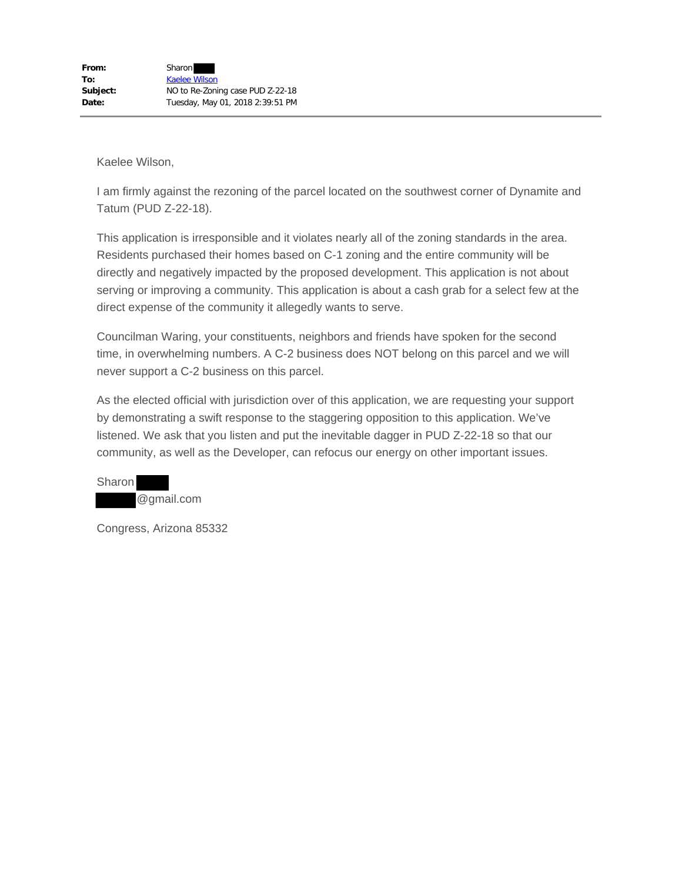I am firmly against the rezoning of the parcel located on the southwest corner of Dynamite and Tatum (PUD Z-22-18).

This application is irresponsible and it violates nearly all of the zoning standards in the area. Residents purchased their homes based on C-1 zoning and the entire community will be directly and negatively impacted by the proposed development. This application is not about serving or improving a community. This application is about a cash grab for a select few at the direct expense of the community it allegedly wants to serve.

Councilman Waring, your constituents, neighbors and friends have spoken for the second time, in overwhelming numbers. A C-2 business does NOT belong on this parcel and we will never support a C-2 business on this parcel.

As the elected official with jurisdiction over of this application, we are requesting your support by demonstrating a swift response to the staggering opposition to this application. We've listened. We ask that you listen and put the inevitable dagger in PUD Z-22-18 so that our community, as well as the Developer, can refocus our energy on other important issues.



Congress, Arizona 85332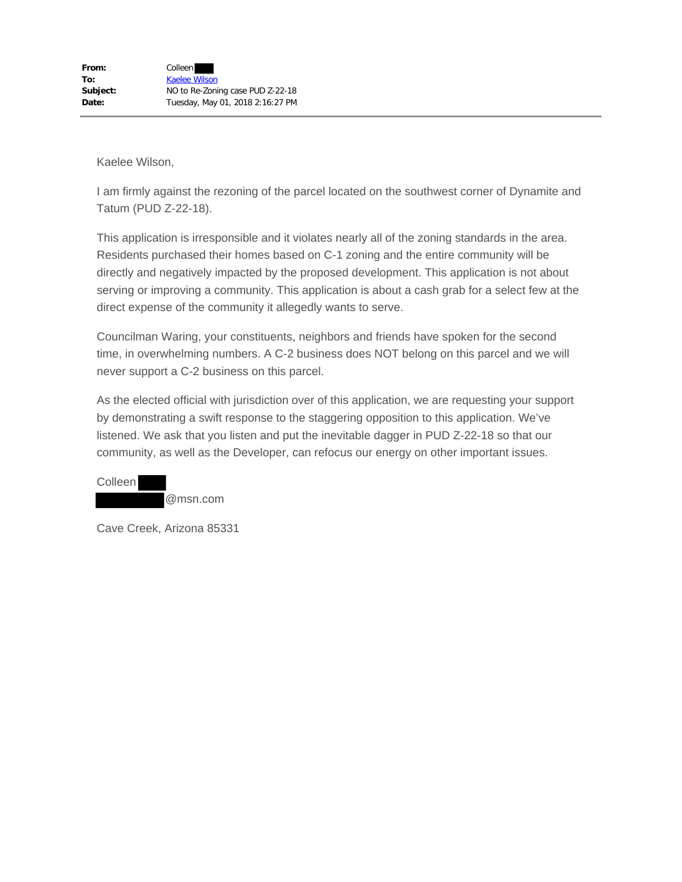I am firmly against the rezoning of the parcel located on the southwest corner of Dynamite and Tatum (PUD Z-22-18).

This application is irresponsible and it violates nearly all of the zoning standards in the area. Residents purchased their homes based on C-1 zoning and the entire community will be directly and negatively impacted by the proposed development. This application is not about serving or improving a community. This application is about a cash grab for a select few at the direct expense of the community it allegedly wants to serve.

Councilman Waring, your constituents, neighbors and friends have spoken for the second time, in overwhelming numbers. A C-2 business does NOT belong on this parcel and we will never support a C-2 business on this parcel.

As the elected official with jurisdiction over of this application, we are requesting your support by demonstrating a swift response to the staggering opposition to this application. We've listened. We ask that you listen and put the inevitable dagger in PUD Z-22-18 so that our community, as well as the Developer, can refocus our energy on other important issues.

Colleen @msn.com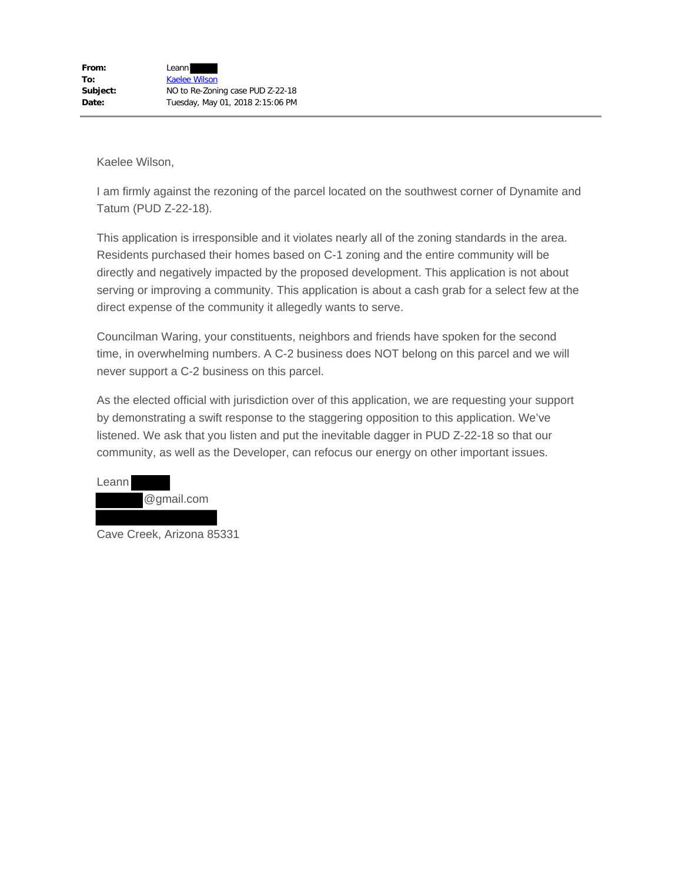I am firmly against the rezoning of the parcel located on the southwest corner of Dynamite and Tatum (PUD Z-22-18).

This application is irresponsible and it violates nearly all of the zoning standards in the area. Residents purchased their homes based on C-1 zoning and the entire community will be directly and negatively impacted by the proposed development. This application is not about serving or improving a community. This application is about a cash grab for a select few at the direct expense of the community it allegedly wants to serve.

Councilman Waring, your constituents, neighbors and friends have spoken for the second time, in overwhelming numbers. A C-2 business does NOT belong on this parcel and we will never support a C-2 business on this parcel.

As the elected official with jurisdiction over of this application, we are requesting your support by demonstrating a swift response to the staggering opposition to this application. We've listened. We ask that you listen and put the inevitable dagger in PUD Z-22-18 so that our community, as well as the Developer, can refocus our energy on other important issues.

| Leann! |            |
|--------|------------|
|        | @gmail.com |
|        |            |

Cave Creek, Arizona 85331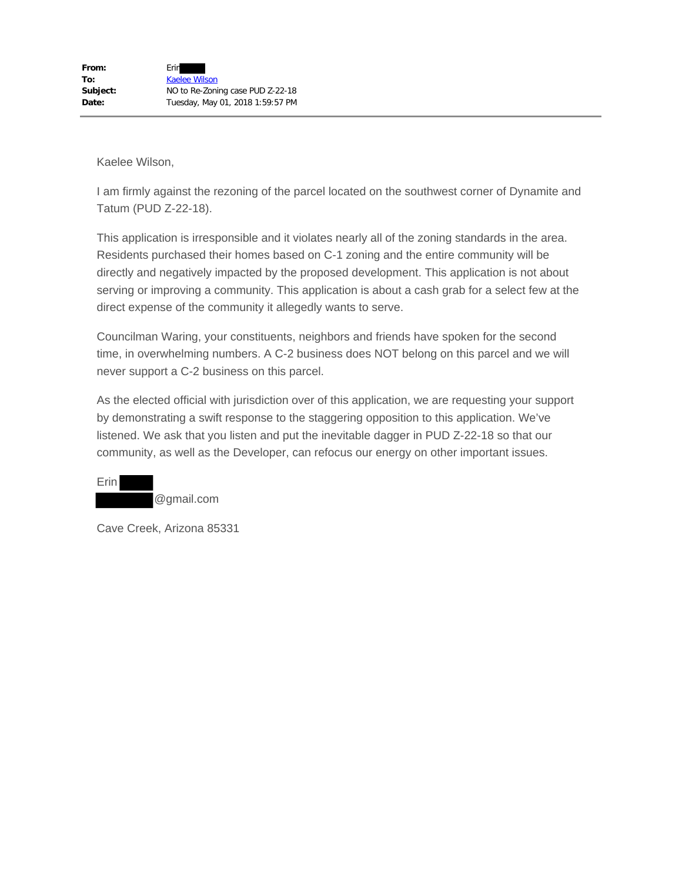I am firmly against the rezoning of the parcel located on the southwest corner of Dynamite and Tatum (PUD Z-22-18).

This application is irresponsible and it violates nearly all of the zoning standards in the area. Residents purchased their homes based on C-1 zoning and the entire community will be directly and negatively impacted by the proposed development. This application is not about serving or improving a community. This application is about a cash grab for a select few at the direct expense of the community it allegedly wants to serve.

Councilman Waring, your constituents, neighbors and friends have spoken for the second time, in overwhelming numbers. A C-2 business does NOT belong on this parcel and we will never support a C-2 business on this parcel.

As the elected official with jurisdiction over of this application, we are requesting your support by demonstrating a swift response to the staggering opposition to this application. We've listened. We ask that you listen and put the inevitable dagger in PUD Z-22-18 so that our community, as well as the Developer, can refocus our energy on other important issues.

@gmail.com

Erin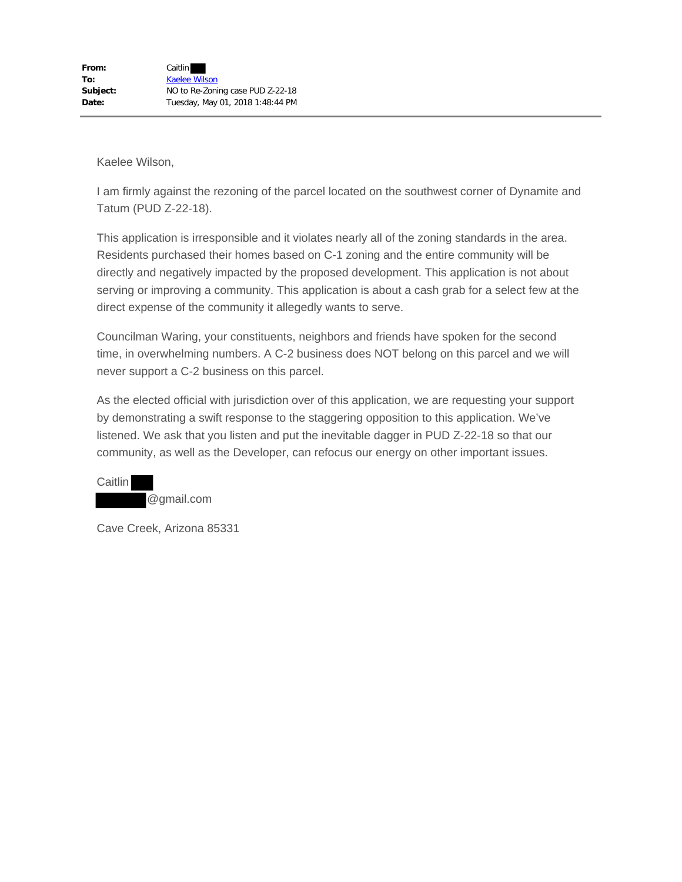I am firmly against the rezoning of the parcel located on the southwest corner of Dynamite and Tatum (PUD Z-22-18).

This application is irresponsible and it violates nearly all of the zoning standards in the area. Residents purchased their homes based on C-1 zoning and the entire community will be directly and negatively impacted by the proposed development. This application is not about serving or improving a community. This application is about a cash grab for a select few at the direct expense of the community it allegedly wants to serve.

Councilman Waring, your constituents, neighbors and friends have spoken for the second time, in overwhelming numbers. A C-2 business does NOT belong on this parcel and we will never support a C-2 business on this parcel.

As the elected official with jurisdiction over of this application, we are requesting your support by demonstrating a swift response to the staggering opposition to this application. We've listened. We ask that you listen and put the inevitable dagger in PUD Z-22-18 so that our community, as well as the Developer, can refocus our energy on other important issues.

**Caitlin** @gmail.com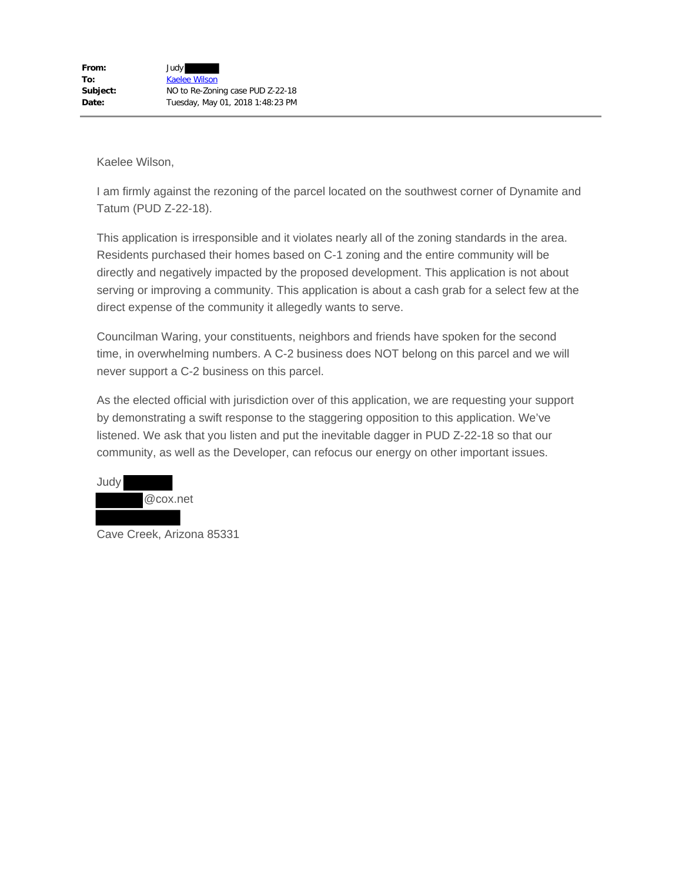I am firmly against the rezoning of the parcel located on the southwest corner of Dynamite and Tatum (PUD Z-22-18).

This application is irresponsible and it violates nearly all of the zoning standards in the area. Residents purchased their homes based on C-1 zoning and the entire community will be directly and negatively impacted by the proposed development. This application is not about serving or improving a community. This application is about a cash grab for a select few at the direct expense of the community it allegedly wants to serve.

Councilman Waring, your constituents, neighbors and friends have spoken for the second time, in overwhelming numbers. A C-2 business does NOT belong on this parcel and we will never support a C-2 business on this parcel.

As the elected official with jurisdiction over of this application, we are requesting your support by demonstrating a swift response to the staggering opposition to this application. We've listened. We ask that you listen and put the inevitable dagger in PUD Z-22-18 so that our community, as well as the Developer, can refocus our energy on other important issues.



Cave Creek, Arizona 85331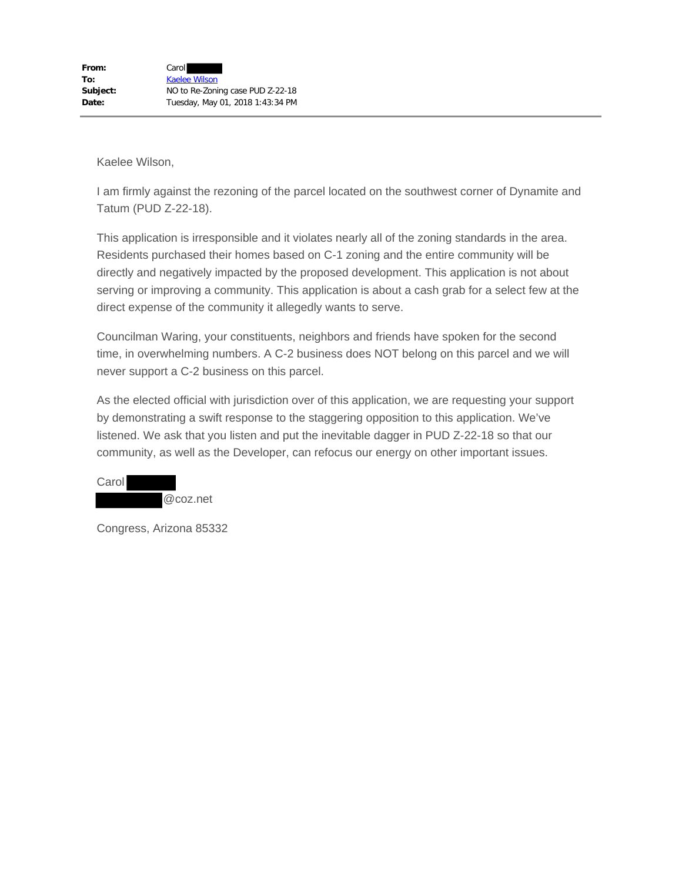I am firmly against the rezoning of the parcel located on the southwest corner of Dynamite and Tatum (PUD Z-22-18).

This application is irresponsible and it violates nearly all of the zoning standards in the area. Residents purchased their homes based on C-1 zoning and the entire community will be directly and negatively impacted by the proposed development. This application is not about serving or improving a community. This application is about a cash grab for a select few at the direct expense of the community it allegedly wants to serve.

Councilman Waring, your constituents, neighbors and friends have spoken for the second time, in overwhelming numbers. A C-2 business does NOT belong on this parcel and we will never support a C-2 business on this parcel.

As the elected official with jurisdiction over of this application, we are requesting your support by demonstrating a swift response to the staggering opposition to this application. We've listened. We ask that you listen and put the inevitable dagger in PUD Z-22-18 so that our community, as well as the Developer, can refocus our energy on other important issues.

| Carol |  |          |
|-------|--|----------|
|       |  | @coz.net |

Congress, Arizona 85332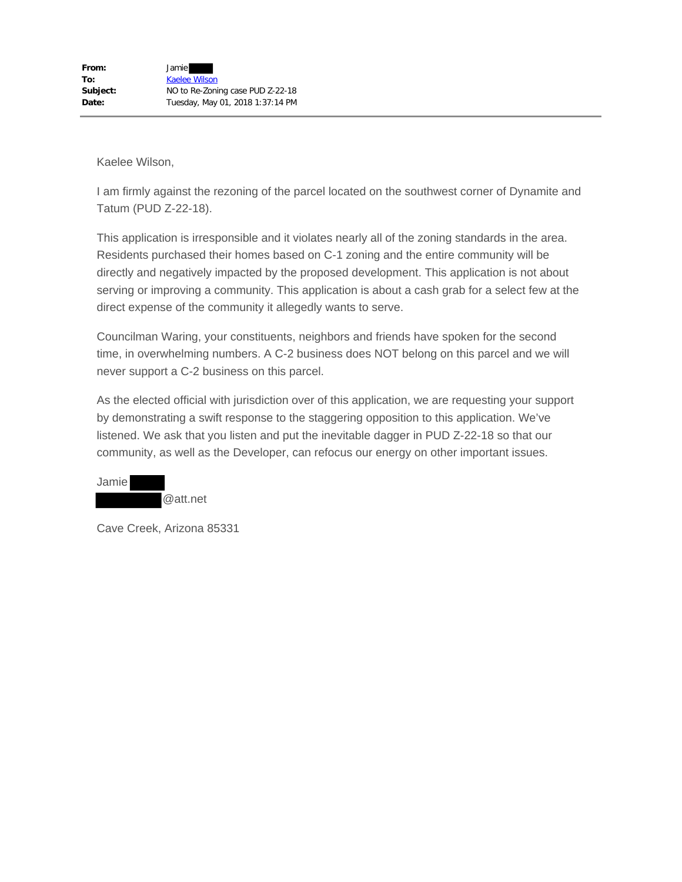I am firmly against the rezoning of the parcel located on the southwest corner of Dynamite and Tatum (PUD Z-22-18).

This application is irresponsible and it violates nearly all of the zoning standards in the area. Residents purchased their homes based on C-1 zoning and the entire community will be directly and negatively impacted by the proposed development. This application is not about serving or improving a community. This application is about a cash grab for a select few at the direct expense of the community it allegedly wants to serve.

Councilman Waring, your constituents, neighbors and friends have spoken for the second time, in overwhelming numbers. A C-2 business does NOT belong on this parcel and we will never support a C-2 business on this parcel.

As the elected official with jurisdiction over of this application, we are requesting your support by demonstrating a swift response to the staggering opposition to this application. We've listened. We ask that you listen and put the inevitable dagger in PUD Z-22-18 so that our community, as well as the Developer, can refocus our energy on other important issues.

Jamie @att.net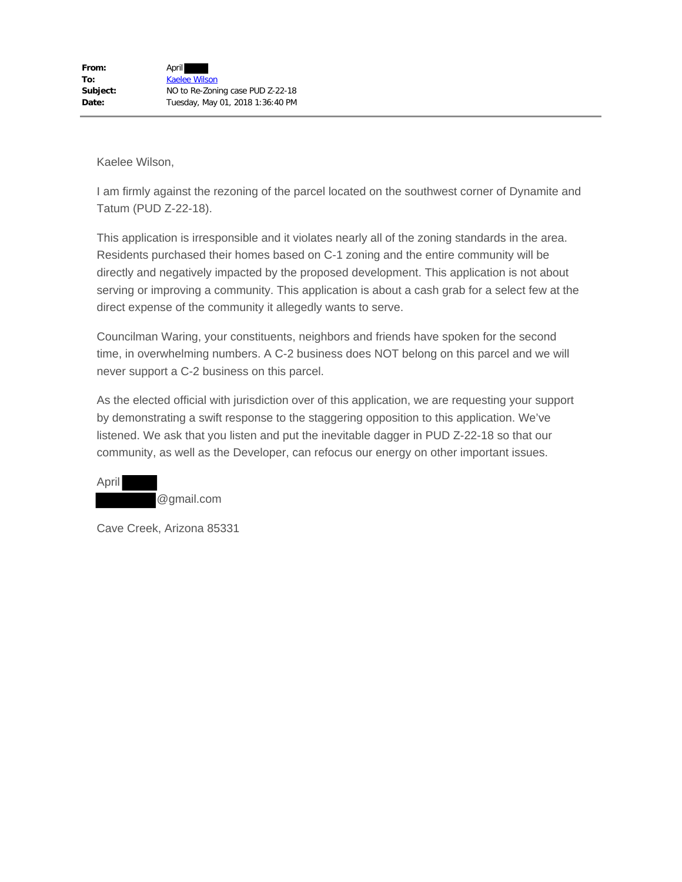I am firmly against the rezoning of the parcel located on the southwest corner of Dynamite and Tatum (PUD Z-22-18).

This application is irresponsible and it violates nearly all of the zoning standards in the area. Residents purchased their homes based on C-1 zoning and the entire community will be directly and negatively impacted by the proposed development. This application is not about serving or improving a community. This application is about a cash grab for a select few at the direct expense of the community it allegedly wants to serve.

Councilman Waring, your constituents, neighbors and friends have spoken for the second time, in overwhelming numbers. A C-2 business does NOT belong on this parcel and we will never support a C-2 business on this parcel.

As the elected official with jurisdiction over of this application, we are requesting your support by demonstrating a swift response to the staggering opposition to this application. We've listened. We ask that you listen and put the inevitable dagger in PUD Z-22-18 so that our community, as well as the Developer, can refocus our energy on other important issues.

April @gmail.com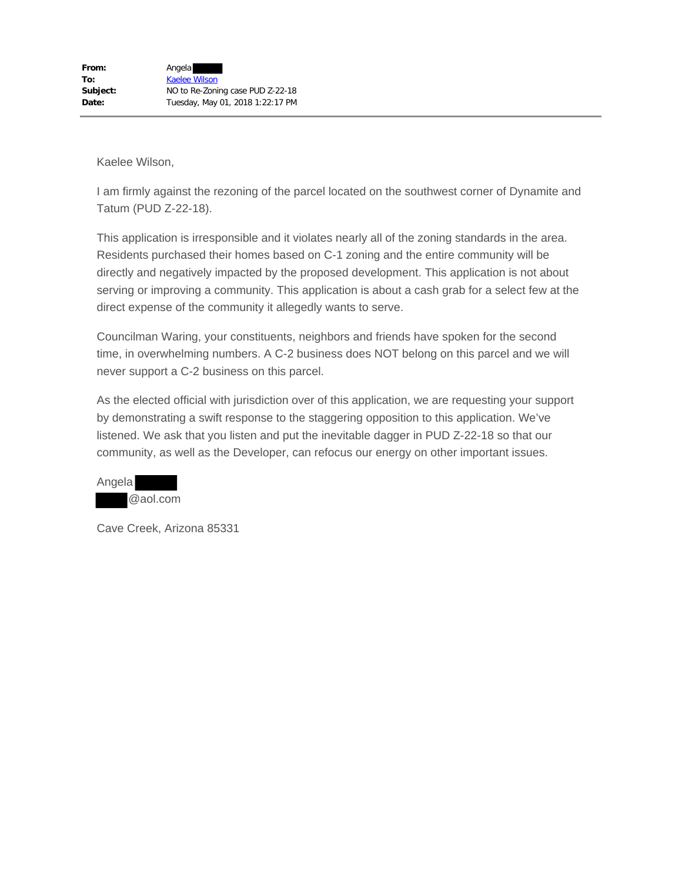I am firmly against the rezoning of the parcel located on the southwest corner of Dynamite and Tatum (PUD Z-22-18).

This application is irresponsible and it violates nearly all of the zoning standards in the area. Residents purchased their homes based on C-1 zoning and the entire community will be directly and negatively impacted by the proposed development. This application is not about serving or improving a community. This application is about a cash grab for a select few at the direct expense of the community it allegedly wants to serve.

Councilman Waring, your constituents, neighbors and friends have spoken for the second time, in overwhelming numbers. A C-2 business does NOT belong on this parcel and we will never support a C-2 business on this parcel.

As the elected official with jurisdiction over of this application, we are requesting your support by demonstrating a swift response to the staggering opposition to this application. We've listened. We ask that you listen and put the inevitable dagger in PUD Z-22-18 so that our community, as well as the Developer, can refocus our energy on other important issues.

| Angela |          |
|--------|----------|
|        | @aol.com |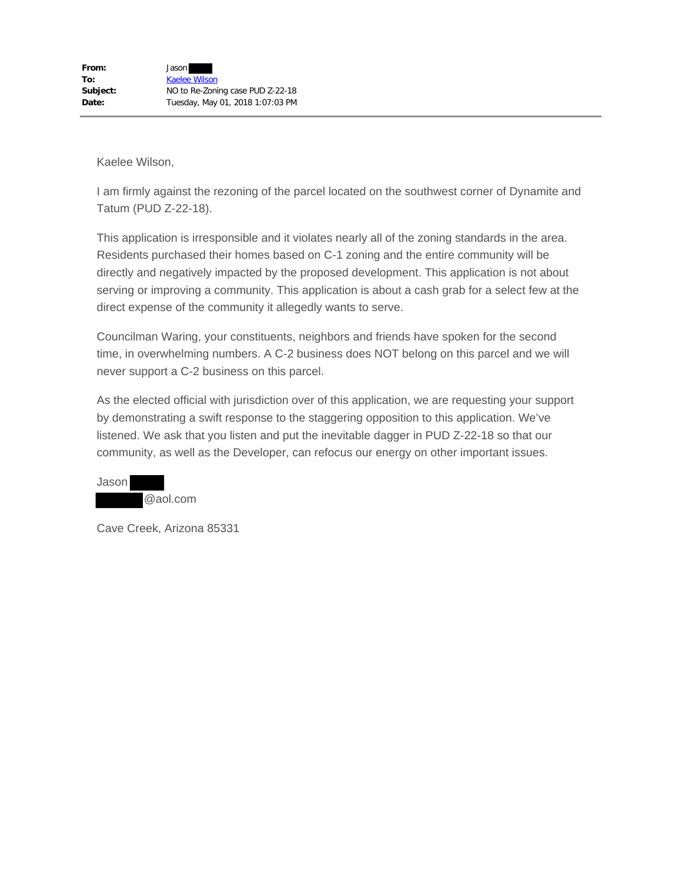I am firmly against the rezoning of the parcel located on the southwest corner of Dynamite and Tatum (PUD Z-22-18).

This application is irresponsible and it violates nearly all of the zoning standards in the area. Residents purchased their homes based on C-1 zoning and the entire community will be directly and negatively impacted by the proposed development. This application is not about serving or improving a community. This application is about a cash grab for a select few at the direct expense of the community it allegedly wants to serve.

Councilman Waring, your constituents, neighbors and friends have spoken for the second time, in overwhelming numbers. A C-2 business does NOT belong on this parcel and we will never support a C-2 business on this parcel.

As the elected official with jurisdiction over of this application, we are requesting your support by demonstrating a swift response to the staggering opposition to this application. We've listened. We ask that you listen and put the inevitable dagger in PUD Z-22-18 so that our community, as well as the Developer, can refocus our energy on other important issues.

Jason @aol.com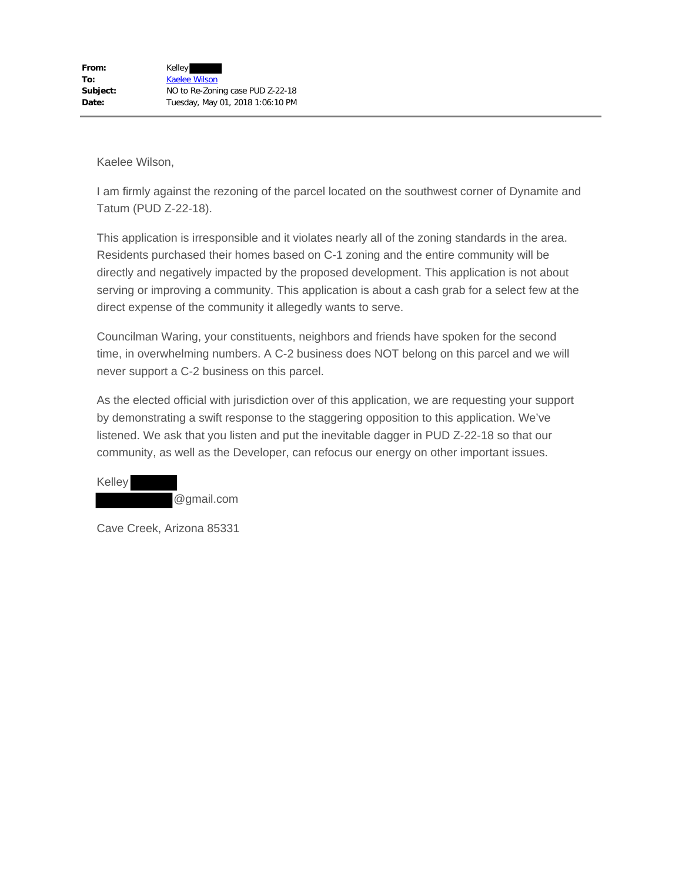I am firmly against the rezoning of the parcel located on the southwest corner of Dynamite and Tatum (PUD Z-22-18).

This application is irresponsible and it violates nearly all of the zoning standards in the area. Residents purchased their homes based on C-1 zoning and the entire community will be directly and negatively impacted by the proposed development. This application is not about serving or improving a community. This application is about a cash grab for a select few at the direct expense of the community it allegedly wants to serve.

Councilman Waring, your constituents, neighbors and friends have spoken for the second time, in overwhelming numbers. A C-2 business does NOT belong on this parcel and we will never support a C-2 business on this parcel.

As the elected official with jurisdiction over of this application, we are requesting your support by demonstrating a swift response to the staggering opposition to this application. We've listened. We ask that you listen and put the inevitable dagger in PUD Z-22-18 so that our community, as well as the Developer, can refocus our energy on other important issues.

| Kelley |            |
|--------|------------|
|        | @gmail.com |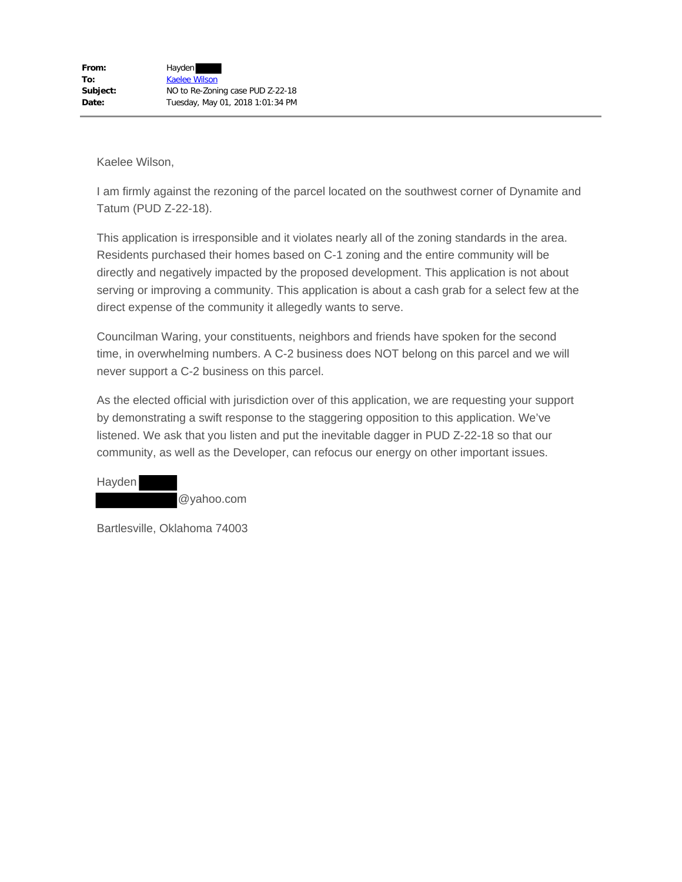I am firmly against the rezoning of the parcel located on the southwest corner of Dynamite and Tatum (PUD Z-22-18).

This application is irresponsible and it violates nearly all of the zoning standards in the area. Residents purchased their homes based on C-1 zoning and the entire community will be directly and negatively impacted by the proposed development. This application is not about serving or improving a community. This application is about a cash grab for a select few at the direct expense of the community it allegedly wants to serve.

Councilman Waring, your constituents, neighbors and friends have spoken for the second time, in overwhelming numbers. A C-2 business does NOT belong on this parcel and we will never support a C-2 business on this parcel.

As the elected official with jurisdiction over of this application, we are requesting your support by demonstrating a swift response to the staggering opposition to this application. We've listened. We ask that you listen and put the inevitable dagger in PUD Z-22-18 so that our community, as well as the Developer, can refocus our energy on other important issues.

Hayden @yahoo.com

Bartlesville, Oklahoma 74003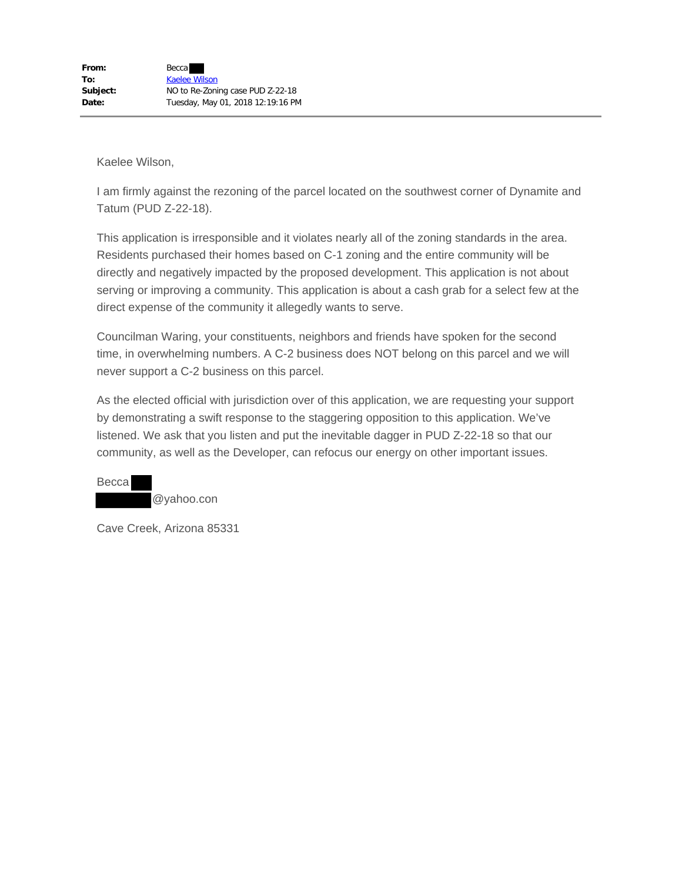I am firmly against the rezoning of the parcel located on the southwest corner of Dynamite and Tatum (PUD Z-22-18).

This application is irresponsible and it violates nearly all of the zoning standards in the area. Residents purchased their homes based on C-1 zoning and the entire community will be directly and negatively impacted by the proposed development. This application is not about serving or improving a community. This application is about a cash grab for a select few at the direct expense of the community it allegedly wants to serve.

Councilman Waring, your constituents, neighbors and friends have spoken for the second time, in overwhelming numbers. A C-2 business does NOT belong on this parcel and we will never support a C-2 business on this parcel.

As the elected official with jurisdiction over of this application, we are requesting your support by demonstrating a swift response to the staggering opposition to this application. We've listened. We ask that you listen and put the inevitable dagger in PUD Z-22-18 so that our community, as well as the Developer, can refocus our energy on other important issues.

Becca @yahoo.con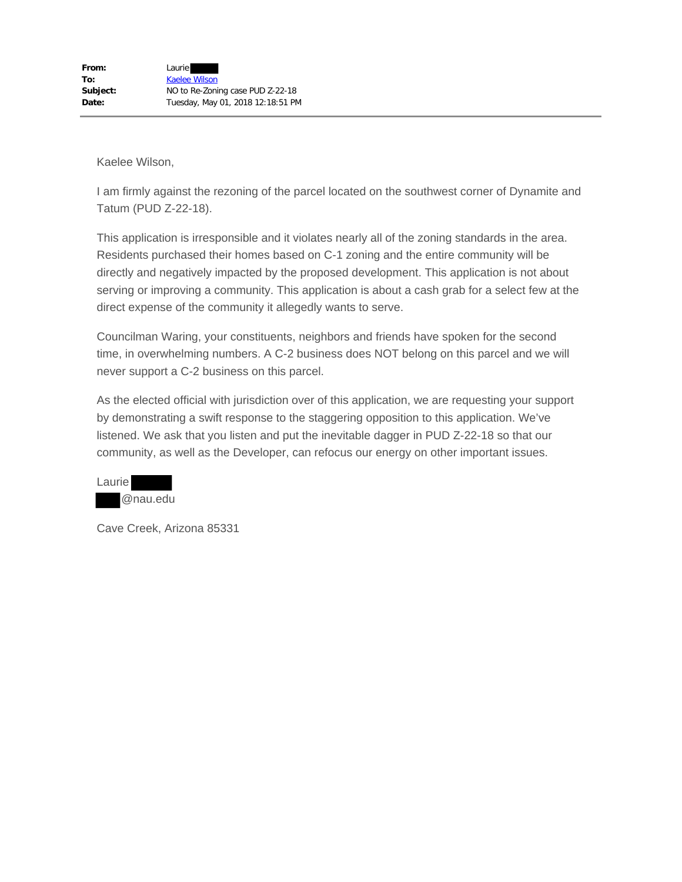I am firmly against the rezoning of the parcel located on the southwest corner of Dynamite and Tatum (PUD Z-22-18).

This application is irresponsible and it violates nearly all of the zoning standards in the area. Residents purchased their homes based on C-1 zoning and the entire community will be directly and negatively impacted by the proposed development. This application is not about serving or improving a community. This application is about a cash grab for a select few at the direct expense of the community it allegedly wants to serve.

Councilman Waring, your constituents, neighbors and friends have spoken for the second time, in overwhelming numbers. A C-2 business does NOT belong on this parcel and we will never support a C-2 business on this parcel.

As the elected official with jurisdiction over of this application, we are requesting your support by demonstrating a swift response to the staggering opposition to this application. We've listened. We ask that you listen and put the inevitable dagger in PUD Z-22-18 so that our community, as well as the Developer, can refocus our energy on other important issues.

| Laurie |          |
|--------|----------|
|        | @nau.edu |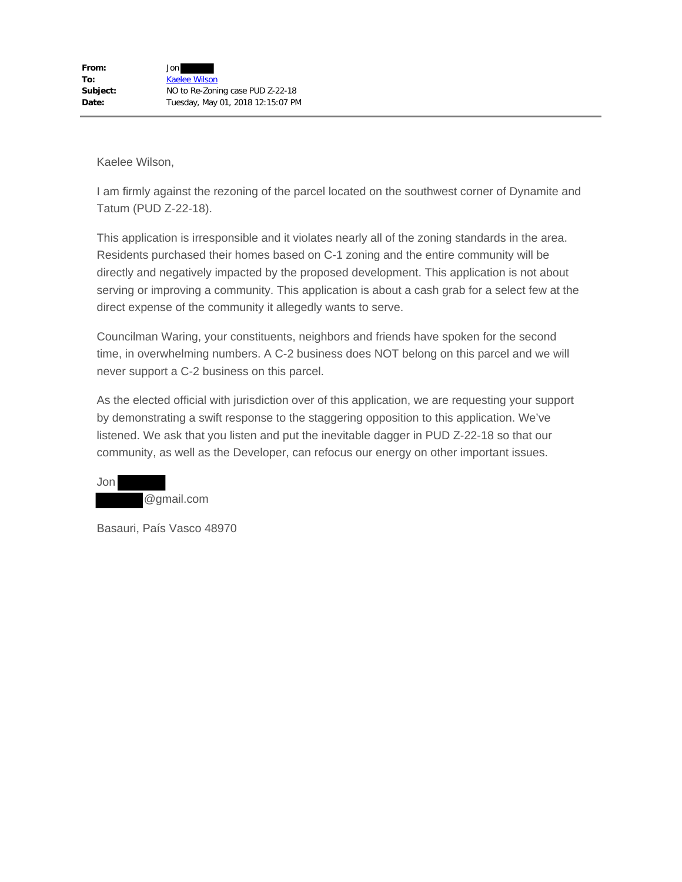I am firmly against the rezoning of the parcel located on the southwest corner of Dynamite and Tatum (PUD Z-22-18).

This application is irresponsible and it violates nearly all of the zoning standards in the area. Residents purchased their homes based on C-1 zoning and the entire community will be directly and negatively impacted by the proposed development. This application is not about serving or improving a community. This application is about a cash grab for a select few at the direct expense of the community it allegedly wants to serve.

Councilman Waring, your constituents, neighbors and friends have spoken for the second time, in overwhelming numbers. A C-2 business does NOT belong on this parcel and we will never support a C-2 business on this parcel.

As the elected official with jurisdiction over of this application, we are requesting your support by demonstrating a swift response to the staggering opposition to this application. We've listened. We ask that you listen and put the inevitable dagger in PUD Z-22-18 so that our community, as well as the Developer, can refocus our energy on other important issues.

Jon @gmail.com

Basauri, País Vasco 48970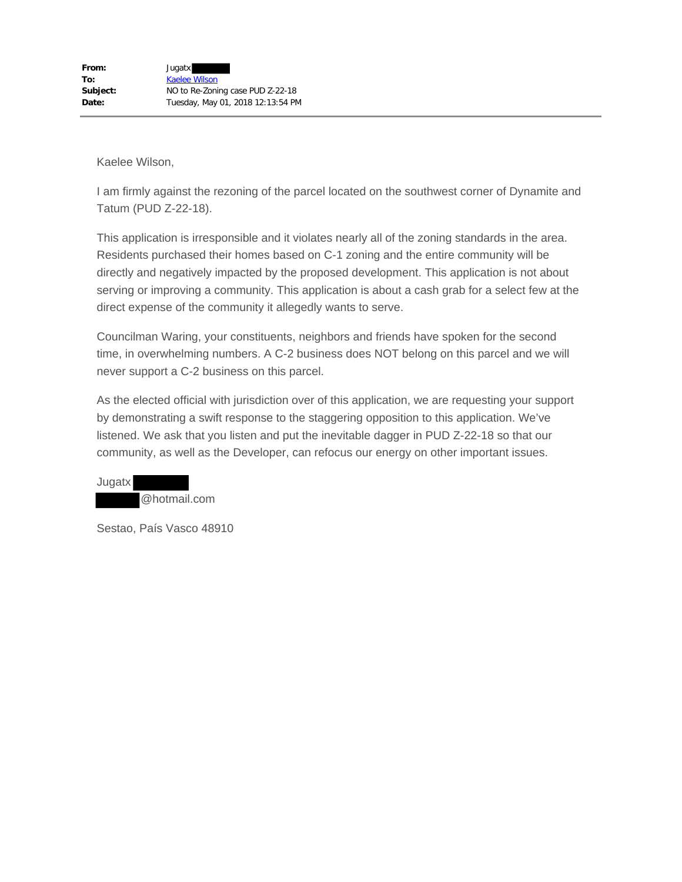I am firmly against the rezoning of the parcel located on the southwest corner of Dynamite and Tatum (PUD Z-22-18).

This application is irresponsible and it violates nearly all of the zoning standards in the area. Residents purchased their homes based on C-1 zoning and the entire community will be directly and negatively impacted by the proposed development. This application is not about serving or improving a community. This application is about a cash grab for a select few at the direct expense of the community it allegedly wants to serve.

Councilman Waring, your constituents, neighbors and friends have spoken for the second time, in overwhelming numbers. A C-2 business does NOT belong on this parcel and we will never support a C-2 business on this parcel.

As the elected official with jurisdiction over of this application, we are requesting your support by demonstrating a swift response to the staggering opposition to this application. We've listened. We ask that you listen and put the inevitable dagger in PUD Z-22-18 so that our community, as well as the Developer, can refocus our energy on other important issues.

Jugatx @hotmail.com

Sestao, País Vasco 48910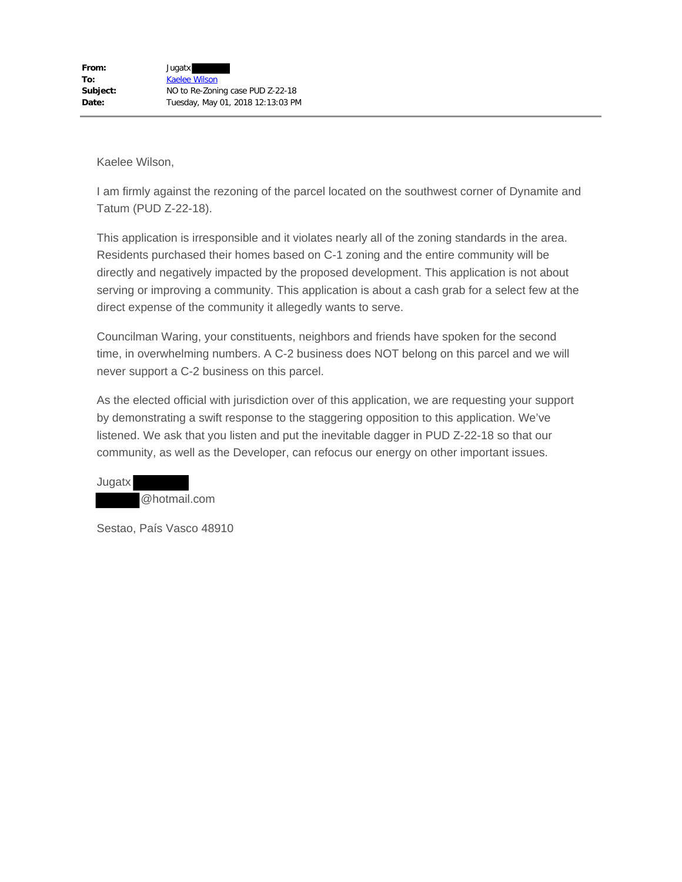I am firmly against the rezoning of the parcel located on the southwest corner of Dynamite and Tatum (PUD Z-22-18).

This application is irresponsible and it violates nearly all of the zoning standards in the area. Residents purchased their homes based on C-1 zoning and the entire community will be directly and negatively impacted by the proposed development. This application is not about serving or improving a community. This application is about a cash grab for a select few at the direct expense of the community it allegedly wants to serve.

Councilman Waring, your constituents, neighbors and friends have spoken for the second time, in overwhelming numbers. A C-2 business does NOT belong on this parcel and we will never support a C-2 business on this parcel.

As the elected official with jurisdiction over of this application, we are requesting your support by demonstrating a swift response to the staggering opposition to this application. We've listened. We ask that you listen and put the inevitable dagger in PUD Z-22-18 so that our community, as well as the Developer, can refocus our energy on other important issues.

Jugatx @hotmail.com

Sestao, País Vasco 48910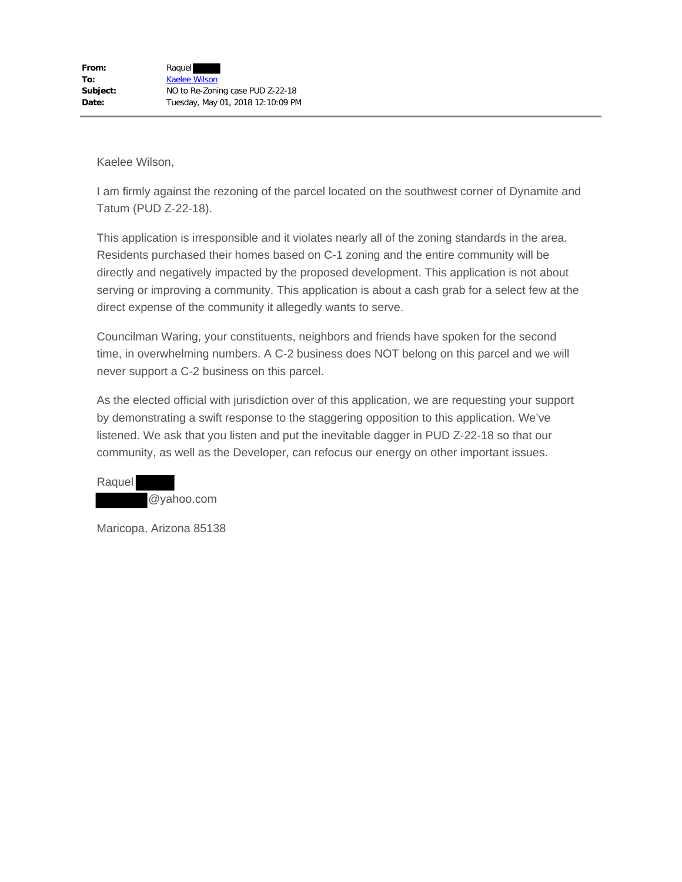I am firmly against the rezoning of the parcel located on the southwest corner of Dynamite and Tatum (PUD Z-22-18).

This application is irresponsible and it violates nearly all of the zoning standards in the area. Residents purchased their homes based on C-1 zoning and the entire community will be directly and negatively impacted by the proposed development. This application is not about serving or improving a community. This application is about a cash grab for a select few at the direct expense of the community it allegedly wants to serve.

Councilman Waring, your constituents, neighbors and friends have spoken for the second time, in overwhelming numbers. A C-2 business does NOT belong on this parcel and we will never support a C-2 business on this parcel.

As the elected official with jurisdiction over of this application, we are requesting your support by demonstrating a swift response to the staggering opposition to this application. We've listened. We ask that you listen and put the inevitable dagger in PUD Z-22-18 so that our community, as well as the Developer, can refocus our energy on other important issues.

Raquel @yahoo.com

Maricopa, Arizona 85138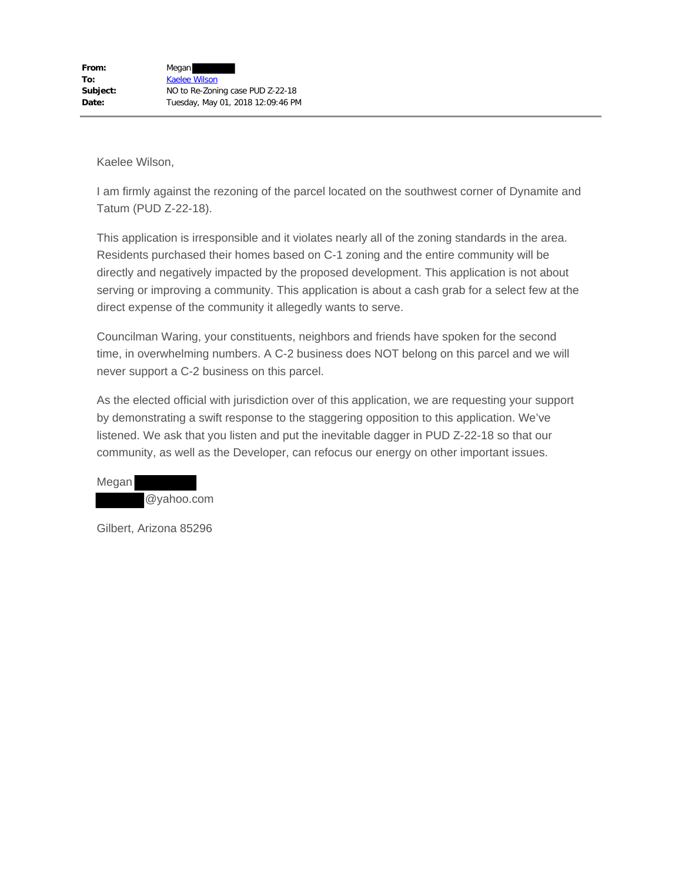I am firmly against the rezoning of the parcel located on the southwest corner of Dynamite and Tatum (PUD Z-22-18).

This application is irresponsible and it violates nearly all of the zoning standards in the area. Residents purchased their homes based on C-1 zoning and the entire community will be directly and negatively impacted by the proposed development. This application is not about serving or improving a community. This application is about a cash grab for a select few at the direct expense of the community it allegedly wants to serve.

Councilman Waring, your constituents, neighbors and friends have spoken for the second time, in overwhelming numbers. A C-2 business does NOT belong on this parcel and we will never support a C-2 business on this parcel.

As the elected official with jurisdiction over of this application, we are requesting your support by demonstrating a swift response to the staggering opposition to this application. We've listened. We ask that you listen and put the inevitable dagger in PUD Z-22-18 so that our community, as well as the Developer, can refocus our energy on other important issues.

Megan @yahoo.com

Gilbert, Arizona 85296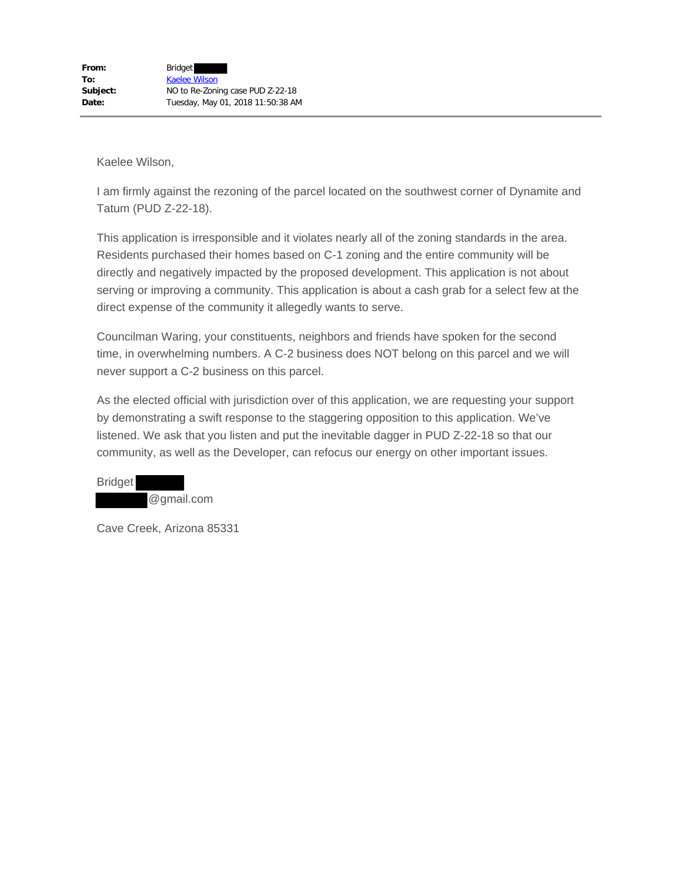I am firmly against the rezoning of the parcel located on the southwest corner of Dynamite and Tatum (PUD Z-22-18).

This application is irresponsible and it violates nearly all of the zoning standards in the area. Residents purchased their homes based on C-1 zoning and the entire community will be directly and negatively impacted by the proposed development. This application is not about serving or improving a community. This application is about a cash grab for a select few at the direct expense of the community it allegedly wants to serve.

Councilman Waring, your constituents, neighbors and friends have spoken for the second time, in overwhelming numbers. A C-2 business does NOT belong on this parcel and we will never support a C-2 business on this parcel.

As the elected official with jurisdiction over of this application, we are requesting your support by demonstrating a swift response to the staggering opposition to this application. We've listened. We ask that you listen and put the inevitable dagger in PUD Z-22-18 so that our community, as well as the Developer, can refocus our energy on other important issues.

Bridget @gmail.com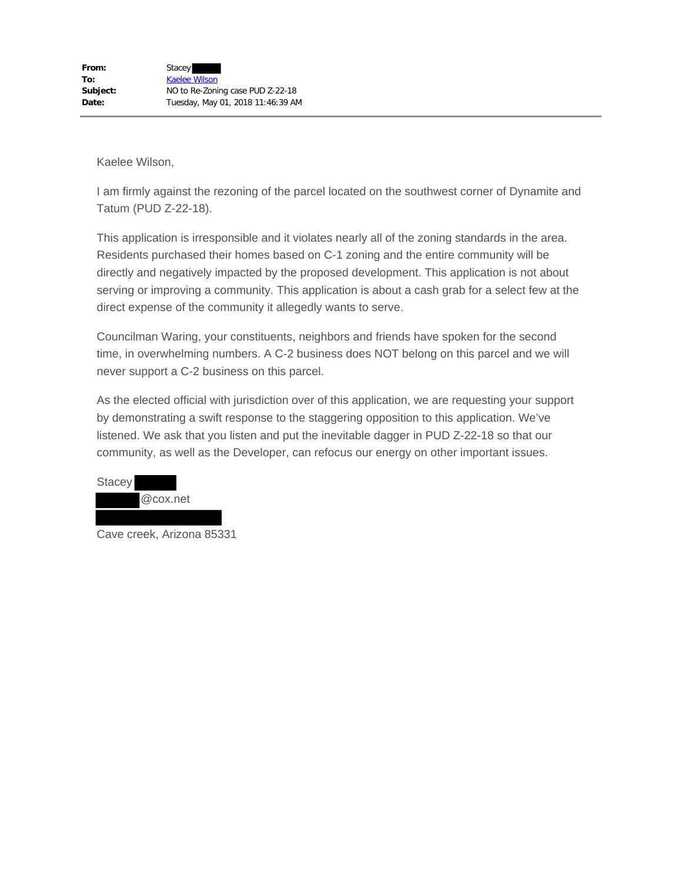I am firmly against the rezoning of the parcel located on the southwest corner of Dynamite and Tatum (PUD Z-22-18).

This application is irresponsible and it violates nearly all of the zoning standards in the area. Residents purchased their homes based on C-1 zoning and the entire community will be directly and negatively impacted by the proposed development. This application is not about serving or improving a community. This application is about a cash grab for a select few at the direct expense of the community it allegedly wants to serve.

Councilman Waring, your constituents, neighbors and friends have spoken for the second time, in overwhelming numbers. A C-2 business does NOT belong on this parcel and we will never support a C-2 business on this parcel.

As the elected official with jurisdiction over of this application, we are requesting your support by demonstrating a swift response to the staggering opposition to this application. We've listened. We ask that you listen and put the inevitable dagger in PUD Z-22-18 so that our community, as well as the Developer, can refocus our energy on other important issues.

| <b>Stacey</b> |          |
|---------------|----------|
|               | @cox.net |
|               |          |

Cave creek, Arizona 85331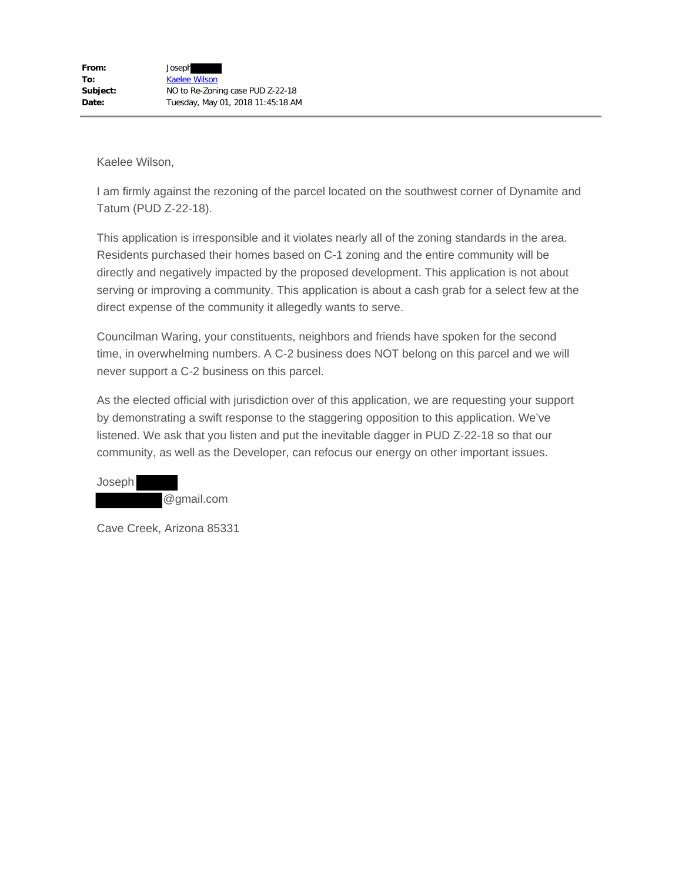I am firmly against the rezoning of the parcel located on the southwest corner of Dynamite and Tatum (PUD Z-22-18).

This application is irresponsible and it violates nearly all of the zoning standards in the area. Residents purchased their homes based on C-1 zoning and the entire community will be directly and negatively impacted by the proposed development. This application is not about serving or improving a community. This application is about a cash grab for a select few at the direct expense of the community it allegedly wants to serve.

Councilman Waring, your constituents, neighbors and friends have spoken for the second time, in overwhelming numbers. A C-2 business does NOT belong on this parcel and we will never support a C-2 business on this parcel.

As the elected official with jurisdiction over of this application, we are requesting your support by demonstrating a swift response to the staggering opposition to this application. We've listened. We ask that you listen and put the inevitable dagger in PUD Z-22-18 so that our community, as well as the Developer, can refocus our energy on other important issues.

Joseph @gmail.com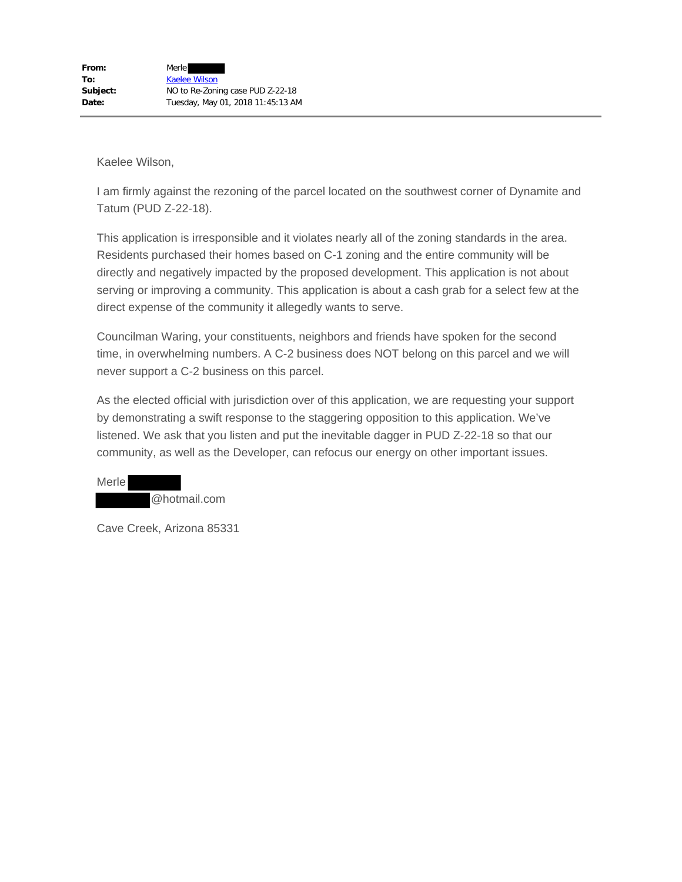I am firmly against the rezoning of the parcel located on the southwest corner of Dynamite and Tatum (PUD Z-22-18).

This application is irresponsible and it violates nearly all of the zoning standards in the area. Residents purchased their homes based on C-1 zoning and the entire community will be directly and negatively impacted by the proposed development. This application is not about serving or improving a community. This application is about a cash grab for a select few at the direct expense of the community it allegedly wants to serve.

Councilman Waring, your constituents, neighbors and friends have spoken for the second time, in overwhelming numbers. A C-2 business does NOT belong on this parcel and we will never support a C-2 business on this parcel.

As the elected official with jurisdiction over of this application, we are requesting your support by demonstrating a swift response to the staggering opposition to this application. We've listened. We ask that you listen and put the inevitable dagger in PUD Z-22-18 so that our community, as well as the Developer, can refocus our energy on other important issues.

Merle @hotmail.com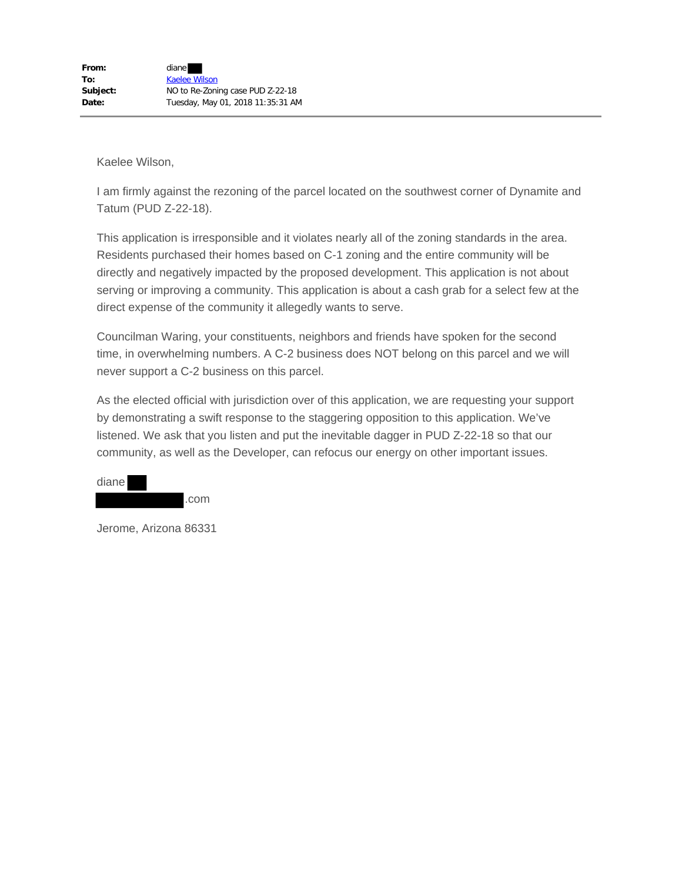I am firmly against the rezoning of the parcel located on the southwest corner of Dynamite and Tatum (PUD Z-22-18).

This application is irresponsible and it violates nearly all of the zoning standards in the area. Residents purchased their homes based on C-1 zoning and the entire community will be directly and negatively impacted by the proposed development. This application is not about serving or improving a community. This application is about a cash grab for a select few at the direct expense of the community it allegedly wants to serve.

Councilman Waring, your constituents, neighbors and friends have spoken for the second time, in overwhelming numbers. A C-2 business does NOT belong on this parcel and we will never support a C-2 business on this parcel.

As the elected official with jurisdiction over of this application, we are requesting your support by demonstrating a swift response to the staggering opposition to this application. We've listened. We ask that you listen and put the inevitable dagger in PUD Z-22-18 so that our community, as well as the Developer, can refocus our energy on other important issues.

| diane |      |
|-------|------|
|       | .com |

Jerome, Arizona 86331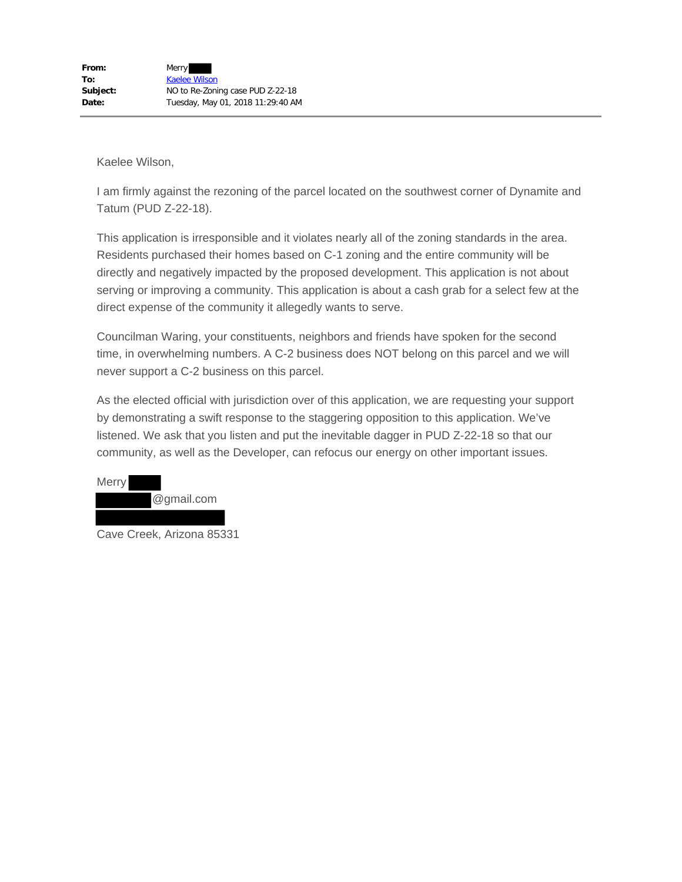I am firmly against the rezoning of the parcel located on the southwest corner of Dynamite and Tatum (PUD Z-22-18).

This application is irresponsible and it violates nearly all of the zoning standards in the area. Residents purchased their homes based on C-1 zoning and the entire community will be directly and negatively impacted by the proposed development. This application is not about serving or improving a community. This application is about a cash grab for a select few at the direct expense of the community it allegedly wants to serve.

Councilman Waring, your constituents, neighbors and friends have spoken for the second time, in overwhelming numbers. A C-2 business does NOT belong on this parcel and we will never support a C-2 business on this parcel.

As the elected official with jurisdiction over of this application, we are requesting your support by demonstrating a swift response to the staggering opposition to this application. We've listened. We ask that you listen and put the inevitable dagger in PUD Z-22-18 so that our community, as well as the Developer, can refocus our energy on other important issues.



Cave Creek, Arizona 85331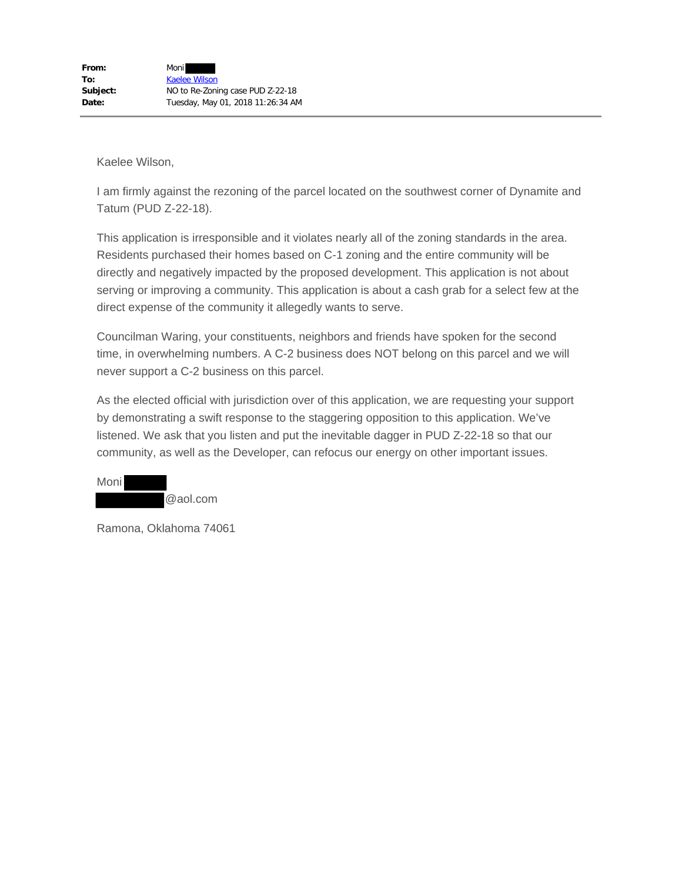I am firmly against the rezoning of the parcel located on the southwest corner of Dynamite and Tatum (PUD Z-22-18).

This application is irresponsible and it violates nearly all of the zoning standards in the area. Residents purchased their homes based on C-1 zoning and the entire community will be directly and negatively impacted by the proposed development. This application is not about serving or improving a community. This application is about a cash grab for a select few at the direct expense of the community it allegedly wants to serve.

Councilman Waring, your constituents, neighbors and friends have spoken for the second time, in overwhelming numbers. A C-2 business does NOT belong on this parcel and we will never support a C-2 business on this parcel.

As the elected official with jurisdiction over of this application, we are requesting your support by demonstrating a swift response to the staggering opposition to this application. We've listened. We ask that you listen and put the inevitable dagger in PUD Z-22-18 so that our community, as well as the Developer, can refocus our energy on other important issues.

| Moni |          |
|------|----------|
|      | @aol.com |

Ramona, Oklahoma 74061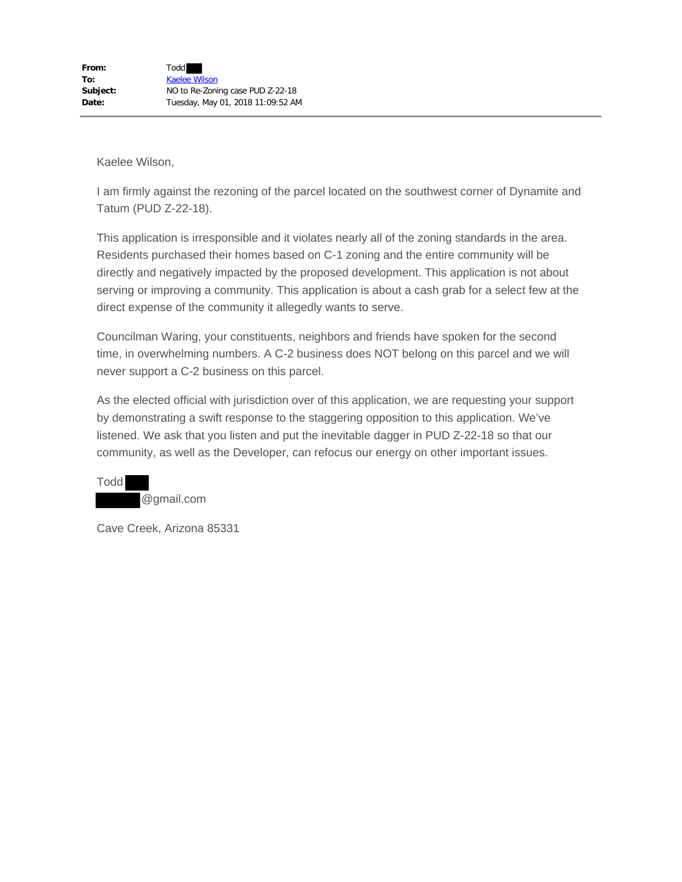I am firmly against the rezoning of the parcel located on the southwest corner of Dynamite and Tatum (PUD Z-22-18).

This application is irresponsible and it violates nearly all of the zoning standards in the area. Residents purchased their homes based on C-1 zoning and the entire community will be directly and negatively impacted by the proposed development. This application is not about serving or improving a community. This application is about a cash grab for a select few at the direct expense of the community it allegedly wants to serve.

Councilman Waring, your constituents, neighbors and friends have spoken for the second time, in overwhelming numbers. A C-2 business does NOT belong on this parcel and we will never support a C-2 business on this parcel.

As the elected official with jurisdiction over of this application, we are requesting your support by demonstrating a swift response to the staggering opposition to this application. We've listened. We ask that you listen and put the inevitable dagger in PUD Z-22-18 so that our community, as well as the Developer, can refocus our energy on other important issues.

Todd @gmail.com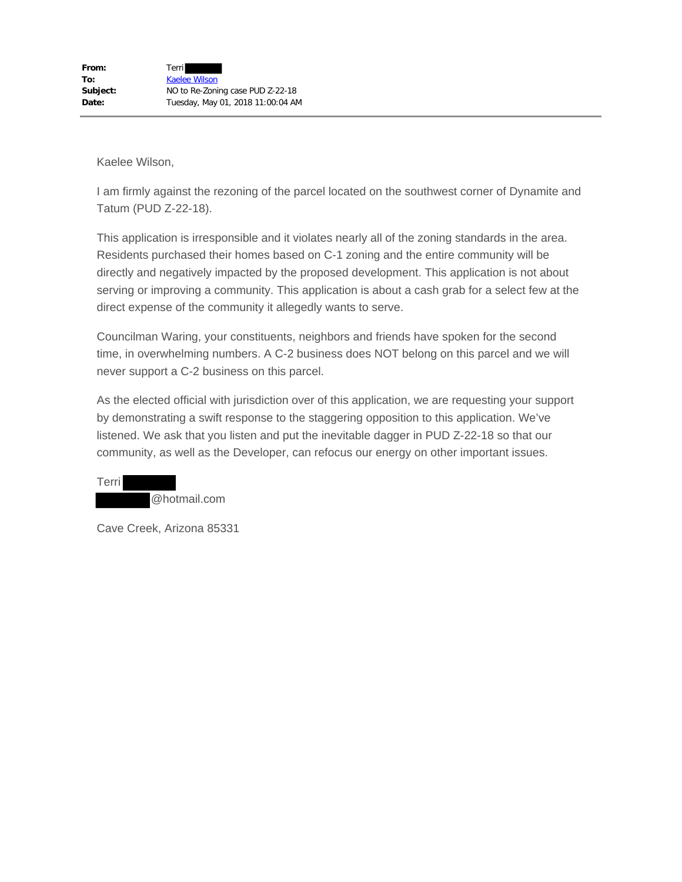I am firmly against the rezoning of the parcel located on the southwest corner of Dynamite and Tatum (PUD Z-22-18).

This application is irresponsible and it violates nearly all of the zoning standards in the area. Residents purchased their homes based on C-1 zoning and the entire community will be directly and negatively impacted by the proposed development. This application is not about serving or improving a community. This application is about a cash grab for a select few at the direct expense of the community it allegedly wants to serve.

Councilman Waring, your constituents, neighbors and friends have spoken for the second time, in overwhelming numbers. A C-2 business does NOT belong on this parcel and we will never support a C-2 business on this parcel.

As the elected official with jurisdiction over of this application, we are requesting your support by demonstrating a swift response to the staggering opposition to this application. We've listened. We ask that you listen and put the inevitable dagger in PUD Z-22-18 so that our community, as well as the Developer, can refocus our energy on other important issues.

Terri @hotmail.com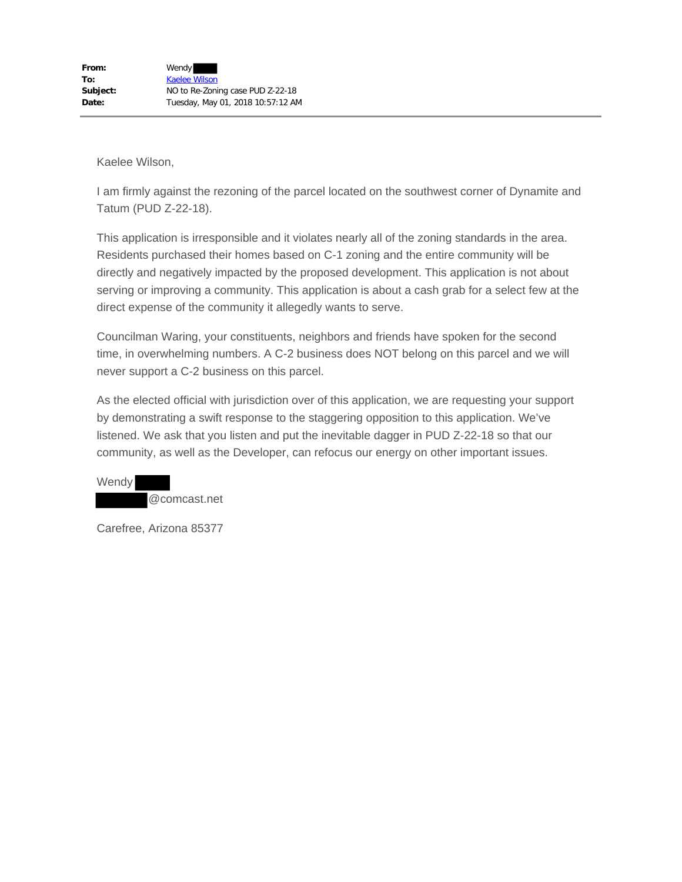I am firmly against the rezoning of the parcel located on the southwest corner of Dynamite and Tatum (PUD Z-22-18).

This application is irresponsible and it violates nearly all of the zoning standards in the area. Residents purchased their homes based on C-1 zoning and the entire community will be directly and negatively impacted by the proposed development. This application is not about serving or improving a community. This application is about a cash grab for a select few at the direct expense of the community it allegedly wants to serve.

Councilman Waring, your constituents, neighbors and friends have spoken for the second time, in overwhelming numbers. A C-2 business does NOT belong on this parcel and we will never support a C-2 business on this parcel.

As the elected official with jurisdiction over of this application, we are requesting your support by demonstrating a swift response to the staggering opposition to this application. We've listened. We ask that you listen and put the inevitable dagger in PUD Z-22-18 so that our community, as well as the Developer, can refocus our energy on other important issues.

Wendy @comcast.net

Carefree, Arizona 85377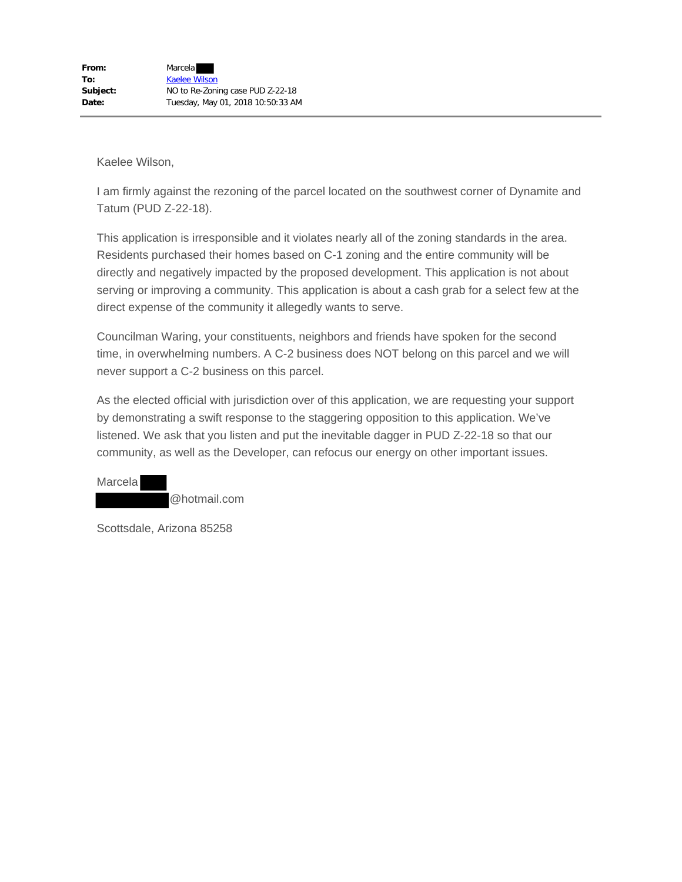I am firmly against the rezoning of the parcel located on the southwest corner of Dynamite and Tatum (PUD Z-22-18).

This application is irresponsible and it violates nearly all of the zoning standards in the area. Residents purchased their homes based on C-1 zoning and the entire community will be directly and negatively impacted by the proposed development. This application is not about serving or improving a community. This application is about a cash grab for a select few at the direct expense of the community it allegedly wants to serve.

Councilman Waring, your constituents, neighbors and friends have spoken for the second time, in overwhelming numbers. A C-2 business does NOT belong on this parcel and we will never support a C-2 business on this parcel.

As the elected official with jurisdiction over of this application, we are requesting your support by demonstrating a swift response to the staggering opposition to this application. We've listened. We ask that you listen and put the inevitable dagger in PUD Z-22-18 so that our community, as well as the Developer, can refocus our energy on other important issues.

**Marcela** @hotmail.com

Scottsdale, Arizona 85258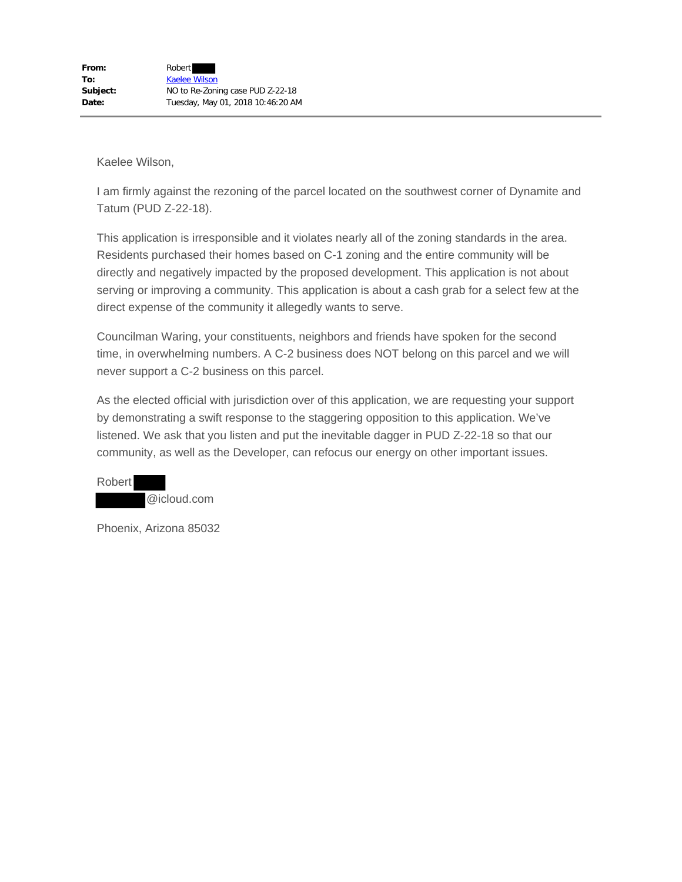I am firmly against the rezoning of the parcel located on the southwest corner of Dynamite and Tatum (PUD Z-22-18).

This application is irresponsible and it violates nearly all of the zoning standards in the area. Residents purchased their homes based on C-1 zoning and the entire community will be directly and negatively impacted by the proposed development. This application is not about serving or improving a community. This application is about a cash grab for a select few at the direct expense of the community it allegedly wants to serve.

Councilman Waring, your constituents, neighbors and friends have spoken for the second time, in overwhelming numbers. A C-2 business does NOT belong on this parcel and we will never support a C-2 business on this parcel.

As the elected official with jurisdiction over of this application, we are requesting your support by demonstrating a swift response to the staggering opposition to this application. We've listened. We ask that you listen and put the inevitable dagger in PUD Z-22-18 so that our community, as well as the Developer, can refocus our energy on other important issues.



Phoenix, Arizona 85032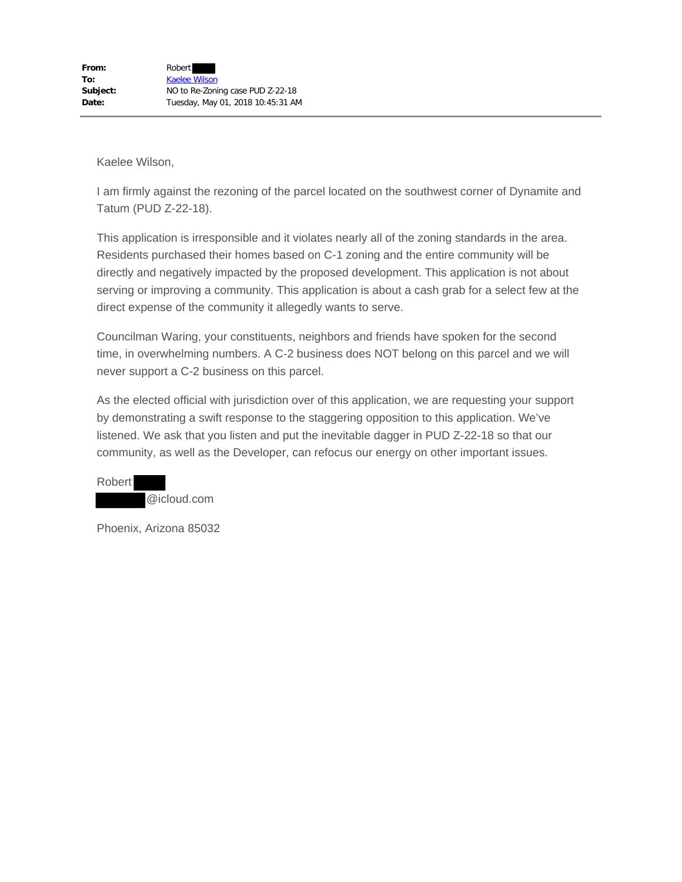I am firmly against the rezoning of the parcel located on the southwest corner of Dynamite and Tatum (PUD Z-22-18).

This application is irresponsible and it violates nearly all of the zoning standards in the area. Residents purchased their homes based on C-1 zoning and the entire community will be directly and negatively impacted by the proposed development. This application is not about serving or improving a community. This application is about a cash grab for a select few at the direct expense of the community it allegedly wants to serve.

Councilman Waring, your constituents, neighbors and friends have spoken for the second time, in overwhelming numbers. A C-2 business does NOT belong on this parcel and we will never support a C-2 business on this parcel.

As the elected official with jurisdiction over of this application, we are requesting your support by demonstrating a swift response to the staggering opposition to this application. We've listened. We ask that you listen and put the inevitable dagger in PUD Z-22-18 so that our community, as well as the Developer, can refocus our energy on other important issues.



Phoenix, Arizona 85032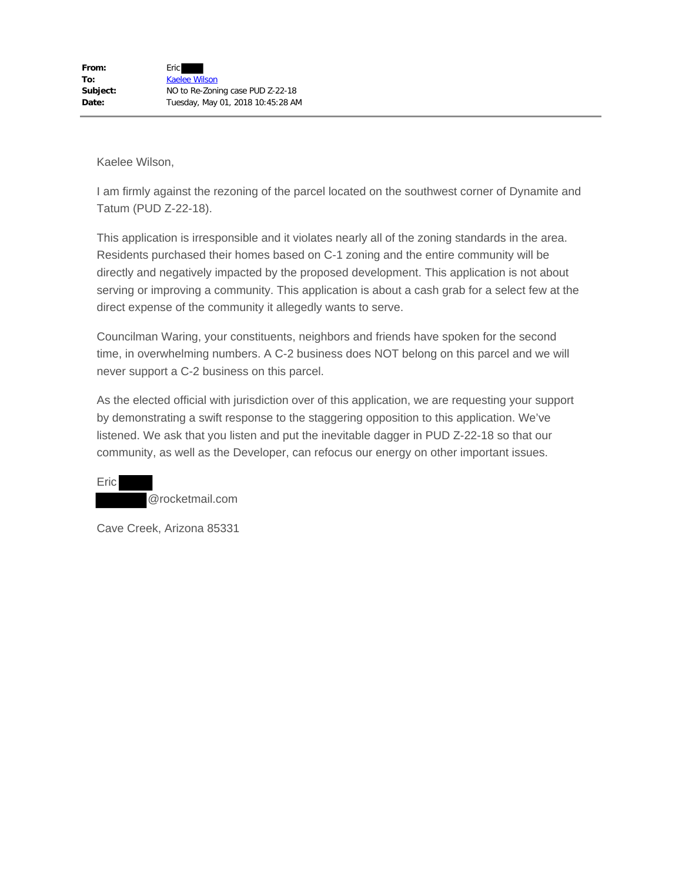I am firmly against the rezoning of the parcel located on the southwest corner of Dynamite and Tatum (PUD Z-22-18).

This application is irresponsible and it violates nearly all of the zoning standards in the area. Residents purchased their homes based on C-1 zoning and the entire community will be directly and negatively impacted by the proposed development. This application is not about serving or improving a community. This application is about a cash grab for a select few at the direct expense of the community it allegedly wants to serve.

Councilman Waring, your constituents, neighbors and friends have spoken for the second time, in overwhelming numbers. A C-2 business does NOT belong on this parcel and we will never support a C-2 business on this parcel.

As the elected official with jurisdiction over of this application, we are requesting your support by demonstrating a swift response to the staggering opposition to this application. We've listened. We ask that you listen and put the inevitable dagger in PUD Z-22-18 so that our community, as well as the Developer, can refocus our energy on other important issues.

Eric @rocketmail.com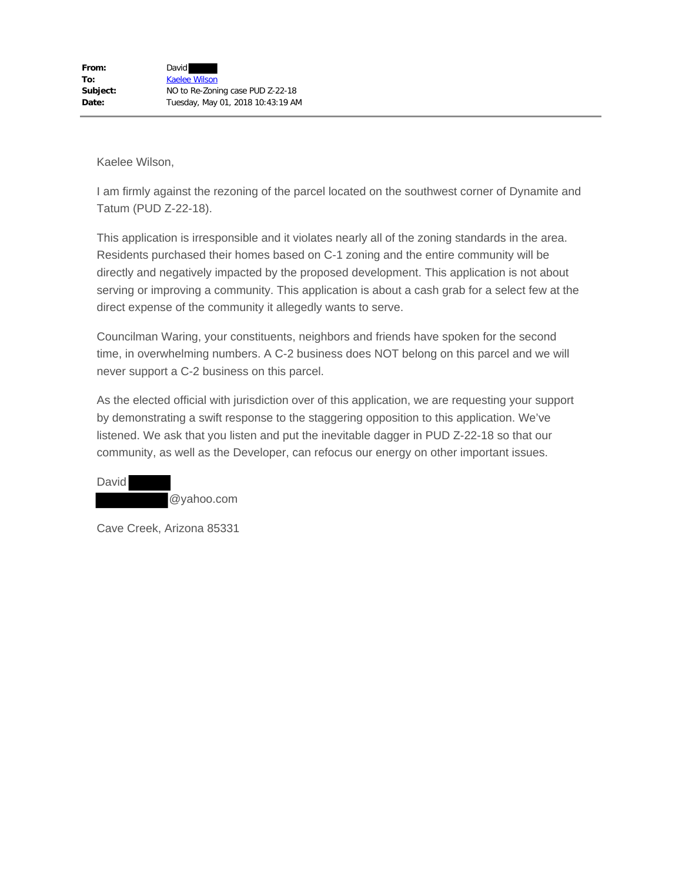I am firmly against the rezoning of the parcel located on the southwest corner of Dynamite and Tatum (PUD Z-22-18).

This application is irresponsible and it violates nearly all of the zoning standards in the area. Residents purchased their homes based on C-1 zoning and the entire community will be directly and negatively impacted by the proposed development. This application is not about serving or improving a community. This application is about a cash grab for a select few at the direct expense of the community it allegedly wants to serve.

Councilman Waring, your constituents, neighbors and friends have spoken for the second time, in overwhelming numbers. A C-2 business does NOT belong on this parcel and we will never support a C-2 business on this parcel.

As the elected official with jurisdiction over of this application, we are requesting your support by demonstrating a swift response to the staggering opposition to this application. We've listened. We ask that you listen and put the inevitable dagger in PUD Z-22-18 so that our community, as well as the Developer, can refocus our energy on other important issues.

David @yahoo.com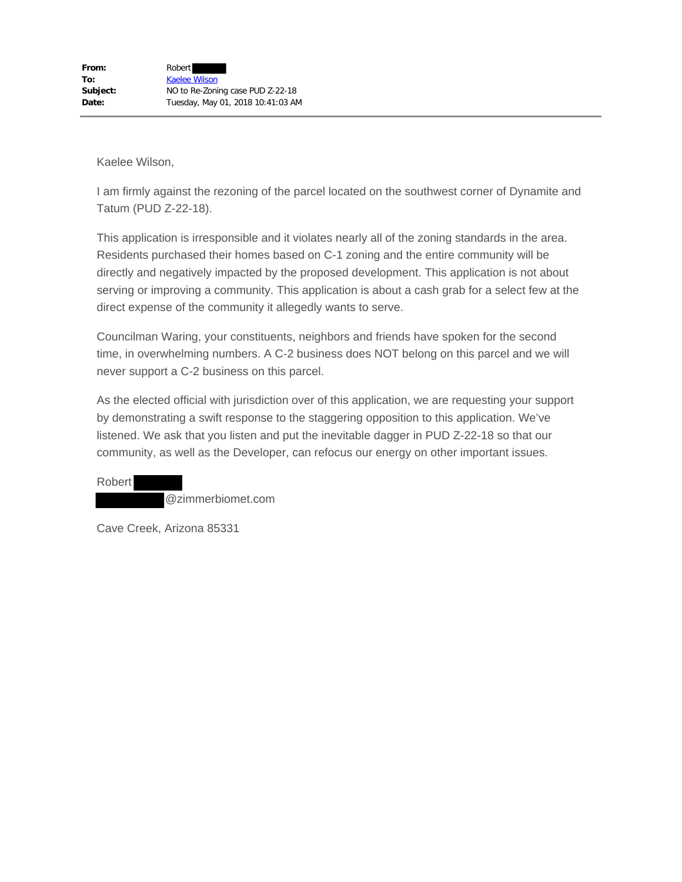I am firmly against the rezoning of the parcel located on the southwest corner of Dynamite and Tatum (PUD Z-22-18).

This application is irresponsible and it violates nearly all of the zoning standards in the area. Residents purchased their homes based on C-1 zoning and the entire community will be directly and negatively impacted by the proposed development. This application is not about serving or improving a community. This application is about a cash grab for a select few at the direct expense of the community it allegedly wants to serve.

Councilman Waring, your constituents, neighbors and friends have spoken for the second time, in overwhelming numbers. A C-2 business does NOT belong on this parcel and we will never support a C-2 business on this parcel.

As the elected official with jurisdiction over of this application, we are requesting your support by demonstrating a swift response to the staggering opposition to this application. We've listened. We ask that you listen and put the inevitable dagger in PUD Z-22-18 so that our community, as well as the Developer, can refocus our energy on other important issues.

Robert @zimmerbiomet.com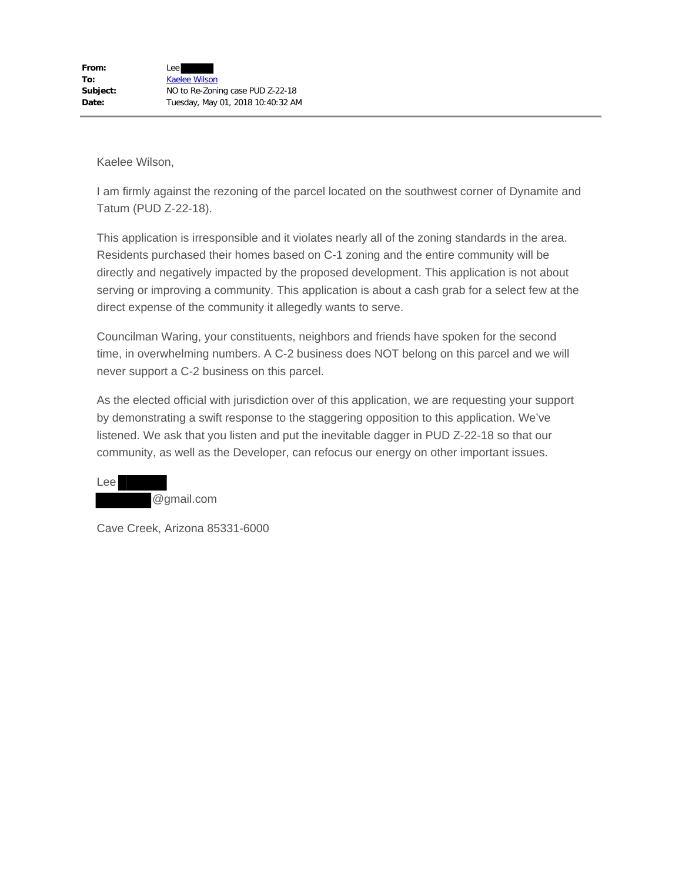I am firmly against the rezoning of the parcel located on the southwest corner of Dynamite and Tatum (PUD Z-22-18).

This application is irresponsible and it violates nearly all of the zoning standards in the area. Residents purchased their homes based on C-1 zoning and the entire community will be directly and negatively impacted by the proposed development. This application is not about serving or improving a community. This application is about a cash grab for a select few at the direct expense of the community it allegedly wants to serve.

Councilman Waring, your constituents, neighbors and friends have spoken for the second time, in overwhelming numbers. A C-2 business does NOT belong on this parcel and we will never support a C-2 business on this parcel.

As the elected official with jurisdiction over of this application, we are requesting your support by demonstrating a swift response to the staggering opposition to this application. We've listened. We ask that you listen and put the inevitable dagger in PUD Z-22-18 so that our community, as well as the Developer, can refocus our energy on other important issues.



Cave Creek, Arizona 85331-6000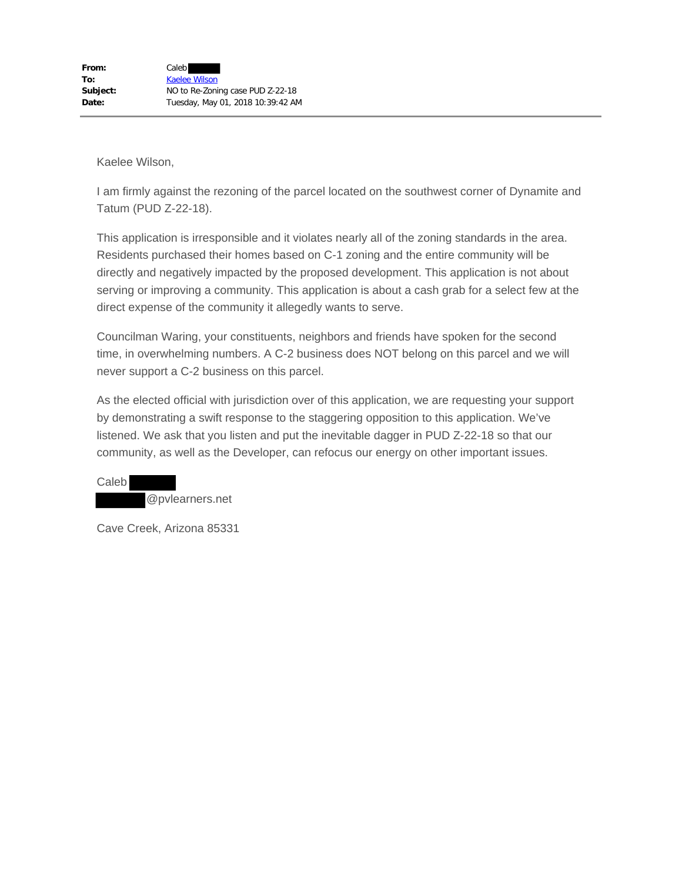I am firmly against the rezoning of the parcel located on the southwest corner of Dynamite and Tatum (PUD Z-22-18).

This application is irresponsible and it violates nearly all of the zoning standards in the area. Residents purchased their homes based on C-1 zoning and the entire community will be directly and negatively impacted by the proposed development. This application is not about serving or improving a community. This application is about a cash grab for a select few at the direct expense of the community it allegedly wants to serve.

Councilman Waring, your constituents, neighbors and friends have spoken for the second time, in overwhelming numbers. A C-2 business does NOT belong on this parcel and we will never support a C-2 business on this parcel.

As the elected official with jurisdiction over of this application, we are requesting your support by demonstrating a swift response to the staggering opposition to this application. We've listened. We ask that you listen and put the inevitable dagger in PUD Z-22-18 so that our community, as well as the Developer, can refocus our energy on other important issues.

Caleb @pvlearners.net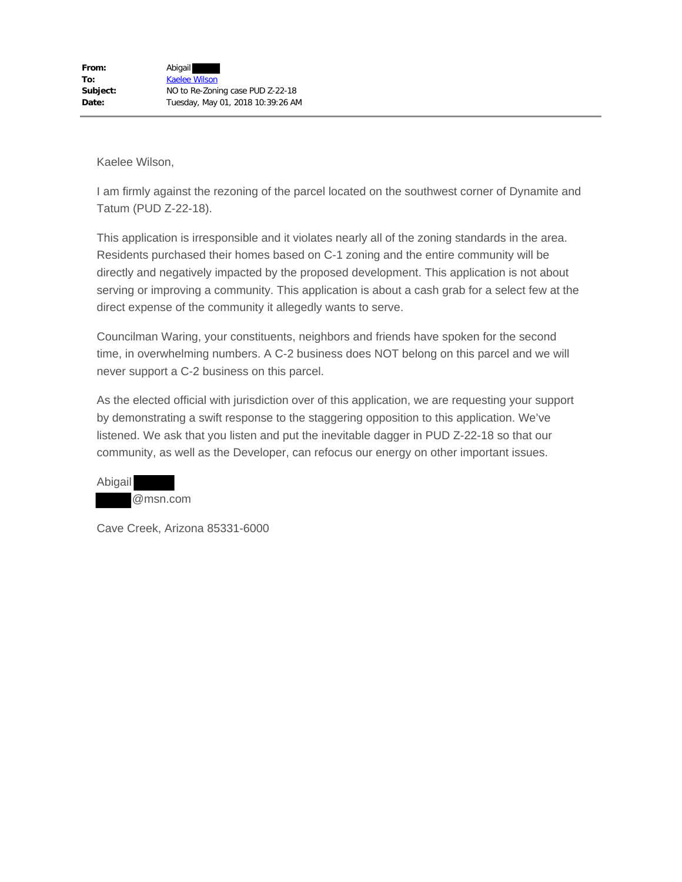I am firmly against the rezoning of the parcel located on the southwest corner of Dynamite and Tatum (PUD Z-22-18).

This application is irresponsible and it violates nearly all of the zoning standards in the area. Residents purchased their homes based on C-1 zoning and the entire community will be directly and negatively impacted by the proposed development. This application is not about serving or improving a community. This application is about a cash grab for a select few at the direct expense of the community it allegedly wants to serve.

Councilman Waring, your constituents, neighbors and friends have spoken for the second time, in overwhelming numbers. A C-2 business does NOT belong on this parcel and we will never support a C-2 business on this parcel.

As the elected official with jurisdiction over of this application, we are requesting your support by demonstrating a swift response to the staggering opposition to this application. We've listened. We ask that you listen and put the inevitable dagger in PUD Z-22-18 so that our community, as well as the Developer, can refocus our energy on other important issues.

| Abigail |          |
|---------|----------|
|         | @msn.com |

Cave Creek, Arizona 85331-6000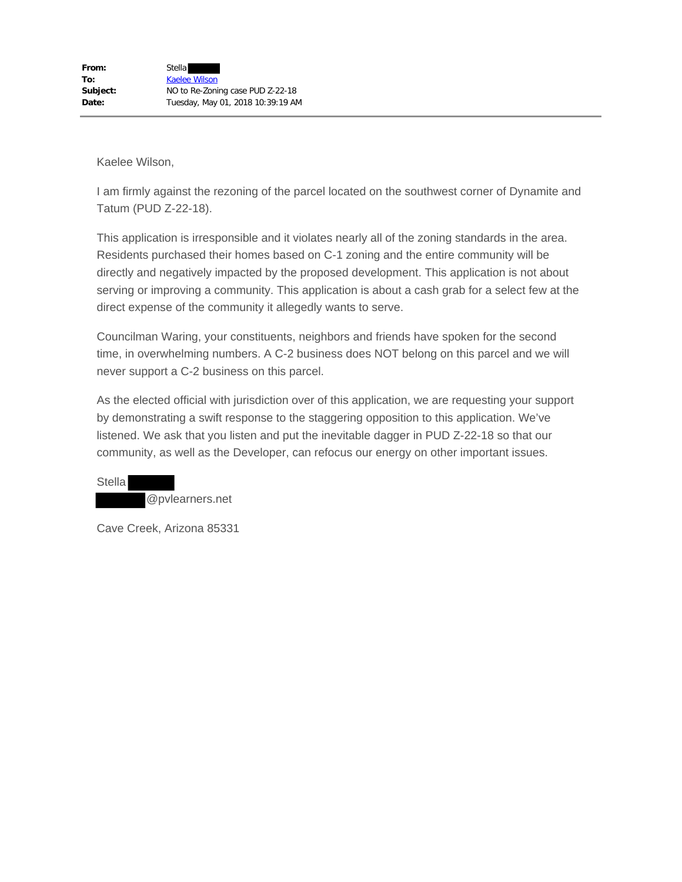I am firmly against the rezoning of the parcel located on the southwest corner of Dynamite and Tatum (PUD Z-22-18).

This application is irresponsible and it violates nearly all of the zoning standards in the area. Residents purchased their homes based on C-1 zoning and the entire community will be directly and negatively impacted by the proposed development. This application is not about serving or improving a community. This application is about a cash grab for a select few at the direct expense of the community it allegedly wants to serve.

Councilman Waring, your constituents, neighbors and friends have spoken for the second time, in overwhelming numbers. A C-2 business does NOT belong on this parcel and we will never support a C-2 business on this parcel.

As the elected official with jurisdiction over of this application, we are requesting your support by demonstrating a swift response to the staggering opposition to this application. We've listened. We ask that you listen and put the inevitable dagger in PUD Z-22-18 so that our community, as well as the Developer, can refocus our energy on other important issues.

**Stella** @pvlearners.net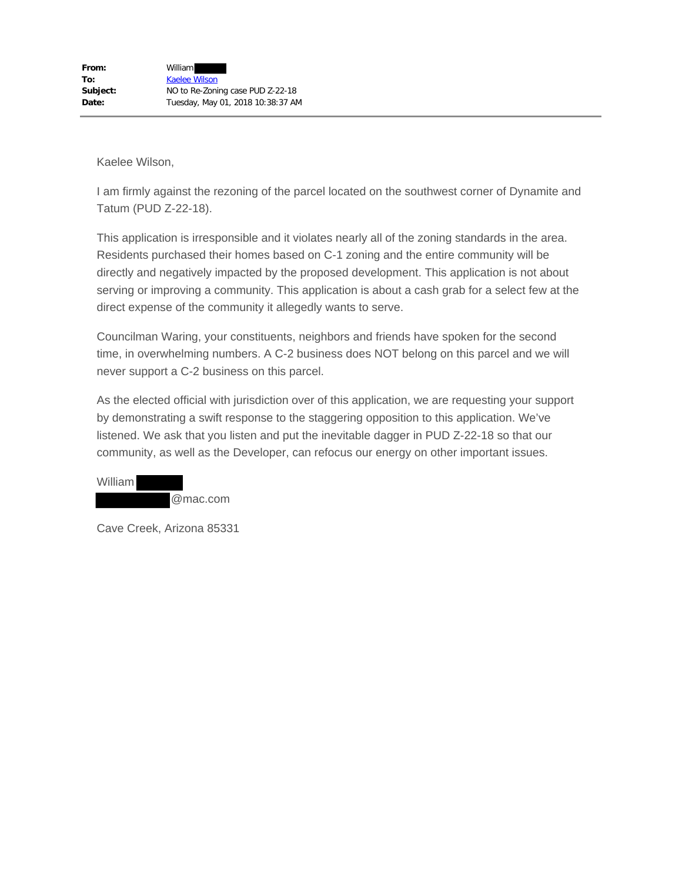I am firmly against the rezoning of the parcel located on the southwest corner of Dynamite and Tatum (PUD Z-22-18).

This application is irresponsible and it violates nearly all of the zoning standards in the area. Residents purchased their homes based on C-1 zoning and the entire community will be directly and negatively impacted by the proposed development. This application is not about serving or improving a community. This application is about a cash grab for a select few at the direct expense of the community it allegedly wants to serve.

Councilman Waring, your constituents, neighbors and friends have spoken for the second time, in overwhelming numbers. A C-2 business does NOT belong on this parcel and we will never support a C-2 business on this parcel.

As the elected official with jurisdiction over of this application, we are requesting your support by demonstrating a swift response to the staggering opposition to this application. We've listened. We ask that you listen and put the inevitable dagger in PUD Z-22-18 so that our community, as well as the Developer, can refocus our energy on other important issues.

| William |          |
|---------|----------|
|         | @mac.com |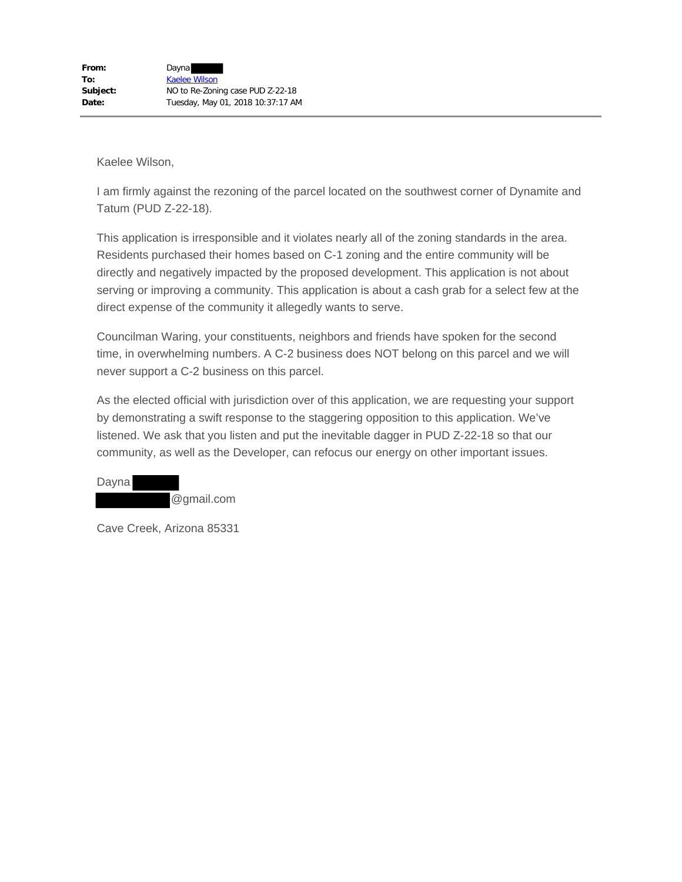I am firmly against the rezoning of the parcel located on the southwest corner of Dynamite and Tatum (PUD Z-22-18).

This application is irresponsible and it violates nearly all of the zoning standards in the area. Residents purchased their homes based on C-1 zoning and the entire community will be directly and negatively impacted by the proposed development. This application is not about serving or improving a community. This application is about a cash grab for a select few at the direct expense of the community it allegedly wants to serve.

Councilman Waring, your constituents, neighbors and friends have spoken for the second time, in overwhelming numbers. A C-2 business does NOT belong on this parcel and we will never support a C-2 business on this parcel.

As the elected official with jurisdiction over of this application, we are requesting your support by demonstrating a swift response to the staggering opposition to this application. We've listened. We ask that you listen and put the inevitable dagger in PUD Z-22-18 so that our community, as well as the Developer, can refocus our energy on other important issues.

Dayna @gmail.com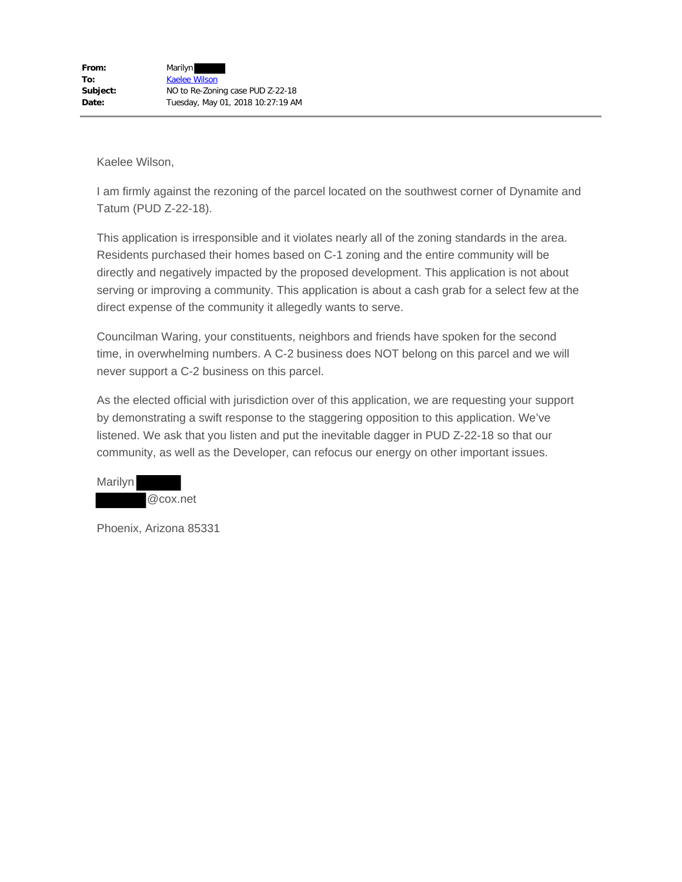I am firmly against the rezoning of the parcel located on the southwest corner of Dynamite and Tatum (PUD Z-22-18).

This application is irresponsible and it violates nearly all of the zoning standards in the area. Residents purchased their homes based on C-1 zoning and the entire community will be directly and negatively impacted by the proposed development. This application is not about serving or improving a community. This application is about a cash grab for a select few at the direct expense of the community it allegedly wants to serve.

Councilman Waring, your constituents, neighbors and friends have spoken for the second time, in overwhelming numbers. A C-2 business does NOT belong on this parcel and we will never support a C-2 business on this parcel.

As the elected official with jurisdiction over of this application, we are requesting your support by demonstrating a swift response to the staggering opposition to this application. We've listened. We ask that you listen and put the inevitable dagger in PUD Z-22-18 so that our community, as well as the Developer, can refocus our energy on other important issues.

| Marilyn |          |
|---------|----------|
|         | @cox.net |

Phoenix, Arizona 85331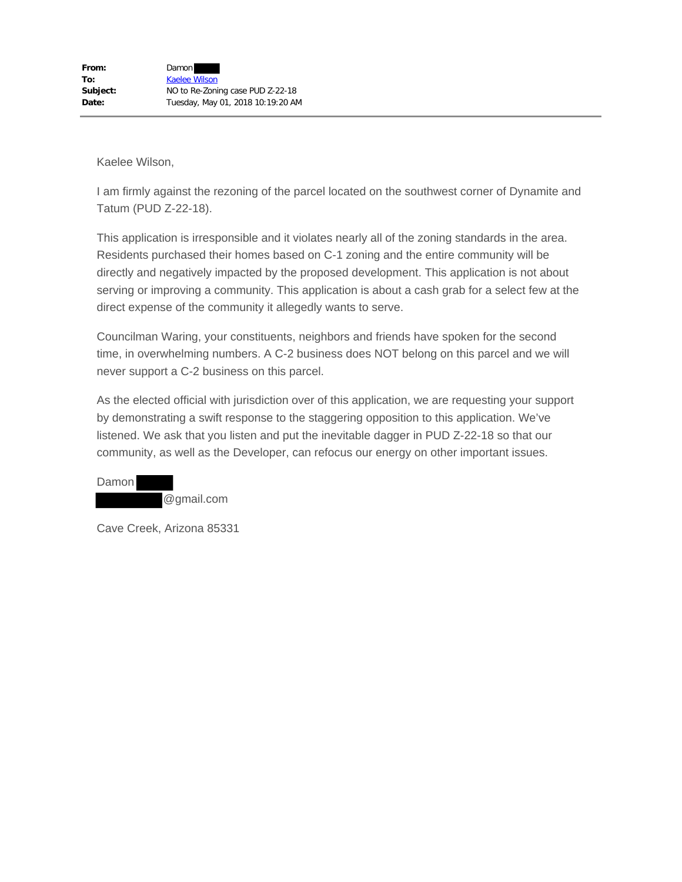I am firmly against the rezoning of the parcel located on the southwest corner of Dynamite and Tatum (PUD Z-22-18).

This application is irresponsible and it violates nearly all of the zoning standards in the area. Residents purchased their homes based on C-1 zoning and the entire community will be directly and negatively impacted by the proposed development. This application is not about serving or improving a community. This application is about a cash grab for a select few at the direct expense of the community it allegedly wants to serve.

Councilman Waring, your constituents, neighbors and friends have spoken for the second time, in overwhelming numbers. A C-2 business does NOT belong on this parcel and we will never support a C-2 business on this parcel.

As the elected official with jurisdiction over of this application, we are requesting your support by demonstrating a swift response to the staggering opposition to this application. We've listened. We ask that you listen and put the inevitable dagger in PUD Z-22-18 so that our community, as well as the Developer, can refocus our energy on other important issues.

Damon @gmail.com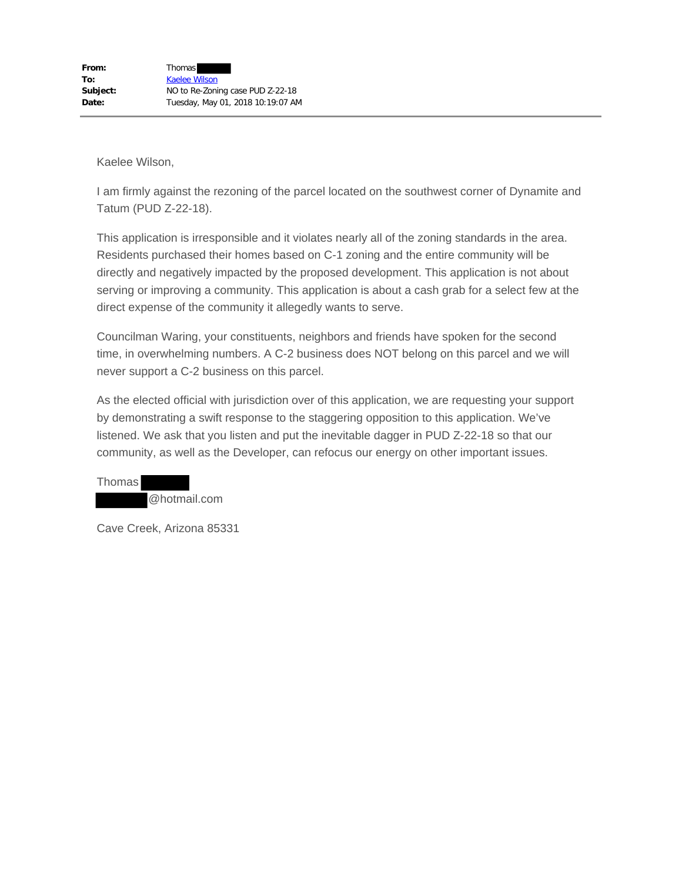I am firmly against the rezoning of the parcel located on the southwest corner of Dynamite and Tatum (PUD Z-22-18).

This application is irresponsible and it violates nearly all of the zoning standards in the area. Residents purchased their homes based on C-1 zoning and the entire community will be directly and negatively impacted by the proposed development. This application is not about serving or improving a community. This application is about a cash grab for a select few at the direct expense of the community it allegedly wants to serve.

Councilman Waring, your constituents, neighbors and friends have spoken for the second time, in overwhelming numbers. A C-2 business does NOT belong on this parcel and we will never support a C-2 business on this parcel.

As the elected official with jurisdiction over of this application, we are requesting your support by demonstrating a swift response to the staggering opposition to this application. We've listened. We ask that you listen and put the inevitable dagger in PUD Z-22-18 so that our community, as well as the Developer, can refocus our energy on other important issues.

Thomas @hotmail.com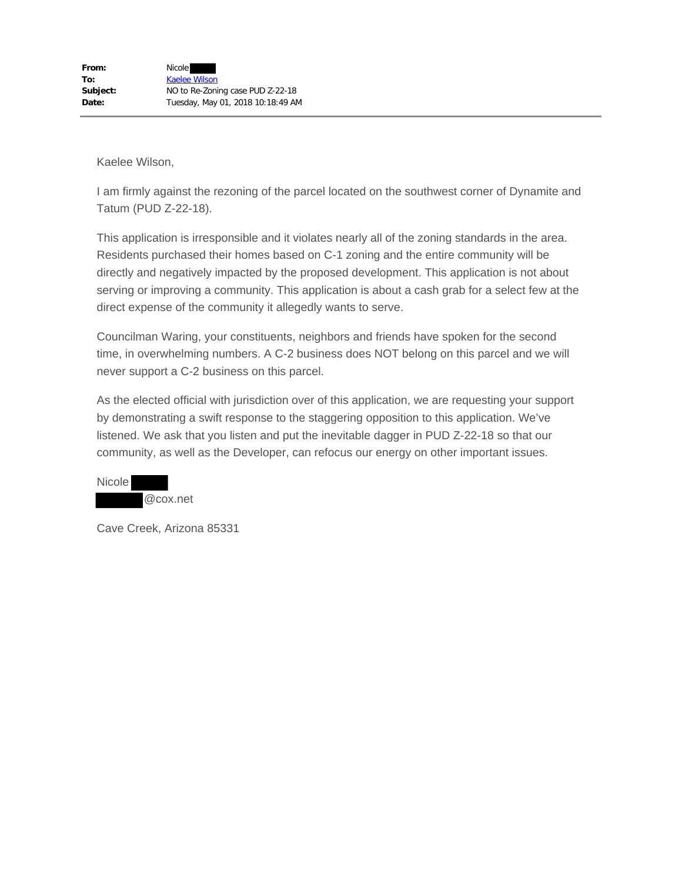I am firmly against the rezoning of the parcel located on the southwest corner of Dynamite and Tatum (PUD Z-22-18).

This application is irresponsible and it violates nearly all of the zoning standards in the area. Residents purchased their homes based on C-1 zoning and the entire community will be directly and negatively impacted by the proposed development. This application is not about serving or improving a community. This application is about a cash grab for a select few at the direct expense of the community it allegedly wants to serve.

Councilman Waring, your constituents, neighbors and friends have spoken for the second time, in overwhelming numbers. A C-2 business does NOT belong on this parcel and we will never support a C-2 business on this parcel.

As the elected official with jurisdiction over of this application, we are requesting your support by demonstrating a swift response to the staggering opposition to this application. We've listened. We ask that you listen and put the inevitable dagger in PUD Z-22-18 so that our community, as well as the Developer, can refocus our energy on other important issues.

| <b>Nicole</b> |          |
|---------------|----------|
|               | @cox.net |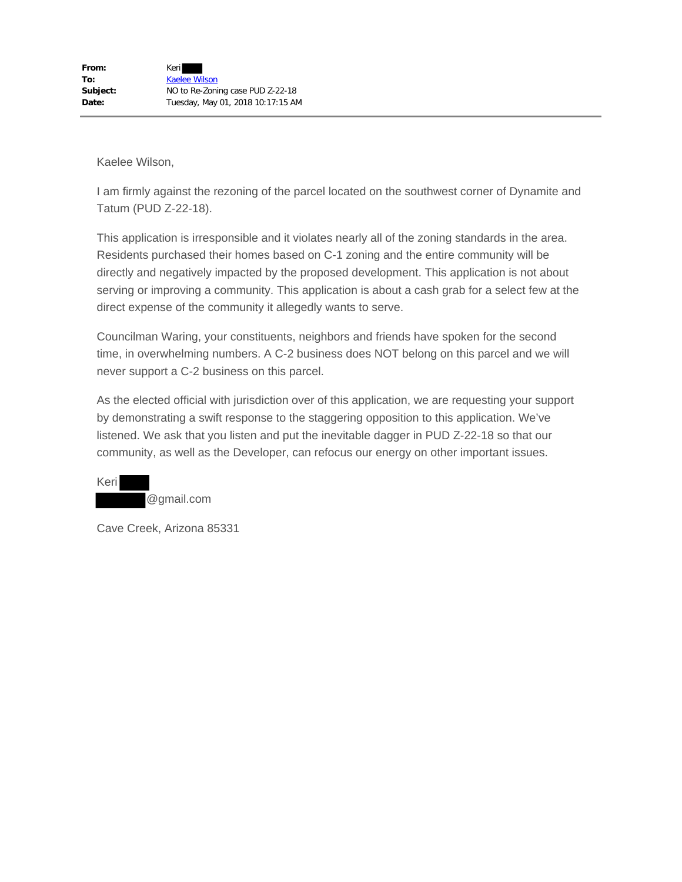I am firmly against the rezoning of the parcel located on the southwest corner of Dynamite and Tatum (PUD Z-22-18).

This application is irresponsible and it violates nearly all of the zoning standards in the area. Residents purchased their homes based on C-1 zoning and the entire community will be directly and negatively impacted by the proposed development. This application is not about serving or improving a community. This application is about a cash grab for a select few at the direct expense of the community it allegedly wants to serve.

Councilman Waring, your constituents, neighbors and friends have spoken for the second time, in overwhelming numbers. A C-2 business does NOT belong on this parcel and we will never support a C-2 business on this parcel.

As the elected official with jurisdiction over of this application, we are requesting your support by demonstrating a swift response to the staggering opposition to this application. We've listened. We ask that you listen and put the inevitable dagger in PUD Z-22-18 so that our community, as well as the Developer, can refocus our energy on other important issues.

Keri @gmail.com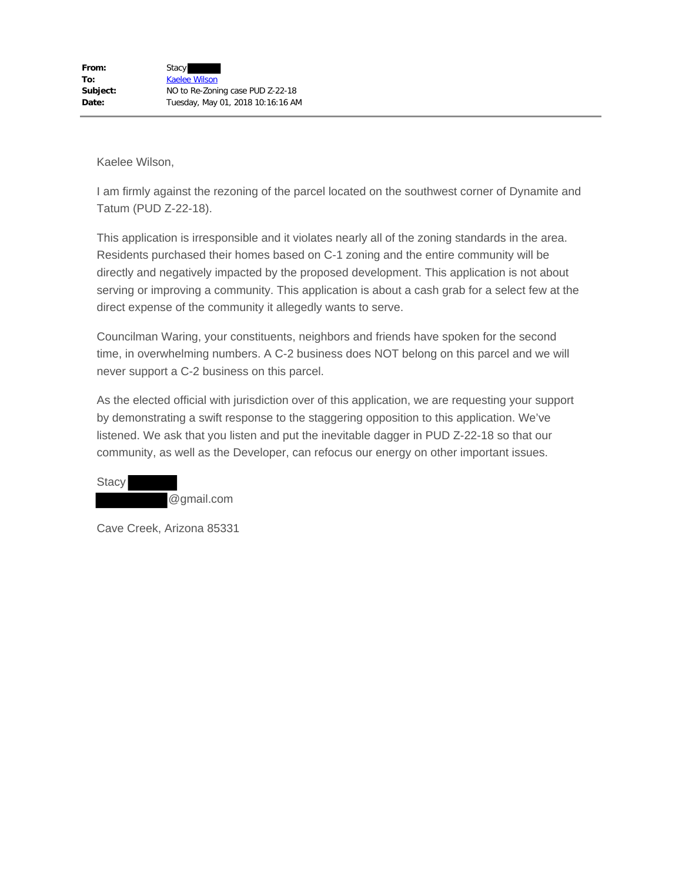I am firmly against the rezoning of the parcel located on the southwest corner of Dynamite and Tatum (PUD Z-22-18).

This application is irresponsible and it violates nearly all of the zoning standards in the area. Residents purchased their homes based on C-1 zoning and the entire community will be directly and negatively impacted by the proposed development. This application is not about serving or improving a community. This application is about a cash grab for a select few at the direct expense of the community it allegedly wants to serve.

Councilman Waring, your constituents, neighbors and friends have spoken for the second time, in overwhelming numbers. A C-2 business does NOT belong on this parcel and we will never support a C-2 business on this parcel.

As the elected official with jurisdiction over of this application, we are requesting your support by demonstrating a swift response to the staggering opposition to this application. We've listened. We ask that you listen and put the inevitable dagger in PUD Z-22-18 so that our community, as well as the Developer, can refocus our energy on other important issues.

**Stacy** @gmail.com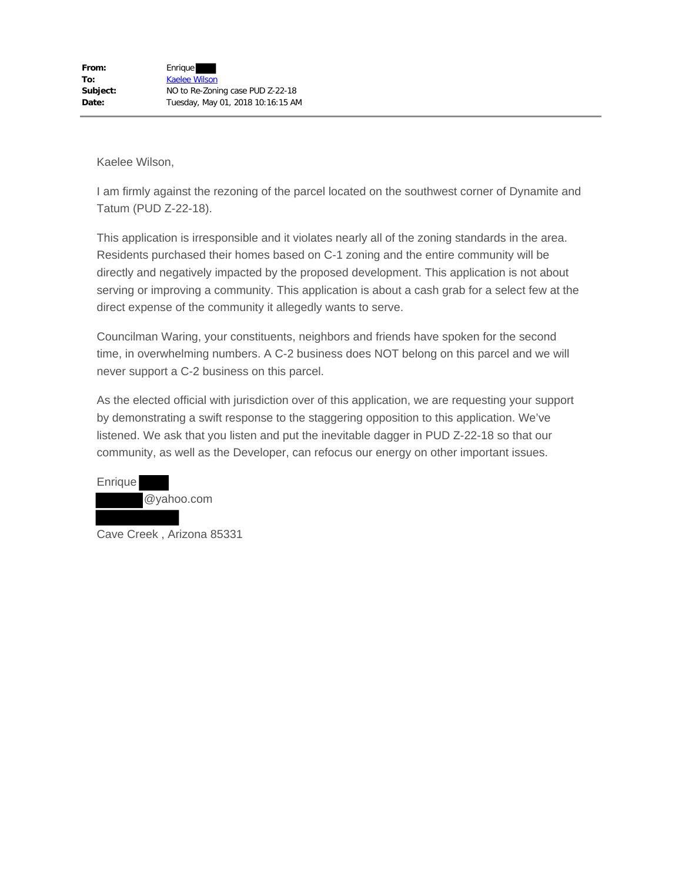I am firmly against the rezoning of the parcel located on the southwest corner of Dynamite and Tatum (PUD Z-22-18).

This application is irresponsible and it violates nearly all of the zoning standards in the area. Residents purchased their homes based on C-1 zoning and the entire community will be directly and negatively impacted by the proposed development. This application is not about serving or improving a community. This application is about a cash grab for a select few at the direct expense of the community it allegedly wants to serve.

Councilman Waring, your constituents, neighbors and friends have spoken for the second time, in overwhelming numbers. A C-2 business does NOT belong on this parcel and we will never support a C-2 business on this parcel.

As the elected official with jurisdiction over of this application, we are requesting your support by demonstrating a swift response to the staggering opposition to this application. We've listened. We ask that you listen and put the inevitable dagger in PUD Z-22-18 so that our community, as well as the Developer, can refocus our energy on other important issues.



Cave Creek , Arizona 85331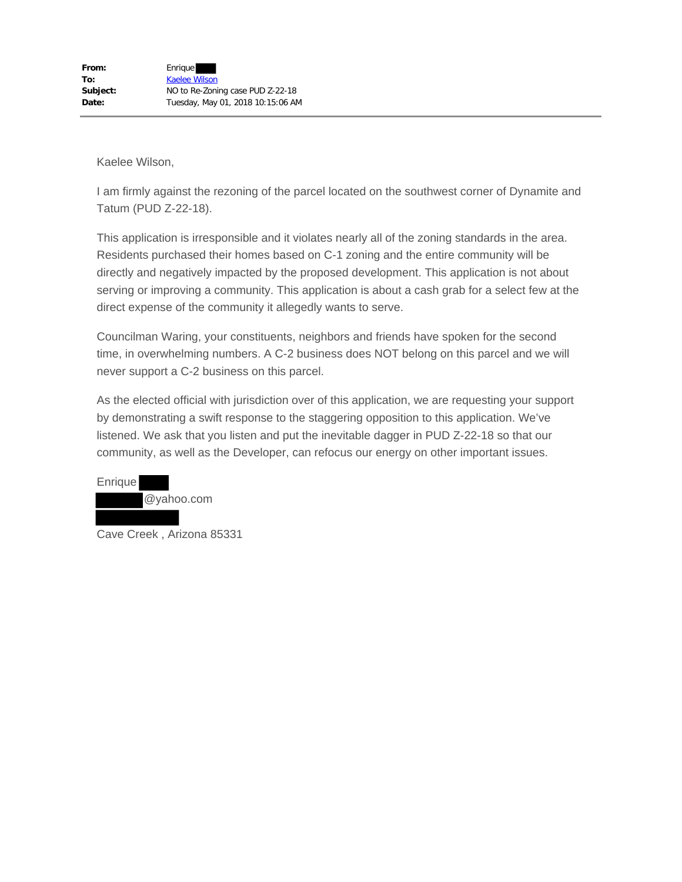I am firmly against the rezoning of the parcel located on the southwest corner of Dynamite and Tatum (PUD Z-22-18).

This application is irresponsible and it violates nearly all of the zoning standards in the area. Residents purchased their homes based on C-1 zoning and the entire community will be directly and negatively impacted by the proposed development. This application is not about serving or improving a community. This application is about a cash grab for a select few at the direct expense of the community it allegedly wants to serve.

Councilman Waring, your constituents, neighbors and friends have spoken for the second time, in overwhelming numbers. A C-2 business does NOT belong on this parcel and we will never support a C-2 business on this parcel.

As the elected official with jurisdiction over of this application, we are requesting your support by demonstrating a swift response to the staggering opposition to this application. We've listened. We ask that you listen and put the inevitable dagger in PUD Z-22-18 so that our community, as well as the Developer, can refocus our energy on other important issues.



Cave Creek , Arizona 85331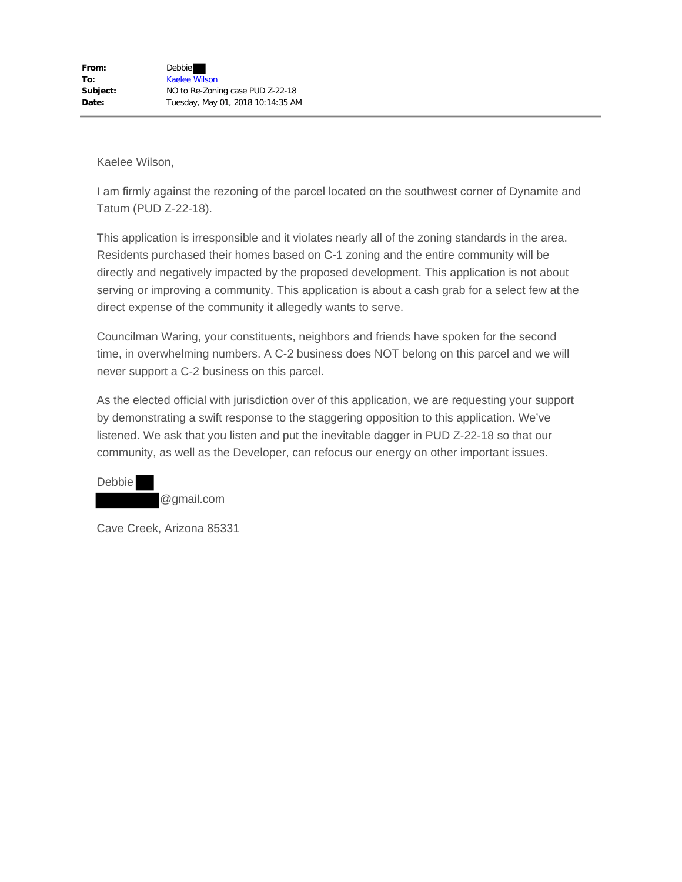I am firmly against the rezoning of the parcel located on the southwest corner of Dynamite and Tatum (PUD Z-22-18).

This application is irresponsible and it violates nearly all of the zoning standards in the area. Residents purchased their homes based on C-1 zoning and the entire community will be directly and negatively impacted by the proposed development. This application is not about serving or improving a community. This application is about a cash grab for a select few at the direct expense of the community it allegedly wants to serve.

Councilman Waring, your constituents, neighbors and friends have spoken for the second time, in overwhelming numbers. A C-2 business does NOT belong on this parcel and we will never support a C-2 business on this parcel.

As the elected official with jurisdiction over of this application, we are requesting your support by demonstrating a swift response to the staggering opposition to this application. We've listened. We ask that you listen and put the inevitable dagger in PUD Z-22-18 so that our community, as well as the Developer, can refocus our energy on other important issues.

Debbie @gmail.com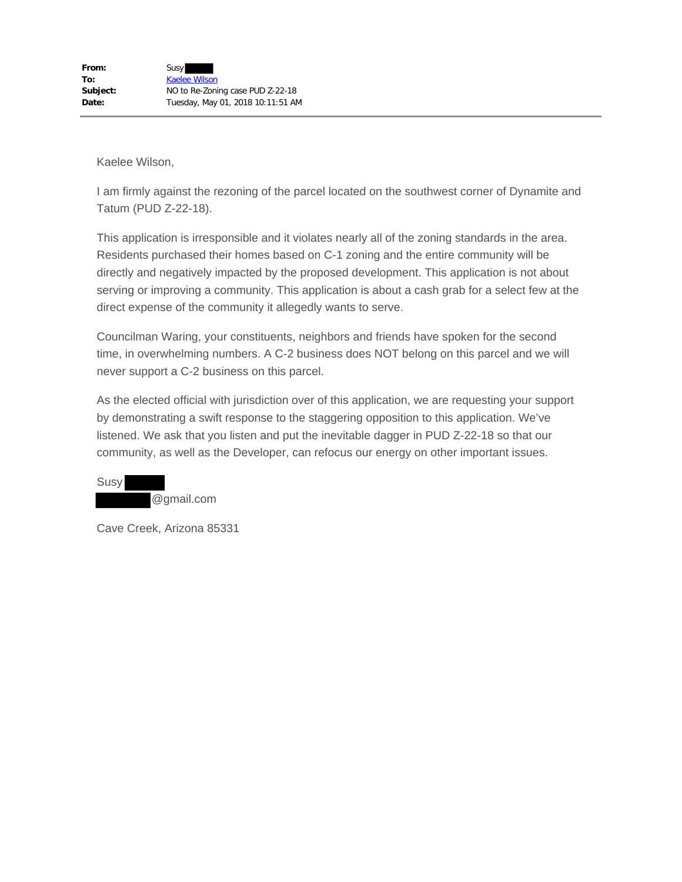I am firmly against the rezoning of the parcel located on the southwest corner of Dynamite and Tatum (PUD Z-22-18).

This application is irresponsible and it violates nearly all of the zoning standards in the area. Residents purchased their homes based on C-1 zoning and the entire community will be directly and negatively impacted by the proposed development. This application is not about serving or improving a community. This application is about a cash grab for a select few at the direct expense of the community it allegedly wants to serve.

Councilman Waring, your constituents, neighbors and friends have spoken for the second time, in overwhelming numbers. A C-2 business does NOT belong on this parcel and we will never support a C-2 business on this parcel.

As the elected official with jurisdiction over of this application, we are requesting your support by demonstrating a swift response to the staggering opposition to this application. We've listened. We ask that you listen and put the inevitable dagger in PUD Z-22-18 so that our community, as well as the Developer, can refocus our energy on other important issues.

Susy @gmail.com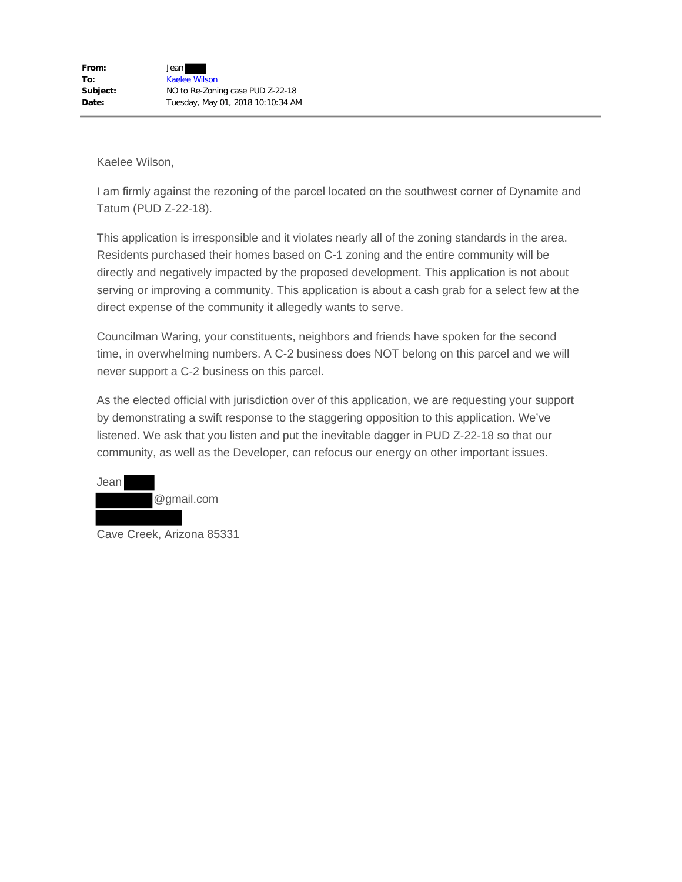I am firmly against the rezoning of the parcel located on the southwest corner of Dynamite and Tatum (PUD Z-22-18).

This application is irresponsible and it violates nearly all of the zoning standards in the area. Residents purchased their homes based on C-1 zoning and the entire community will be directly and negatively impacted by the proposed development. This application is not about serving or improving a community. This application is about a cash grab for a select few at the direct expense of the community it allegedly wants to serve.

Councilman Waring, your constituents, neighbors and friends have spoken for the second time, in overwhelming numbers. A C-2 business does NOT belong on this parcel and we will never support a C-2 business on this parcel.

As the elected official with jurisdiction over of this application, we are requesting your support by demonstrating a swift response to the staggering opposition to this application. We've listened. We ask that you listen and put the inevitable dagger in PUD Z-22-18 so that our community, as well as the Developer, can refocus our energy on other important issues.



Cave Creek, Arizona 85331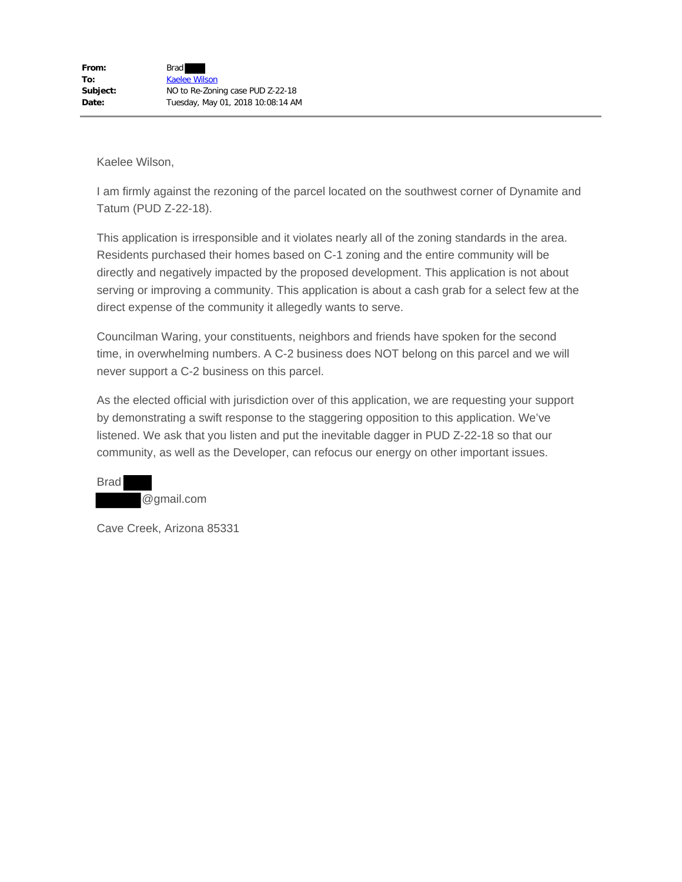I am firmly against the rezoning of the parcel located on the southwest corner of Dynamite and Tatum (PUD Z-22-18).

This application is irresponsible and it violates nearly all of the zoning standards in the area. Residents purchased their homes based on C-1 zoning and the entire community will be directly and negatively impacted by the proposed development. This application is not about serving or improving a community. This application is about a cash grab for a select few at the direct expense of the community it allegedly wants to serve.

Councilman Waring, your constituents, neighbors and friends have spoken for the second time, in overwhelming numbers. A C-2 business does NOT belong on this parcel and we will never support a C-2 business on this parcel.

As the elected official with jurisdiction over of this application, we are requesting your support by demonstrating a swift response to the staggering opposition to this application. We've listened. We ask that you listen and put the inevitable dagger in PUD Z-22-18 so that our community, as well as the Developer, can refocus our energy on other important issues.

Brad @gmail.com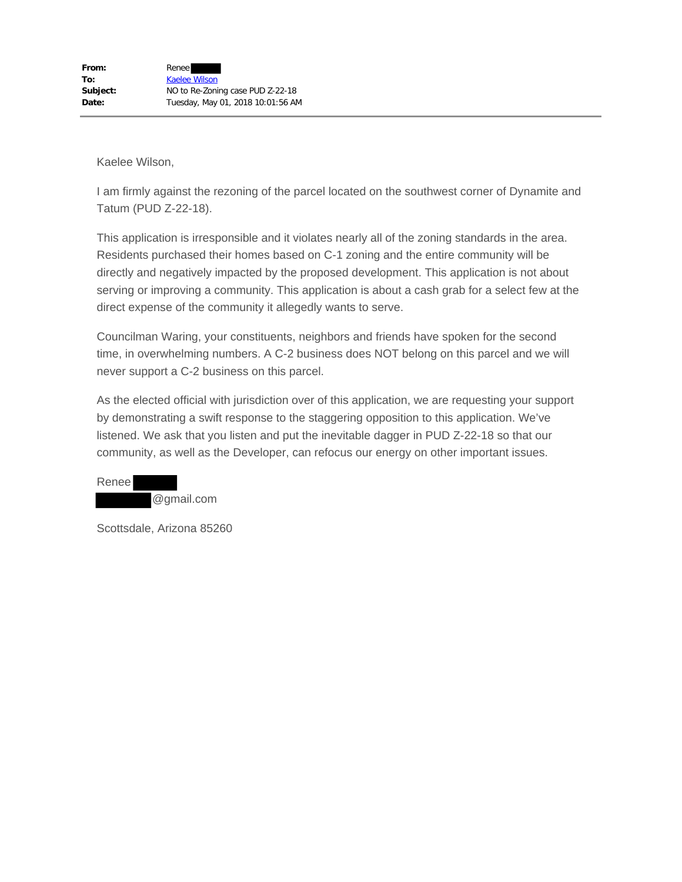I am firmly against the rezoning of the parcel located on the southwest corner of Dynamite and Tatum (PUD Z-22-18).

This application is irresponsible and it violates nearly all of the zoning standards in the area. Residents purchased their homes based on C-1 zoning and the entire community will be directly and negatively impacted by the proposed development. This application is not about serving or improving a community. This application is about a cash grab for a select few at the direct expense of the community it allegedly wants to serve.

Councilman Waring, your constituents, neighbors and friends have spoken for the second time, in overwhelming numbers. A C-2 business does NOT belong on this parcel and we will never support a C-2 business on this parcel.

As the elected official with jurisdiction over of this application, we are requesting your support by demonstrating a swift response to the staggering opposition to this application. We've listened. We ask that you listen and put the inevitable dagger in PUD Z-22-18 so that our community, as well as the Developer, can refocus our energy on other important issues.

Renee @gmail.com

Scottsdale, Arizona 85260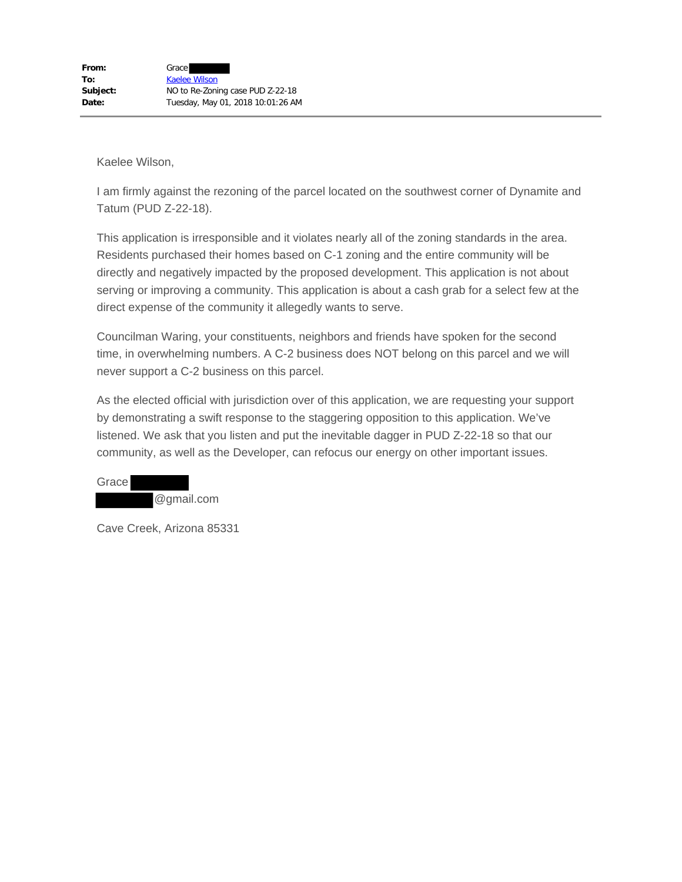I am firmly against the rezoning of the parcel located on the southwest corner of Dynamite and Tatum (PUD Z-22-18).

This application is irresponsible and it violates nearly all of the zoning standards in the area. Residents purchased their homes based on C-1 zoning and the entire community will be directly and negatively impacted by the proposed development. This application is not about serving or improving a community. This application is about a cash grab for a select few at the direct expense of the community it allegedly wants to serve.

Councilman Waring, your constituents, neighbors and friends have spoken for the second time, in overwhelming numbers. A C-2 business does NOT belong on this parcel and we will never support a C-2 business on this parcel.

As the elected official with jurisdiction over of this application, we are requesting your support by demonstrating a swift response to the staggering opposition to this application. We've listened. We ask that you listen and put the inevitable dagger in PUD Z-22-18 so that our community, as well as the Developer, can refocus our energy on other important issues.

Grace @gmail.com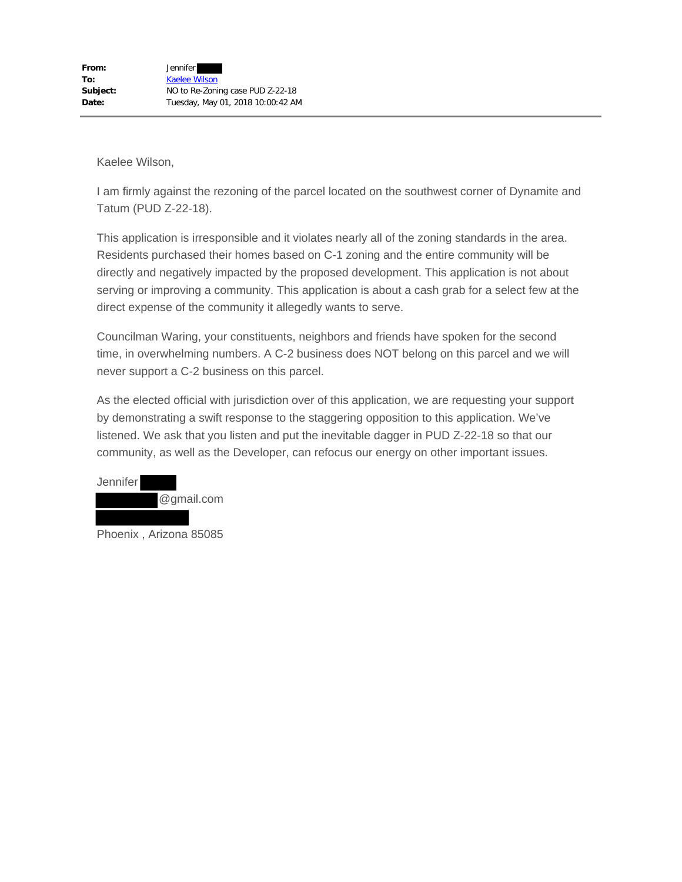I am firmly against the rezoning of the parcel located on the southwest corner of Dynamite and Tatum (PUD Z-22-18).

This application is irresponsible and it violates nearly all of the zoning standards in the area. Residents purchased their homes based on C-1 zoning and the entire community will be directly and negatively impacted by the proposed development. This application is not about serving or improving a community. This application is about a cash grab for a select few at the direct expense of the community it allegedly wants to serve.

Councilman Waring, your constituents, neighbors and friends have spoken for the second time, in overwhelming numbers. A C-2 business does NOT belong on this parcel and we will never support a C-2 business on this parcel.

As the elected official with jurisdiction over of this application, we are requesting your support by demonstrating a swift response to the staggering opposition to this application. We've listened. We ask that you listen and put the inevitable dagger in PUD Z-22-18 so that our community, as well as the Developer, can refocus our energy on other important issues.



Phoenix , Arizona 85085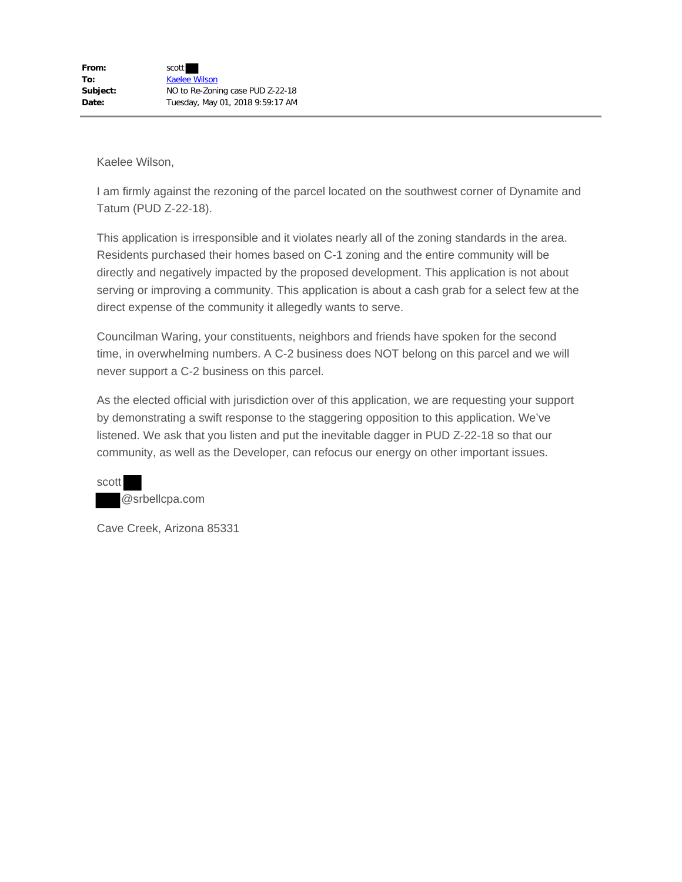I am firmly against the rezoning of the parcel located on the southwest corner of Dynamite and Tatum (PUD Z-22-18).

This application is irresponsible and it violates nearly all of the zoning standards in the area. Residents purchased their homes based on C-1 zoning and the entire community will be directly and negatively impacted by the proposed development. This application is not about serving or improving a community. This application is about a cash grab for a select few at the direct expense of the community it allegedly wants to serve.

Councilman Waring, your constituents, neighbors and friends have spoken for the second time, in overwhelming numbers. A C-2 business does NOT belong on this parcel and we will never support a C-2 business on this parcel.

As the elected official with jurisdiction over of this application, we are requesting your support by demonstrating a swift response to the staggering opposition to this application. We've listened. We ask that you listen and put the inevitable dagger in PUD Z-22-18 so that our community, as well as the Developer, can refocus our energy on other important issues.

scott @srbellcpa.com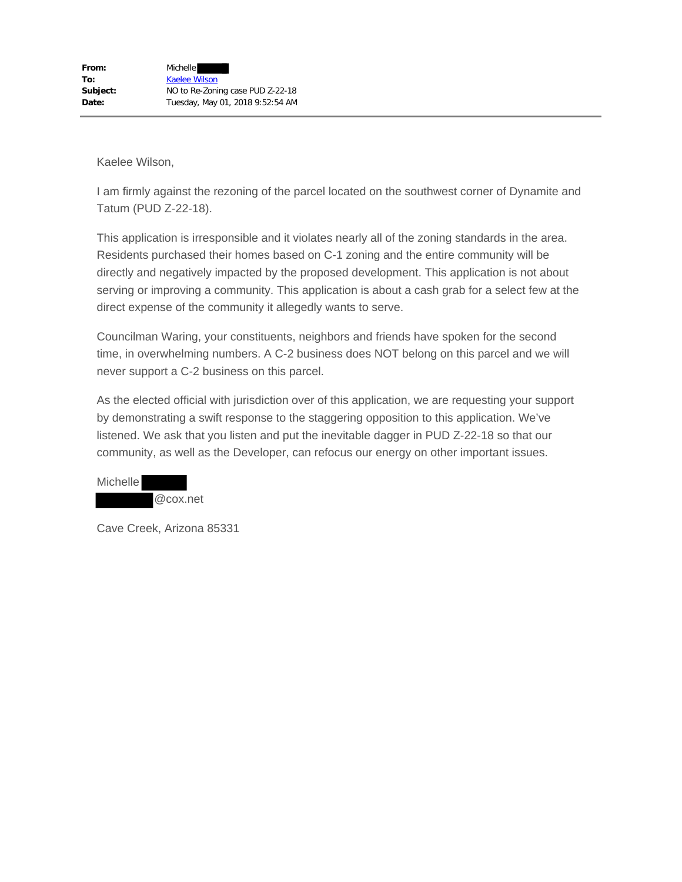I am firmly against the rezoning of the parcel located on the southwest corner of Dynamite and Tatum (PUD Z-22-18).

This application is irresponsible and it violates nearly all of the zoning standards in the area. Residents purchased their homes based on C-1 zoning and the entire community will be directly and negatively impacted by the proposed development. This application is not about serving or improving a community. This application is about a cash grab for a select few at the direct expense of the community it allegedly wants to serve.

Councilman Waring, your constituents, neighbors and friends have spoken for the second time, in overwhelming numbers. A C-2 business does NOT belong on this parcel and we will never support a C-2 business on this parcel.

As the elected official with jurisdiction over of this application, we are requesting your support by demonstrating a swift response to the staggering opposition to this application. We've listened. We ask that you listen and put the inevitable dagger in PUD Z-22-18 so that our community, as well as the Developer, can refocus our energy on other important issues.

Michelle @cox.net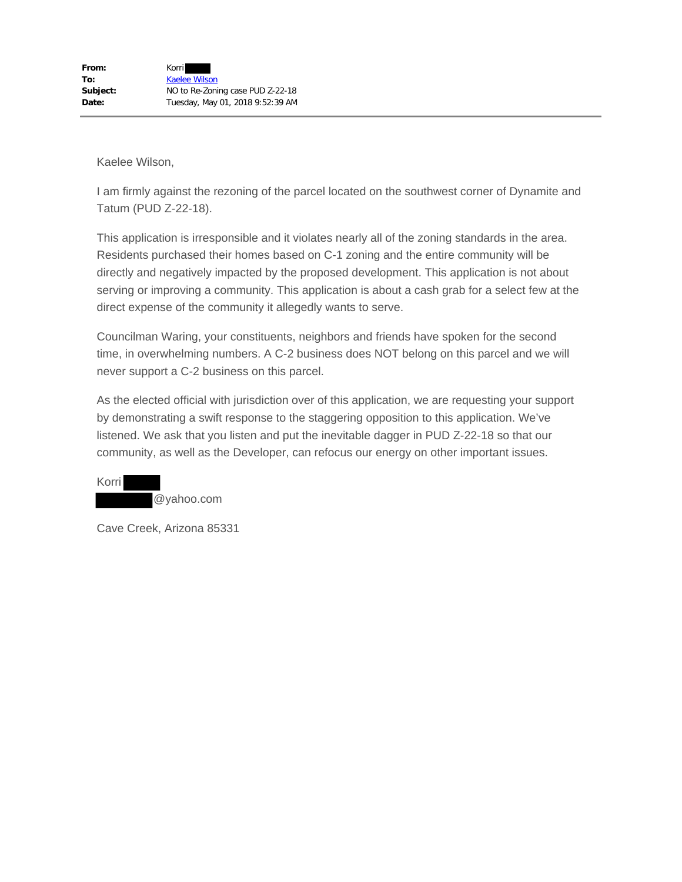I am firmly against the rezoning of the parcel located on the southwest corner of Dynamite and Tatum (PUD Z-22-18).

This application is irresponsible and it violates nearly all of the zoning standards in the area. Residents purchased their homes based on C-1 zoning and the entire community will be directly and negatively impacted by the proposed development. This application is not about serving or improving a community. This application is about a cash grab for a select few at the direct expense of the community it allegedly wants to serve.

Councilman Waring, your constituents, neighbors and friends have spoken for the second time, in overwhelming numbers. A C-2 business does NOT belong on this parcel and we will never support a C-2 business on this parcel.

As the elected official with jurisdiction over of this application, we are requesting your support by demonstrating a swift response to the staggering opposition to this application. We've listened. We ask that you listen and put the inevitable dagger in PUD Z-22-18 so that our community, as well as the Developer, can refocus our energy on other important issues.

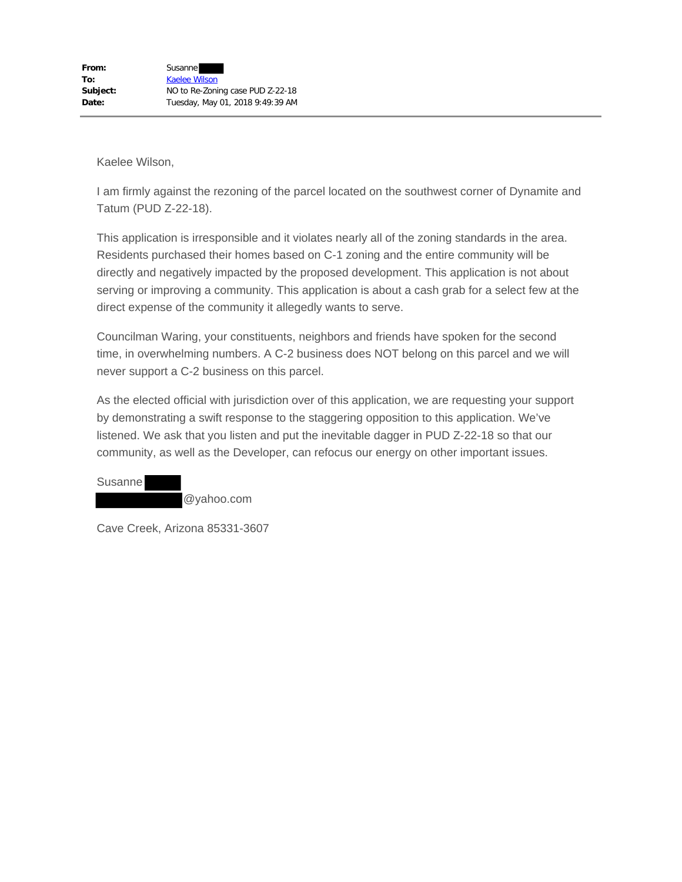I am firmly against the rezoning of the parcel located on the southwest corner of Dynamite and Tatum (PUD Z-22-18).

This application is irresponsible and it violates nearly all of the zoning standards in the area. Residents purchased their homes based on C-1 zoning and the entire community will be directly and negatively impacted by the proposed development. This application is not about serving or improving a community. This application is about a cash grab for a select few at the direct expense of the community it allegedly wants to serve.

Councilman Waring, your constituents, neighbors and friends have spoken for the second time, in overwhelming numbers. A C-2 business does NOT belong on this parcel and we will never support a C-2 business on this parcel.

As the elected official with jurisdiction over of this application, we are requesting your support by demonstrating a swift response to the staggering opposition to this application. We've listened. We ask that you listen and put the inevitable dagger in PUD Z-22-18 so that our community, as well as the Developer, can refocus our energy on other important issues.

Susanne @yahoo.com

Cave Creek, Arizona 85331-3607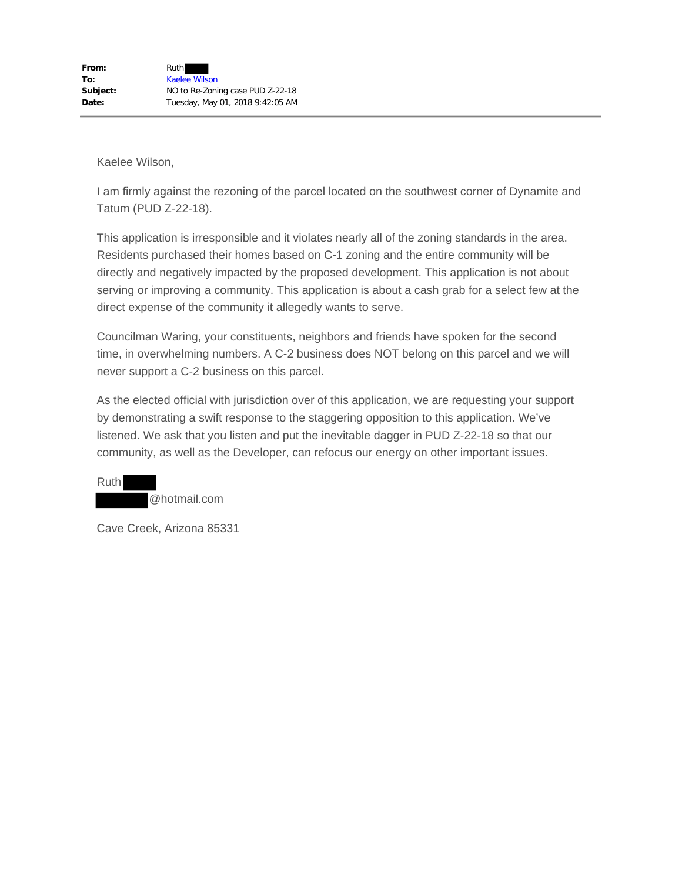I am firmly against the rezoning of the parcel located on the southwest corner of Dynamite and Tatum (PUD Z-22-18).

This application is irresponsible and it violates nearly all of the zoning standards in the area. Residents purchased their homes based on C-1 zoning and the entire community will be directly and negatively impacted by the proposed development. This application is not about serving or improving a community. This application is about a cash grab for a select few at the direct expense of the community it allegedly wants to serve.

Councilman Waring, your constituents, neighbors and friends have spoken for the second time, in overwhelming numbers. A C-2 business does NOT belong on this parcel and we will never support a C-2 business on this parcel.

As the elected official with jurisdiction over of this application, we are requesting your support by demonstrating a swift response to the staggering opposition to this application. We've listened. We ask that you listen and put the inevitable dagger in PUD Z-22-18 so that our community, as well as the Developer, can refocus our energy on other important issues.

Ruth @hotmail.com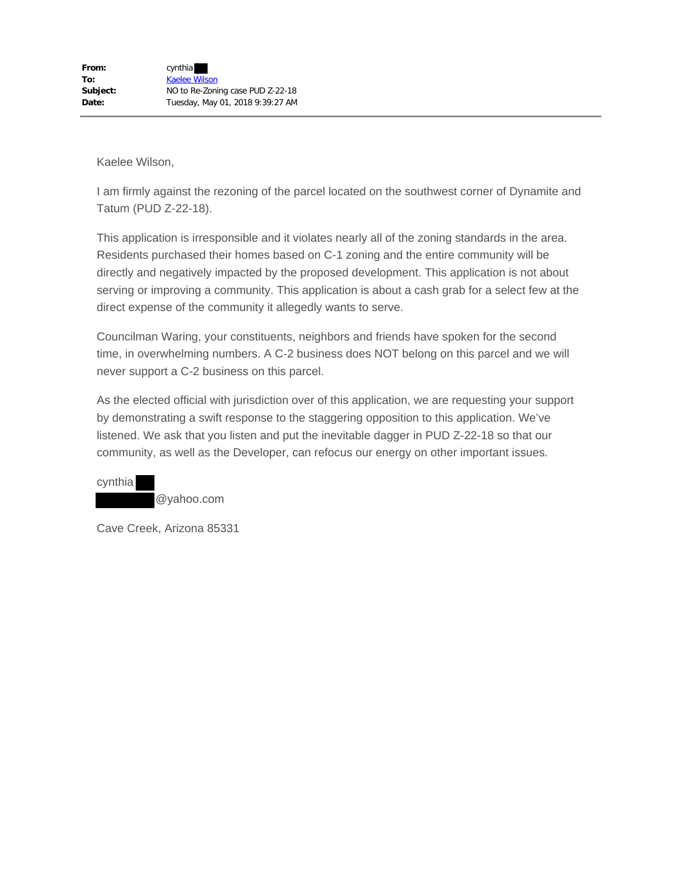I am firmly against the rezoning of the parcel located on the southwest corner of Dynamite and Tatum (PUD Z-22-18).

This application is irresponsible and it violates nearly all of the zoning standards in the area. Residents purchased their homes based on C-1 zoning and the entire community will be directly and negatively impacted by the proposed development. This application is not about serving or improving a community. This application is about a cash grab for a select few at the direct expense of the community it allegedly wants to serve.

Councilman Waring, your constituents, neighbors and friends have spoken for the second time, in overwhelming numbers. A C-2 business does NOT belong on this parcel and we will never support a C-2 business on this parcel.

As the elected official with jurisdiction over of this application, we are requesting your support by demonstrating a swift response to the staggering opposition to this application. We've listened. We ask that you listen and put the inevitable dagger in PUD Z-22-18 so that our community, as well as the Developer, can refocus our energy on other important issues.

cynthia @yahoo.com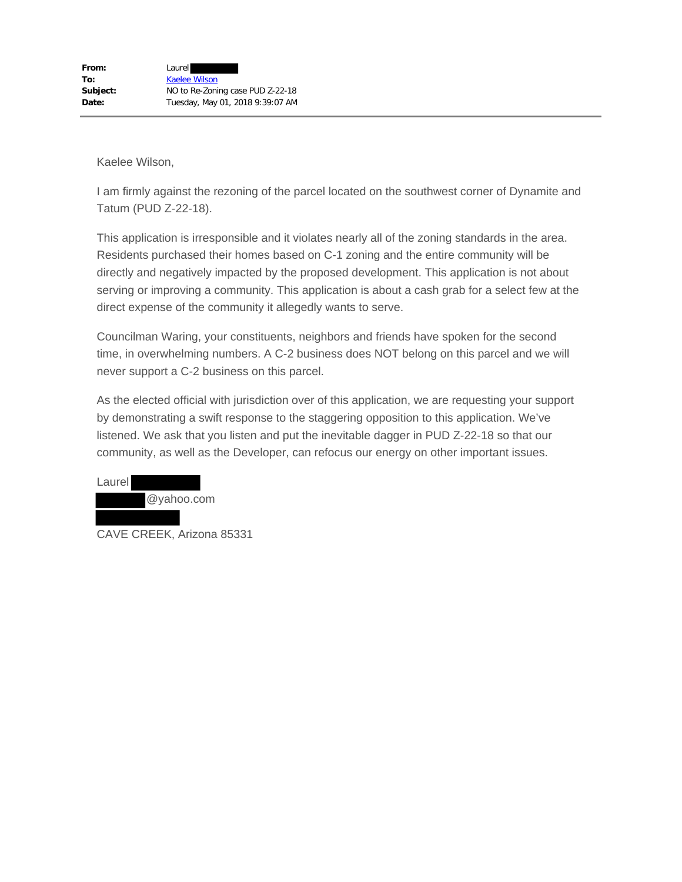I am firmly against the rezoning of the parcel located on the southwest corner of Dynamite and Tatum (PUD Z-22-18).

This application is irresponsible and it violates nearly all of the zoning standards in the area. Residents purchased their homes based on C-1 zoning and the entire community will be directly and negatively impacted by the proposed development. This application is not about serving or improving a community. This application is about a cash grab for a select few at the direct expense of the community it allegedly wants to serve.

Councilman Waring, your constituents, neighbors and friends have spoken for the second time, in overwhelming numbers. A C-2 business does NOT belong on this parcel and we will never support a C-2 business on this parcel.

As the elected official with jurisdiction over of this application, we are requesting your support by demonstrating a swift response to the staggering opposition to this application. We've listened. We ask that you listen and put the inevitable dagger in PUD Z-22-18 so that our community, as well as the Developer, can refocus our energy on other important issues.



CAVE CREEK, Arizona 85331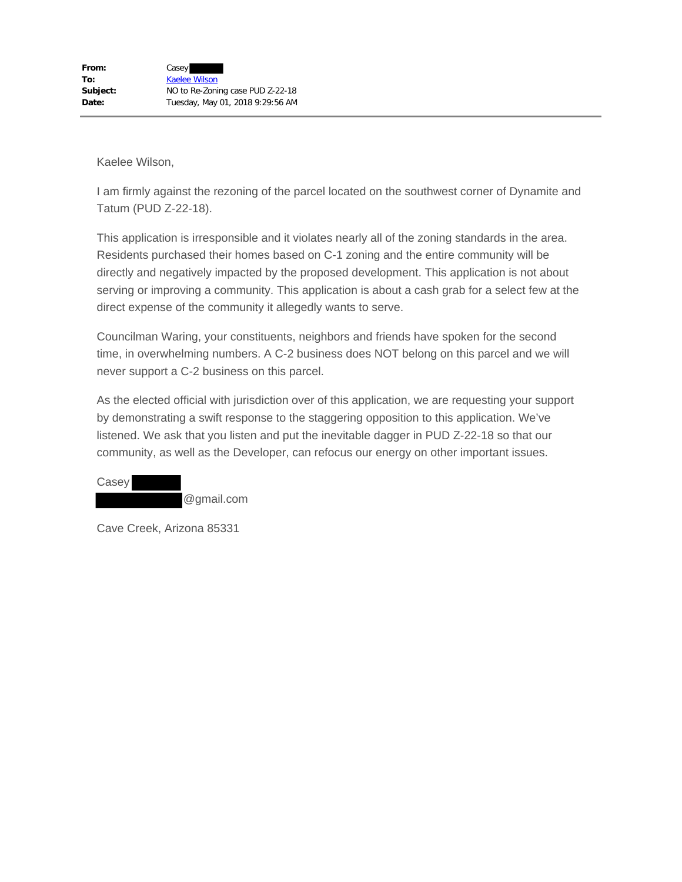I am firmly against the rezoning of the parcel located on the southwest corner of Dynamite and Tatum (PUD Z-22-18).

This application is irresponsible and it violates nearly all of the zoning standards in the area. Residents purchased their homes based on C-1 zoning and the entire community will be directly and negatively impacted by the proposed development. This application is not about serving or improving a community. This application is about a cash grab for a select few at the direct expense of the community it allegedly wants to serve.

Councilman Waring, your constituents, neighbors and friends have spoken for the second time, in overwhelming numbers. A C-2 business does NOT belong on this parcel and we will never support a C-2 business on this parcel.

As the elected official with jurisdiction over of this application, we are requesting your support by demonstrating a swift response to the staggering opposition to this application. We've listened. We ask that you listen and put the inevitable dagger in PUD Z-22-18 so that our community, as well as the Developer, can refocus our energy on other important issues.

Casey @gmail.com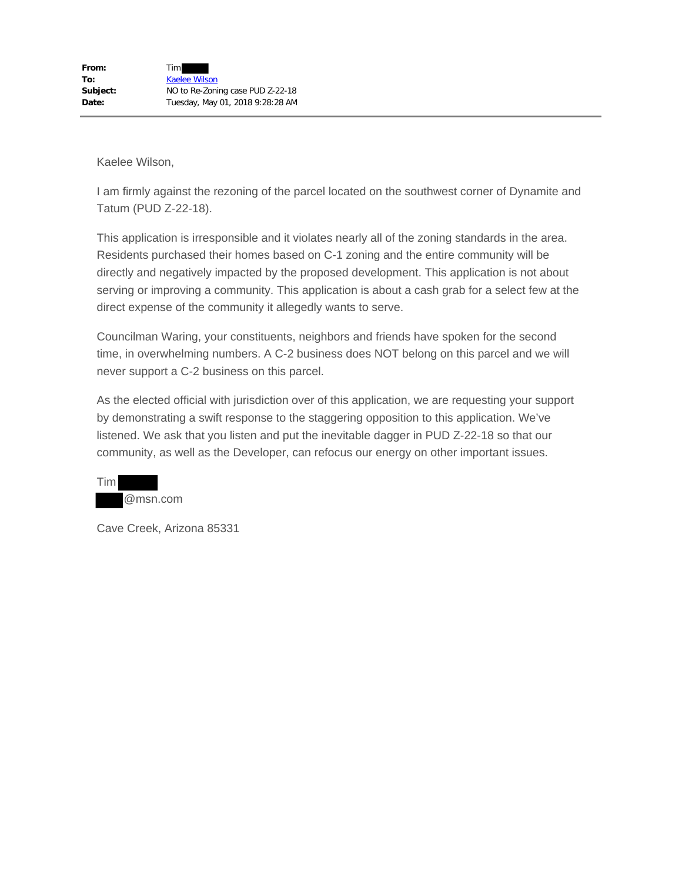I am firmly against the rezoning of the parcel located on the southwest corner of Dynamite and Tatum (PUD Z-22-18).

This application is irresponsible and it violates nearly all of the zoning standards in the area. Residents purchased their homes based on C-1 zoning and the entire community will be directly and negatively impacted by the proposed development. This application is not about serving or improving a community. This application is about a cash grab for a select few at the direct expense of the community it allegedly wants to serve.

Councilman Waring, your constituents, neighbors and friends have spoken for the second time, in overwhelming numbers. A C-2 business does NOT belong on this parcel and we will never support a C-2 business on this parcel.

As the elected official with jurisdiction over of this application, we are requesting your support by demonstrating a swift response to the staggering opposition to this application. We've listened. We ask that you listen and put the inevitable dagger in PUD Z-22-18 so that our community, as well as the Developer, can refocus our energy on other important issues.

Tim @msn.com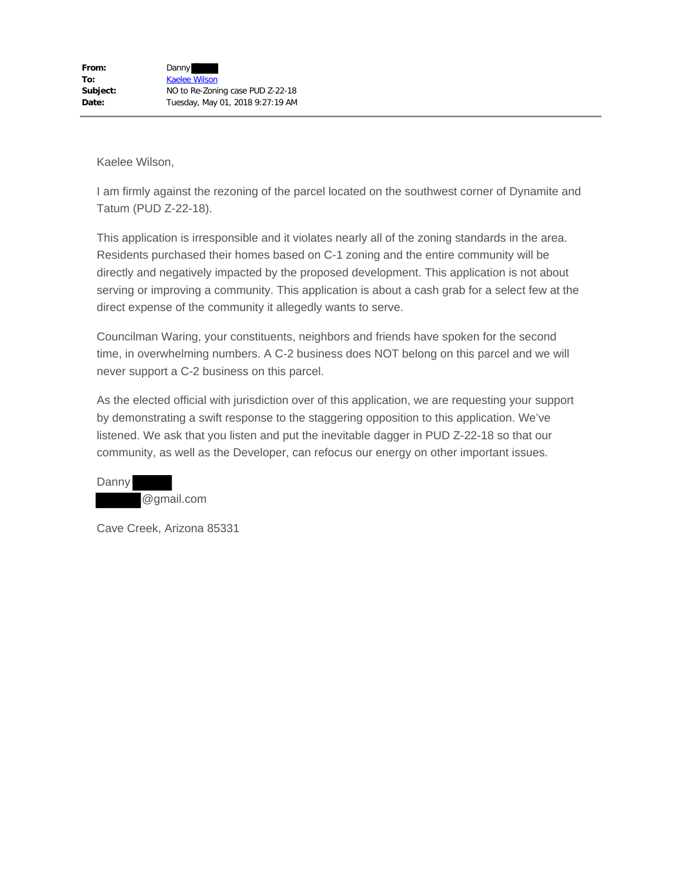I am firmly against the rezoning of the parcel located on the southwest corner of Dynamite and Tatum (PUD Z-22-18).

This application is irresponsible and it violates nearly all of the zoning standards in the area. Residents purchased their homes based on C-1 zoning and the entire community will be directly and negatively impacted by the proposed development. This application is not about serving or improving a community. This application is about a cash grab for a select few at the direct expense of the community it allegedly wants to serve.

Councilman Waring, your constituents, neighbors and friends have spoken for the second time, in overwhelming numbers. A C-2 business does NOT belong on this parcel and we will never support a C-2 business on this parcel.

As the elected official with jurisdiction over of this application, we are requesting your support by demonstrating a swift response to the staggering opposition to this application. We've listened. We ask that you listen and put the inevitable dagger in PUD Z-22-18 so that our community, as well as the Developer, can refocus our energy on other important issues.

Danny @gmail.com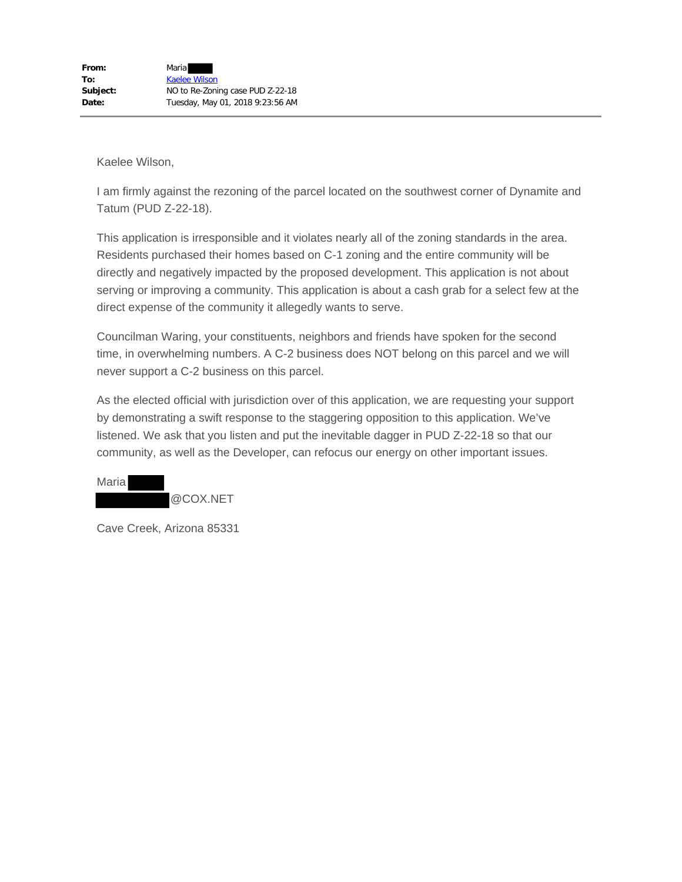I am firmly against the rezoning of the parcel located on the southwest corner of Dynamite and Tatum (PUD Z-22-18).

This application is irresponsible and it violates nearly all of the zoning standards in the area. Residents purchased their homes based on C-1 zoning and the entire community will be directly and negatively impacted by the proposed development. This application is not about serving or improving a community. This application is about a cash grab for a select few at the direct expense of the community it allegedly wants to serve.

Councilman Waring, your constituents, neighbors and friends have spoken for the second time, in overwhelming numbers. A C-2 business does NOT belong on this parcel and we will never support a C-2 business on this parcel.

As the elected official with jurisdiction over of this application, we are requesting your support by demonstrating a swift response to the staggering opposition to this application. We've listened. We ask that you listen and put the inevitable dagger in PUD Z-22-18 so that our community, as well as the Developer, can refocus our energy on other important issues.

| Marial |          |
|--------|----------|
|        | @COX.NET |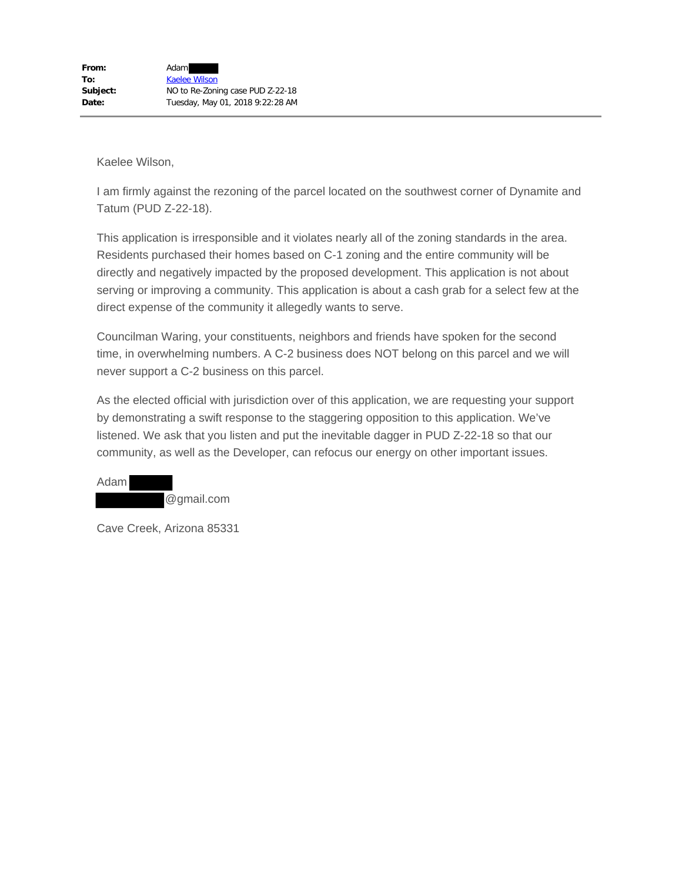I am firmly against the rezoning of the parcel located on the southwest corner of Dynamite and Tatum (PUD Z-22-18).

This application is irresponsible and it violates nearly all of the zoning standards in the area. Residents purchased their homes based on C-1 zoning and the entire community will be directly and negatively impacted by the proposed development. This application is not about serving or improving a community. This application is about a cash grab for a select few at the direct expense of the community it allegedly wants to serve.

Councilman Waring, your constituents, neighbors and friends have spoken for the second time, in overwhelming numbers. A C-2 business does NOT belong on this parcel and we will never support a C-2 business on this parcel.

As the elected official with jurisdiction over of this application, we are requesting your support by demonstrating a swift response to the staggering opposition to this application. We've listened. We ask that you listen and put the inevitable dagger in PUD Z-22-18 so that our community, as well as the Developer, can refocus our energy on other important issues.

| Adaml |            |
|-------|------------|
|       | @gmail.com |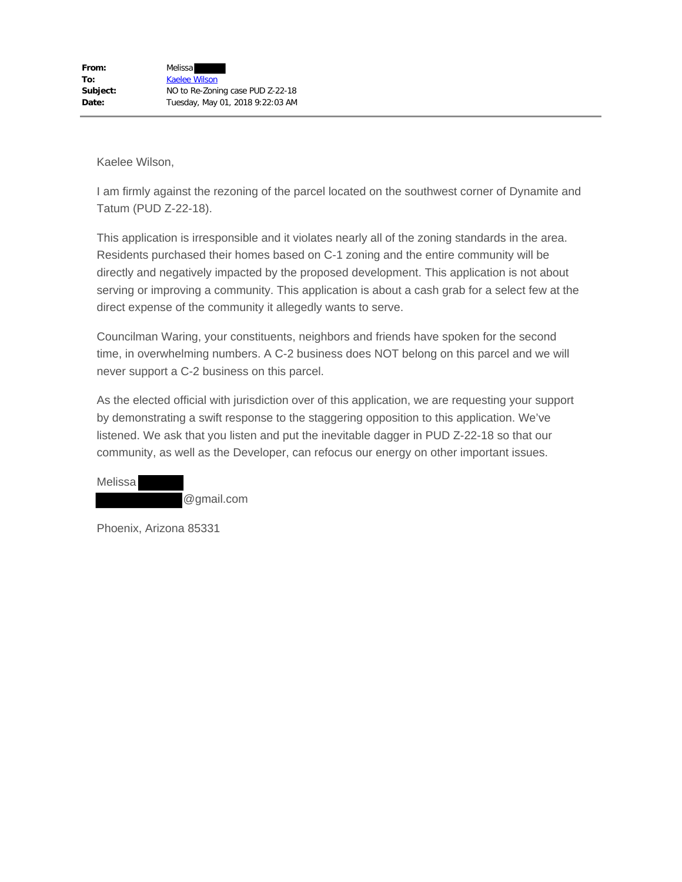I am firmly against the rezoning of the parcel located on the southwest corner of Dynamite and Tatum (PUD Z-22-18).

This application is irresponsible and it violates nearly all of the zoning standards in the area. Residents purchased their homes based on C-1 zoning and the entire community will be directly and negatively impacted by the proposed development. This application is not about serving or improving a community. This application is about a cash grab for a select few at the direct expense of the community it allegedly wants to serve.

Councilman Waring, your constituents, neighbors and friends have spoken for the second time, in overwhelming numbers. A C-2 business does NOT belong on this parcel and we will never support a C-2 business on this parcel.

As the elected official with jurisdiction over of this application, we are requesting your support by demonstrating a swift response to the staggering opposition to this application. We've listened. We ask that you listen and put the inevitable dagger in PUD Z-22-18 so that our community, as well as the Developer, can refocus our energy on other important issues.

Melissa @gmail.com

Phoenix, Arizona 85331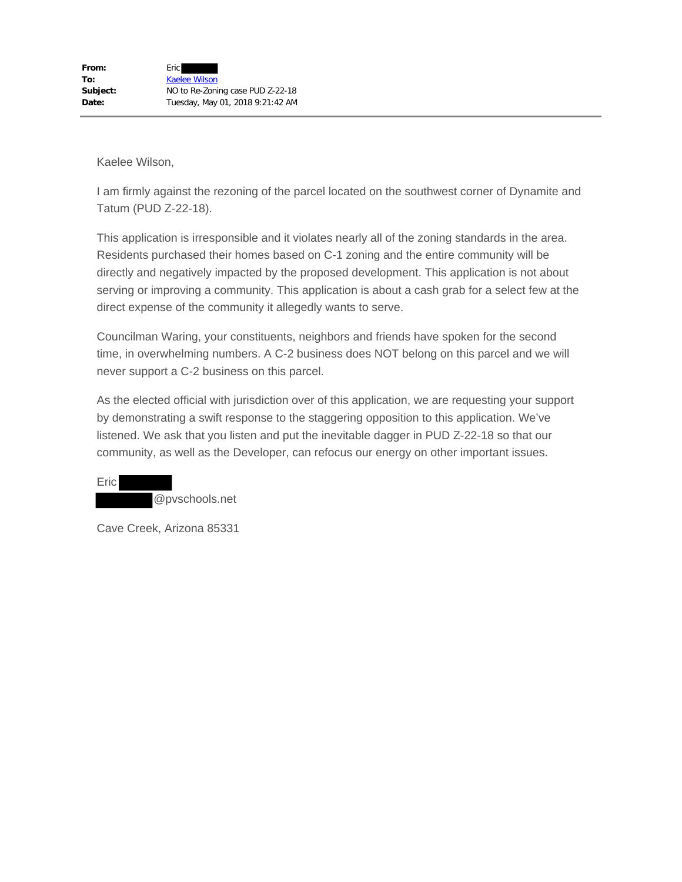I am firmly against the rezoning of the parcel located on the southwest corner of Dynamite and Tatum (PUD Z-22-18).

This application is irresponsible and it violates nearly all of the zoning standards in the area. Residents purchased their homes based on C-1 zoning and the entire community will be directly and negatively impacted by the proposed development. This application is not about serving or improving a community. This application is about a cash grab for a select few at the direct expense of the community it allegedly wants to serve.

Councilman Waring, your constituents, neighbors and friends have spoken for the second time, in overwhelming numbers. A C-2 business does NOT belong on this parcel and we will never support a C-2 business on this parcel.

As the elected official with jurisdiction over of this application, we are requesting your support by demonstrating a swift response to the staggering opposition to this application. We've listened. We ask that you listen and put the inevitable dagger in PUD Z-22-18 so that our community, as well as the Developer, can refocus our energy on other important issues.

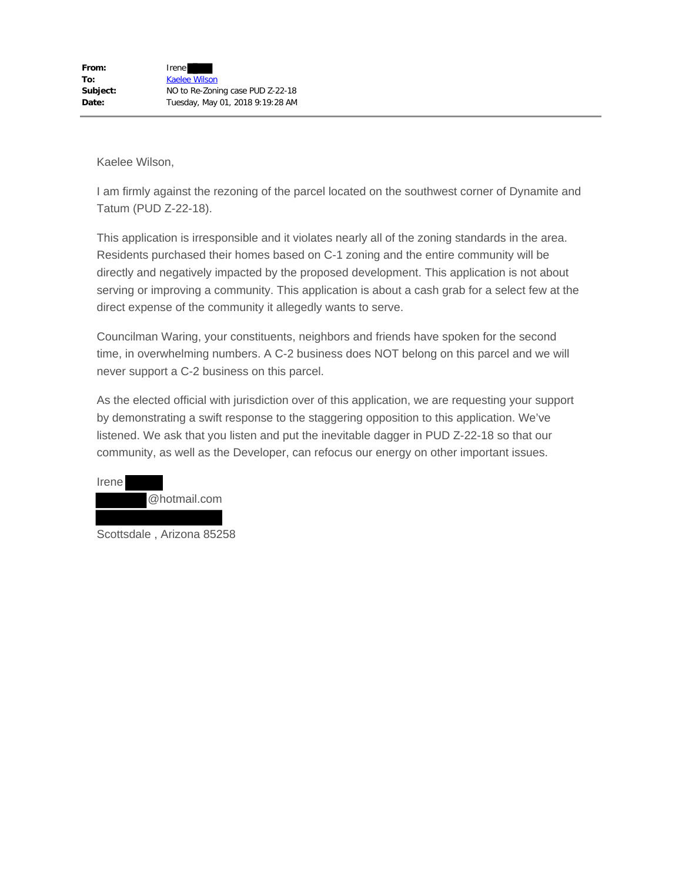I am firmly against the rezoning of the parcel located on the southwest corner of Dynamite and Tatum (PUD Z-22-18).

This application is irresponsible and it violates nearly all of the zoning standards in the area. Residents purchased their homes based on C-1 zoning and the entire community will be directly and negatively impacted by the proposed development. This application is not about serving or improving a community. This application is about a cash grab for a select few at the direct expense of the community it allegedly wants to serve.

Councilman Waring, your constituents, neighbors and friends have spoken for the second time, in overwhelming numbers. A C-2 business does NOT belong on this parcel and we will never support a C-2 business on this parcel.

As the elected official with jurisdiction over of this application, we are requesting your support by demonstrating a swift response to the staggering opposition to this application. We've listened. We ask that you listen and put the inevitable dagger in PUD Z-22-18 so that our community, as well as the Developer, can refocus our energy on other important issues.



Scottsdale , Arizona 85258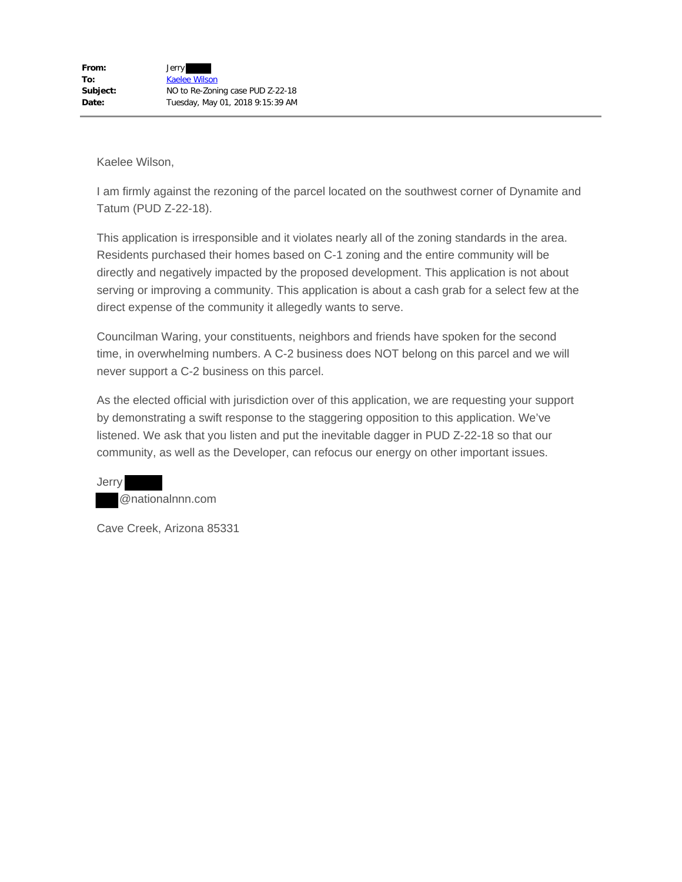I am firmly against the rezoning of the parcel located on the southwest corner of Dynamite and Tatum (PUD Z-22-18).

This application is irresponsible and it violates nearly all of the zoning standards in the area. Residents purchased their homes based on C-1 zoning and the entire community will be directly and negatively impacted by the proposed development. This application is not about serving or improving a community. This application is about a cash grab for a select few at the direct expense of the community it allegedly wants to serve.

Councilman Waring, your constituents, neighbors and friends have spoken for the second time, in overwhelming numbers. A C-2 business does NOT belong on this parcel and we will never support a C-2 business on this parcel.

As the elected official with jurisdiction over of this application, we are requesting your support by demonstrating a swift response to the staggering opposition to this application. We've listened. We ask that you listen and put the inevitable dagger in PUD Z-22-18 so that our community, as well as the Developer, can refocus our energy on other important issues.

Jerry @nationalnnn.com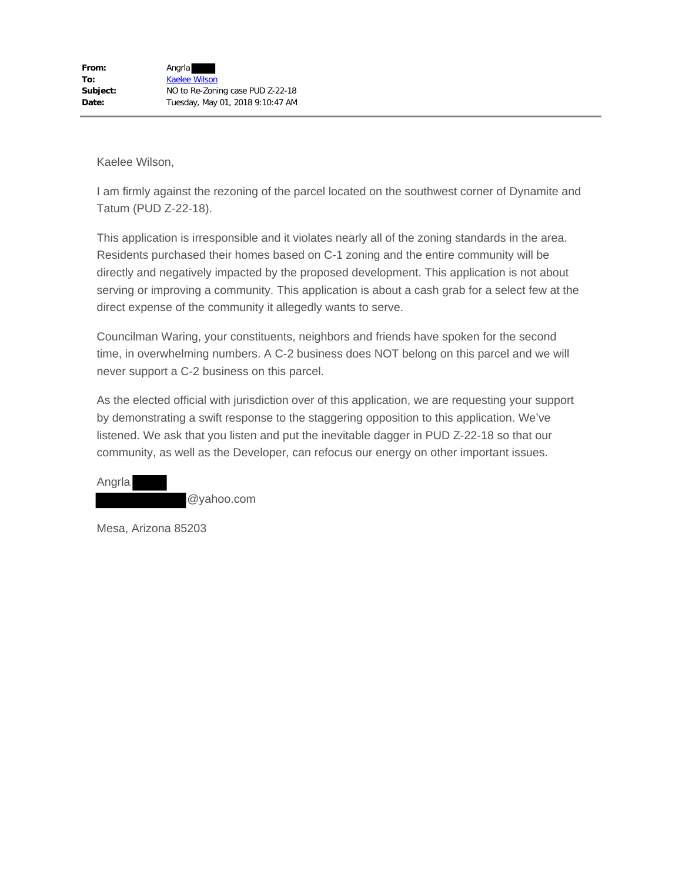I am firmly against the rezoning of the parcel located on the southwest corner of Dynamite and Tatum (PUD Z-22-18).

This application is irresponsible and it violates nearly all of the zoning standards in the area. Residents purchased their homes based on C-1 zoning and the entire community will be directly and negatively impacted by the proposed development. This application is not about serving or improving a community. This application is about a cash grab for a select few at the direct expense of the community it allegedly wants to serve.

Councilman Waring, your constituents, neighbors and friends have spoken for the second time, in overwhelming numbers. A C-2 business does NOT belong on this parcel and we will never support a C-2 business on this parcel.

As the elected official with jurisdiction over of this application, we are requesting your support by demonstrating a swift response to the staggering opposition to this application. We've listened. We ask that you listen and put the inevitable dagger in PUD Z-22-18 so that our community, as well as the Developer, can refocus our energy on other important issues.

Angrla @yahoo.com

Mesa, Arizona 85203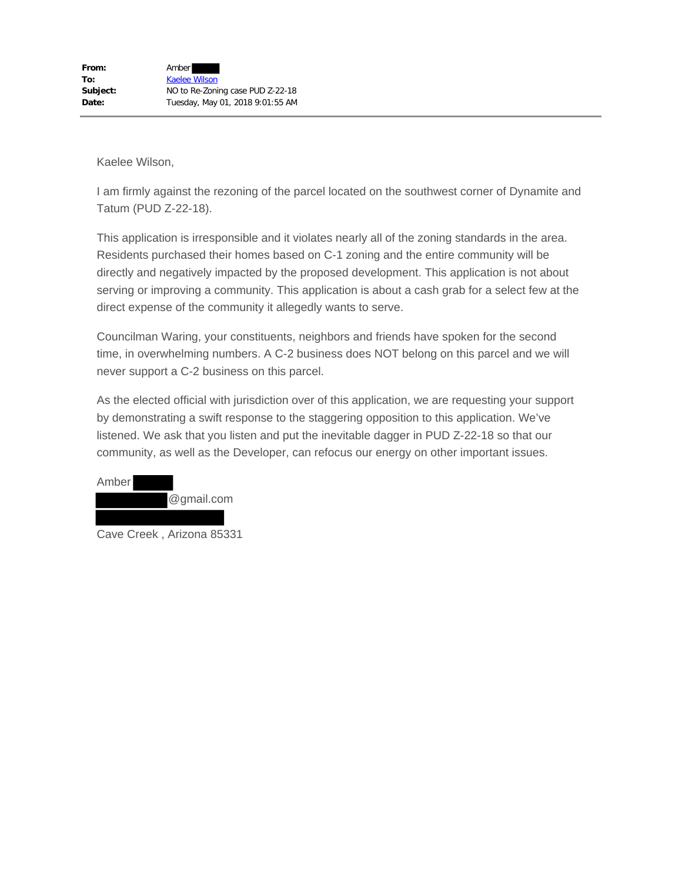I am firmly against the rezoning of the parcel located on the southwest corner of Dynamite and Tatum (PUD Z-22-18).

This application is irresponsible and it violates nearly all of the zoning standards in the area. Residents purchased their homes based on C-1 zoning and the entire community will be directly and negatively impacted by the proposed development. This application is not about serving or improving a community. This application is about a cash grab for a select few at the direct expense of the community it allegedly wants to serve.

Councilman Waring, your constituents, neighbors and friends have spoken for the second time, in overwhelming numbers. A C-2 business does NOT belong on this parcel and we will never support a C-2 business on this parcel.

As the elected official with jurisdiction over of this application, we are requesting your support by demonstrating a swift response to the staggering opposition to this application. We've listened. We ask that you listen and put the inevitable dagger in PUD Z-22-18 so that our community, as well as the Developer, can refocus our energy on other important issues.



Cave Creek , Arizona 85331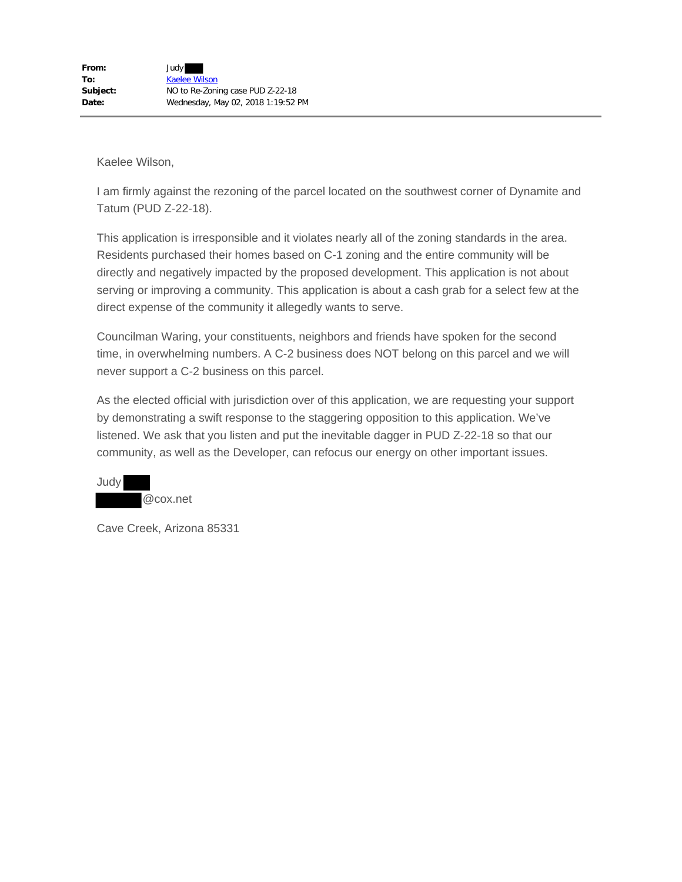I am firmly against the rezoning of the parcel located on the southwest corner of Dynamite and Tatum (PUD Z-22-18).

This application is irresponsible and it violates nearly all of the zoning standards in the area. Residents purchased their homes based on C-1 zoning and the entire community will be directly and negatively impacted by the proposed development. This application is not about serving or improving a community. This application is about a cash grab for a select few at the direct expense of the community it allegedly wants to serve.

Councilman Waring, your constituents, neighbors and friends have spoken for the second time, in overwhelming numbers. A C-2 business does NOT belong on this parcel and we will never support a C-2 business on this parcel.

As the elected official with jurisdiction over of this application, we are requesting your support by demonstrating a swift response to the staggering opposition to this application. We've listened. We ask that you listen and put the inevitable dagger in PUD Z-22-18 so that our community, as well as the Developer, can refocus our energy on other important issues.

Judy @cox.net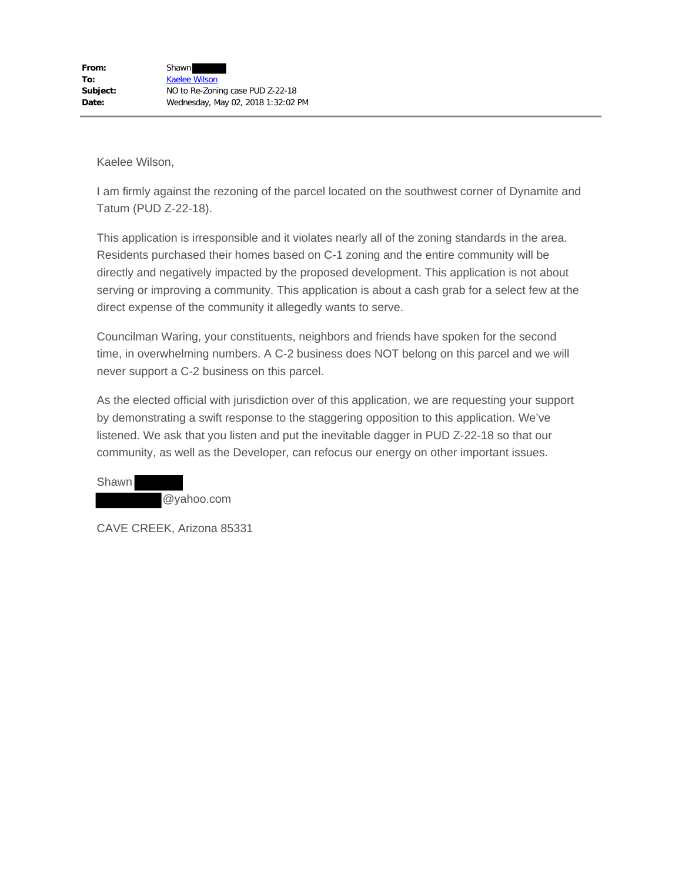I am firmly against the rezoning of the parcel located on the southwest corner of Dynamite and Tatum (PUD Z-22-18).

This application is irresponsible and it violates nearly all of the zoning standards in the area. Residents purchased their homes based on C-1 zoning and the entire community will be directly and negatively impacted by the proposed development. This application is not about serving or improving a community. This application is about a cash grab for a select few at the direct expense of the community it allegedly wants to serve.

Councilman Waring, your constituents, neighbors and friends have spoken for the second time, in overwhelming numbers. A C-2 business does NOT belong on this parcel and we will never support a C-2 business on this parcel.

As the elected official with jurisdiction over of this application, we are requesting your support by demonstrating a swift response to the staggering opposition to this application. We've listened. We ask that you listen and put the inevitable dagger in PUD Z-22-18 so that our community, as well as the Developer, can refocus our energy on other important issues.

Shawn @yahoo.com

CAVE CREEK, Arizona 85331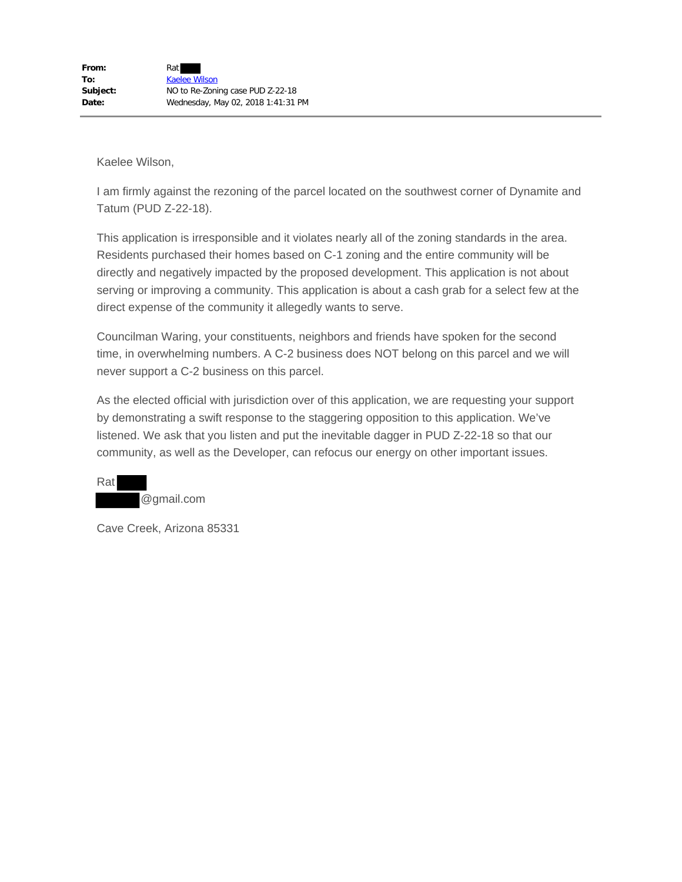I am firmly against the rezoning of the parcel located on the southwest corner of Dynamite and Tatum (PUD Z-22-18).

This application is irresponsible and it violates nearly all of the zoning standards in the area. Residents purchased their homes based on C-1 zoning and the entire community will be directly and negatively impacted by the proposed development. This application is not about serving or improving a community. This application is about a cash grab for a select few at the direct expense of the community it allegedly wants to serve.

Councilman Waring, your constituents, neighbors and friends have spoken for the second time, in overwhelming numbers. A C-2 business does NOT belong on this parcel and we will never support a C-2 business on this parcel.

As the elected official with jurisdiction over of this application, we are requesting your support by demonstrating a swift response to the staggering opposition to this application. We've listened. We ask that you listen and put the inevitable dagger in PUD Z-22-18 so that our community, as well as the Developer, can refocus our energy on other important issues.

Rat @gmail.com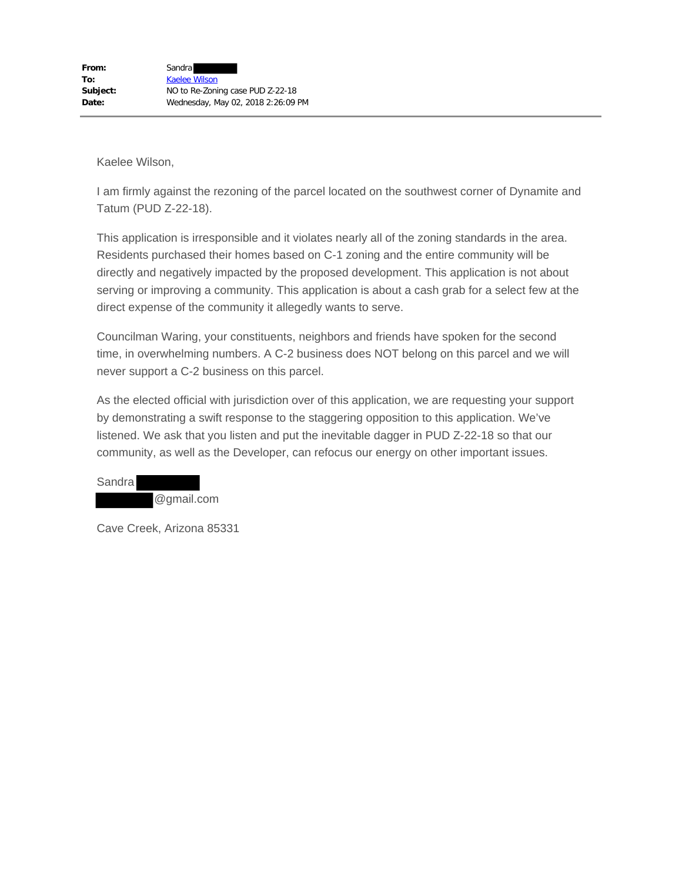I am firmly against the rezoning of the parcel located on the southwest corner of Dynamite and Tatum (PUD Z-22-18).

This application is irresponsible and it violates nearly all of the zoning standards in the area. Residents purchased their homes based on C-1 zoning and the entire community will be directly and negatively impacted by the proposed development. This application is not about serving or improving a community. This application is about a cash grab for a select few at the direct expense of the community it allegedly wants to serve.

Councilman Waring, your constituents, neighbors and friends have spoken for the second time, in overwhelming numbers. A C-2 business does NOT belong on this parcel and we will never support a C-2 business on this parcel.

As the elected official with jurisdiction over of this application, we are requesting your support by demonstrating a swift response to the staggering opposition to this application. We've listened. We ask that you listen and put the inevitable dagger in PUD Z-22-18 so that our community, as well as the Developer, can refocus our energy on other important issues.

Sandra @gmail.com